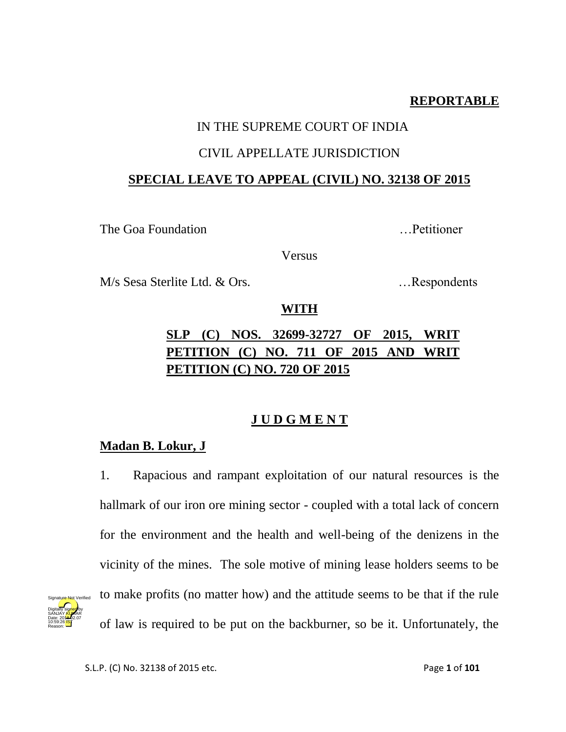# **REPORTABLE**

# IN THE SUPREME COURT OF INDIA

### CIVIL APPELLATE JURISDICTION

# **SPECIAL LEAVE TO APPEAL (CIVIL) NO. 32138 OF 2015**

The Goa Foundation **Exercise 2.1** The Goa Foundation

Versus

M/s Sesa Sterlite Ltd. & Ors. …Respondents

# **WITH**

# **SLP (C) NOS. 32699-32727 OF 2015, WRIT PETITION (C) NO. 711 OF 2015 AND WRIT PETITION (C) NO. 720 OF 2015**

# **J U D G M E N T**

# **Madan B. Lokur, J**

1. Rapacious and rampant exploitation of our natural resources is the hallmark of our iron ore mining sector - coupled with a total lack of concern for the environment and the health and well-being of the denizens in the vicinity of the mines. The sole motive of mining lease holders seems to be to make profits (no matter how) and the attitude seems to be that if the rule of law is required to be put on the backburner, so be it. Unfortunately, the

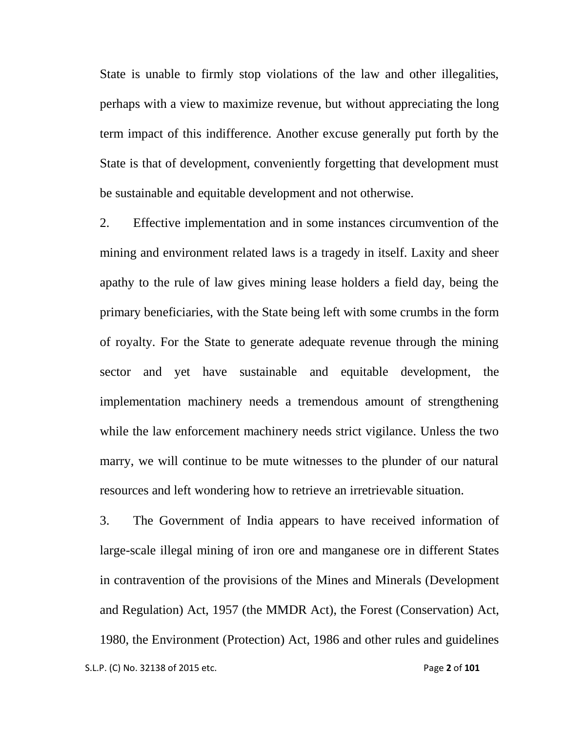State is unable to firmly stop violations of the law and other illegalities, perhaps with a view to maximize revenue, but without appreciating the long term impact of this indifference. Another excuse generally put forth by the State is that of development, conveniently forgetting that development must be sustainable and equitable development and not otherwise.

2. Effective implementation and in some instances circumvention of the mining and environment related laws is a tragedy in itself. Laxity and sheer apathy to the rule of law gives mining lease holders a field day, being the primary beneficiaries, with the State being left with some crumbs in the form of royalty. For the State to generate adequate revenue through the mining sector and yet have sustainable and equitable development, the implementation machinery needs a tremendous amount of strengthening while the law enforcement machinery needs strict vigilance. Unless the two marry, we will continue to be mute witnesses to the plunder of our natural resources and left wondering how to retrieve an irretrievable situation.

 S.L.P. (C) No. 32138 of 2015 etc. Page **2** of **101** 3. The Government of India appears to have received information of large-scale illegal mining of iron ore and manganese ore in different States in contravention of the provisions of the Mines and Minerals (Development and Regulation) Act, 1957 (the MMDR Act), the Forest (Conservation) Act, 1980, the Environment (Protection) Act, 1986 and other rules and guidelines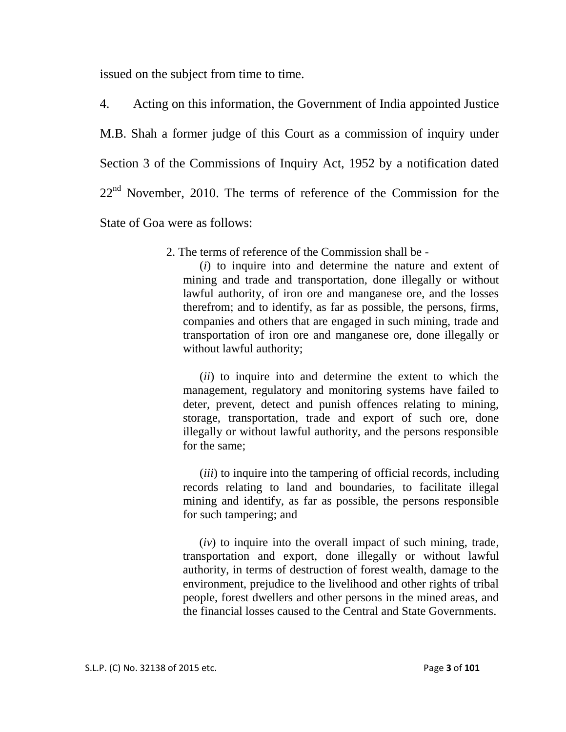issued on the subject from time to time.

4. Acting on this information, the Government of India appointed Justice M.B. Shah a former judge of this Court as a commission of inquiry under Section 3 of the Commissions of Inquiry Act, 1952 by a notification dated  $22<sup>nd</sup>$  November, 2010. The terms of reference of the Commission for the State of Goa were as follows:

2. The terms of reference of the Commission shall be -

(*i*) to inquire into and determine the nature and extent of mining and trade and transportation, done illegally or without lawful authority, of iron ore and manganese ore, and the losses therefrom; and to identify, as far as possible, the persons, firms, companies and others that are engaged in such mining, trade and transportation of iron ore and manganese ore, done illegally or without lawful authority;

(*ii*) to inquire into and determine the extent to which the management, regulatory and monitoring systems have failed to deter, prevent, detect and punish offences relating to mining, storage, transportation, trade and export of such ore, done illegally or without lawful authority, and the persons responsible for the same;

(*iii*) to inquire into the tampering of official records, including records relating to land and boundaries, to facilitate illegal mining and identify, as far as possible, the persons responsible for such tampering; and

(*iv*) to inquire into the overall impact of such mining, trade, transportation and export, done illegally or without lawful authority, in terms of destruction of forest wealth, damage to the environment, prejudice to the livelihood and other rights of tribal people, forest dwellers and other persons in the mined areas, and the financial losses caused to the Central and State Governments.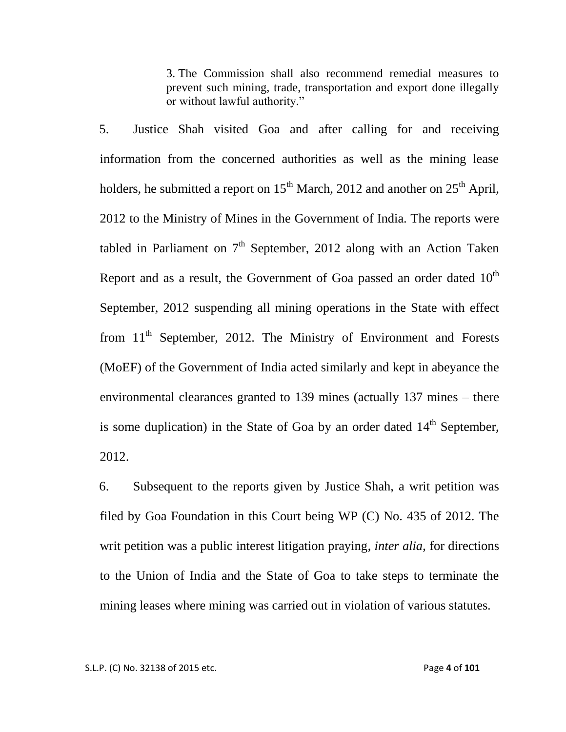3. The Commission shall also recommend remedial measures to prevent such mining, trade, transportation and export done illegally or without lawful authority."

5. Justice Shah visited Goa and after calling for and receiving information from the concerned authorities as well as the mining lease holders, he submitted a report on  $15^{th}$  March, 2012 and another on  $25^{th}$  April, 2012 to the Ministry of Mines in the Government of India. The reports were tabled in Parliament on  $7<sup>th</sup>$  September, 2012 along with an Action Taken Report and as a result, the Government of Goa passed an order dated  $10^{th}$ September, 2012 suspending all mining operations in the State with effect from  $11<sup>th</sup>$  September, 2012. The Ministry of Environment and Forests (MoEF) of the Government of India acted similarly and kept in abeyance the environmental clearances granted to 139 mines (actually 137 mines – there is some duplication) in the State of Goa by an order dated  $14<sup>th</sup>$  September, 2012.

6. Subsequent to the reports given by Justice Shah, a writ petition was filed by Goa Foundation in this Court being WP (C) No. 435 of 2012. The writ petition was a public interest litigation praying, *inter alia*, for directions to the Union of India and the State of Goa to take steps to terminate the mining leases where mining was carried out in violation of various statutes.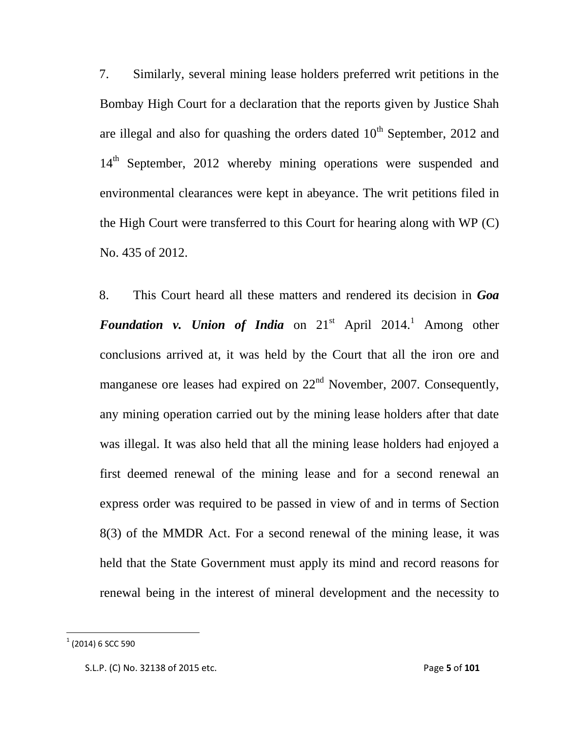7. Similarly, several mining lease holders preferred writ petitions in the Bombay High Court for a declaration that the reports given by Justice Shah are illegal and also for quashing the orders dated  $10<sup>th</sup>$  September, 2012 and 14<sup>th</sup> September, 2012 whereby mining operations were suspended and environmental clearances were kept in abeyance. The writ petitions filed in the High Court were transferred to this Court for hearing along with WP (C) No. 435 of 2012.

8. This Court heard all these matters and rendered its decision in *Goa Foundation v. Union of India* on  $21^{st}$  April  $2014$ <sup>1</sup>. Among other conclusions arrived at, it was held by the Court that all the iron ore and manganese ore leases had expired on  $22<sup>nd</sup>$  November, 2007. Consequently, any mining operation carried out by the mining lease holders after that date was illegal. It was also held that all the mining lease holders had enjoyed a first deemed renewal of the mining lease and for a second renewal an express order was required to be passed in view of and in terms of Section 8(3) of the MMDR Act. For a second renewal of the mining lease, it was held that the State Government must apply its mind and record reasons for renewal being in the interest of mineral development and the necessity to

 $\overline{\phantom{a}}$ 

 $^{1}$  (2014) 6 SCC 590

S.L.P. (C) No. 32138 of 2015 etc. Page **5** of **101**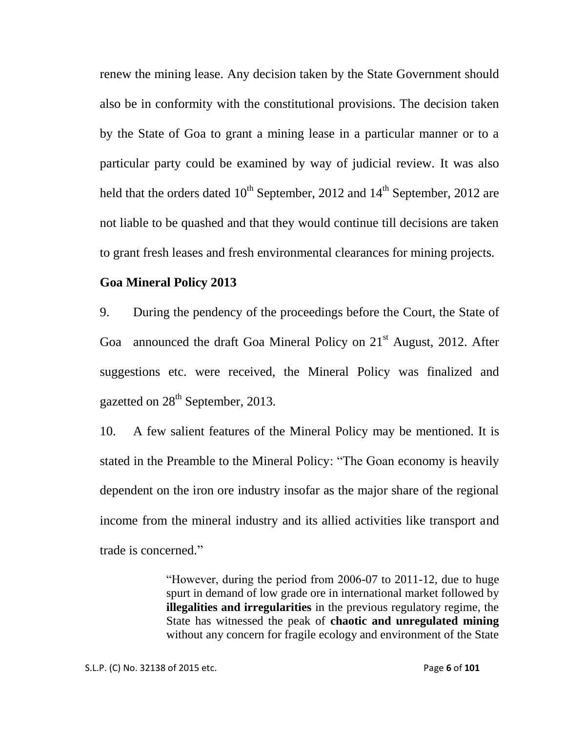renew the mining lease. Any decision taken by the State Government should also be in conformity with the constitutional provisions. The decision taken by the State of Goa to grant a mining lease in a particular manner or to a particular party could be examined by way of judicial review. It was also held that the orders dated  $10^{th}$  September, 2012 and  $14^{th}$  September, 2012 are not liable to be quashed and that they would continue till decisions are taken to grant fresh leases and fresh environmental clearances for mining projects.

#### **Goa Mineral Policy 2013**

9. During the pendency of the proceedings before the Court, the State of Goa announced the draft Goa Mineral Policy on 21<sup>st</sup> August, 2012. After suggestions etc. were received, the Mineral Policy was finalized and gazetted on  $28<sup>th</sup>$  September, 2013.

10. A few salient features of the Mineral Policy may be mentioned. It is stated in the Preamble to the Mineral Policy: "The Goan economy is heavily dependent on the iron ore industry insofar as the major share of the regional income from the mineral industry and its allied activities like transport and trade is concerned."

> "However, during the period from 2006-07 to 2011-12, due to huge spurt in demand of low grade ore in international market followed by **illegalities and irregularities** in the previous regulatory regime, the State has witnessed the peak of **chaotic and unregulated mining** without any concern for fragile ecology and environment of the State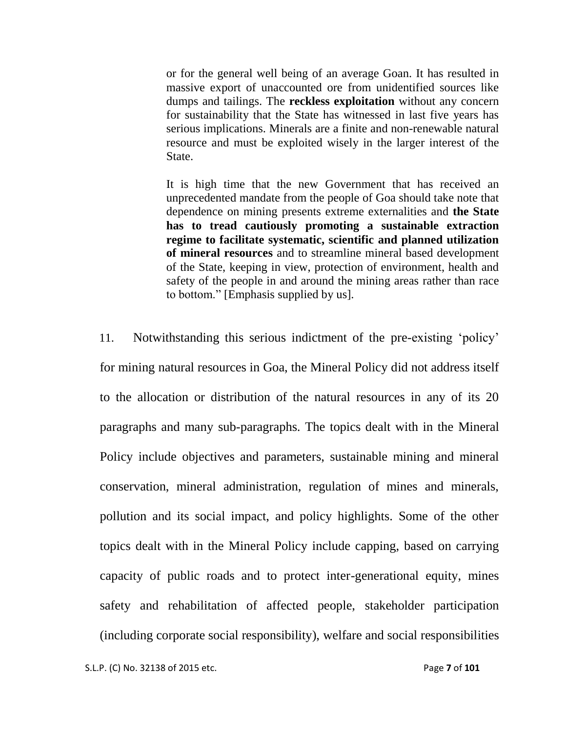or for the general well being of an average Goan. It has resulted in massive export of unaccounted ore from unidentified sources like dumps and tailings. The **reckless exploitation** without any concern for sustainability that the State has witnessed in last five years has serious implications. Minerals are a finite and non-renewable natural resource and must be exploited wisely in the larger interest of the State.

It is high time that the new Government that has received an unprecedented mandate from the people of Goa should take note that dependence on mining presents extreme externalities and **the State has to tread cautiously promoting a sustainable extraction regime to facilitate systematic, scientific and planned utilization of mineral resources** and to streamline mineral based development of the State, keeping in view, protection of environment, health and safety of the people in and around the mining areas rather than race to bottom." [Emphasis supplied by us].

11. Notwithstanding this serious indictment of the pre-existing "policy" for mining natural resources in Goa, the Mineral Policy did not address itself to the allocation or distribution of the natural resources in any of its 20 paragraphs and many sub-paragraphs. The topics dealt with in the Mineral Policy include objectives and parameters, sustainable mining and mineral conservation, mineral administration, regulation of mines and minerals, pollution and its social impact, and policy highlights. Some of the other topics dealt with in the Mineral Policy include capping, based on carrying capacity of public roads and to protect inter-generational equity, mines safety and rehabilitation of affected people, stakeholder participation (including corporate social responsibility), welfare and social responsibilities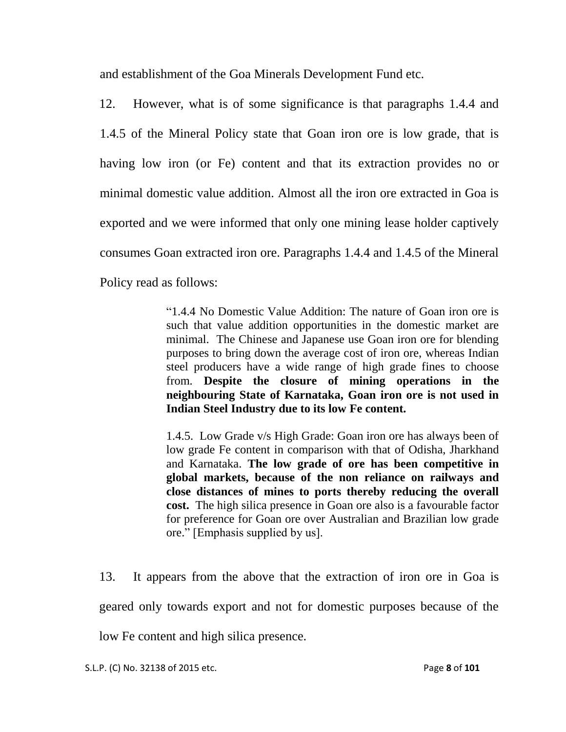and establishment of the Goa Minerals Development Fund etc.

12. However, what is of some significance is that paragraphs 1.4.4 and 1.4.5 of the Mineral Policy state that Goan iron ore is low grade, that is having low iron (or Fe) content and that its extraction provides no or minimal domestic value addition. Almost all the iron ore extracted in Goa is exported and we were informed that only one mining lease holder captively consumes Goan extracted iron ore. Paragraphs 1.4.4 and 1.4.5 of the Mineral Policy read as follows:

> "1.4.4 No Domestic Value Addition: The nature of Goan iron ore is such that value addition opportunities in the domestic market are minimal. The Chinese and Japanese use Goan iron ore for blending purposes to bring down the average cost of iron ore, whereas Indian steel producers have a wide range of high grade fines to choose from. **Despite the closure of mining operations in the neighbouring State of Karnataka, Goan iron ore is not used in Indian Steel Industry due to its low Fe content.**

> 1.4.5. Low Grade v/s High Grade: Goan iron ore has always been of low grade Fe content in comparison with that of Odisha, Jharkhand and Karnataka. **The low grade of ore has been competitive in global markets, because of the non reliance on railways and close distances of mines to ports thereby reducing the overall cost.** The high silica presence in Goan ore also is a favourable factor for preference for Goan ore over Australian and Brazilian low grade ore." [Emphasis supplied by us].

13. It appears from the above that the extraction of iron ore in Goa is geared only towards export and not for domestic purposes because of the low Fe content and high silica presence.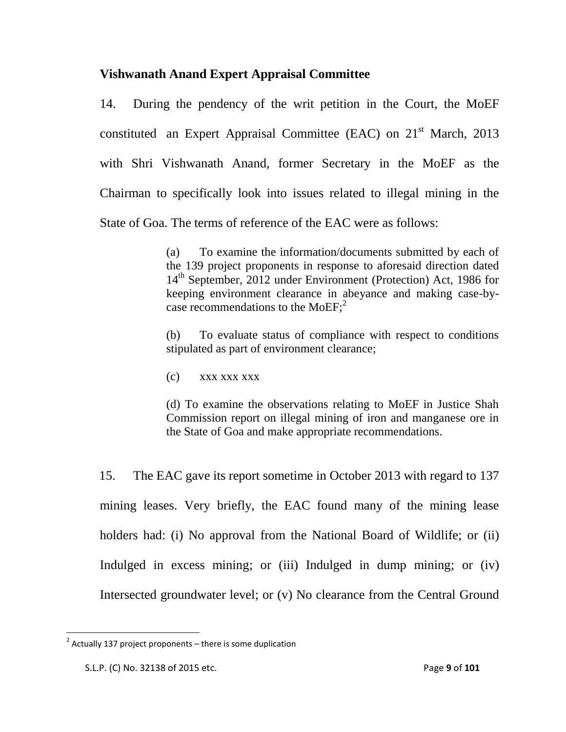### **Vishwanath Anand Expert Appraisal Committee**

14. During the pendency of the writ petition in the Court, the MoEF constituted an Expert Appraisal Committee (EAC) on 21<sup>st</sup> March, 2013 with Shri Vishwanath Anand, former Secretary in the MoEF as the Chairman to specifically look into issues related to illegal mining in the State of Goa. The terms of reference of the EAC were as follows:

> (a) To examine the information/documents submitted by each of the 139 project proponents in response to aforesaid direction dated 14<sup>th</sup> September, 2012 under Environment (Protection) Act, 1986 for keeping environment clearance in abeyance and making case-bycase recommendations to the MoEF;<sup>2</sup>

> (b) To evaluate status of compliance with respect to conditions stipulated as part of environment clearance;

(c) xxx xxx xxx

(d) To examine the observations relating to MoEF in Justice Shah Commission report on illegal mining of iron and manganese ore in the State of Goa and make appropriate recommendations.

15. The EAC gave its report sometime in October 2013 with regard to 137 mining leases. Very briefly, the EAC found many of the mining lease holders had: (i) No approval from the National Board of Wildlife; or (ii) Indulged in excess mining; or (iii) Indulged in dump mining; or (iv) Intersected groundwater level; or (v) No clearance from the Central Ground

 $\overline{\phantom{a}}$ 

 $2$  Actually 137 project proponents – there is some duplication

S.L.P. (C) No. 32138 of 2015 etc. Page **9** of **101**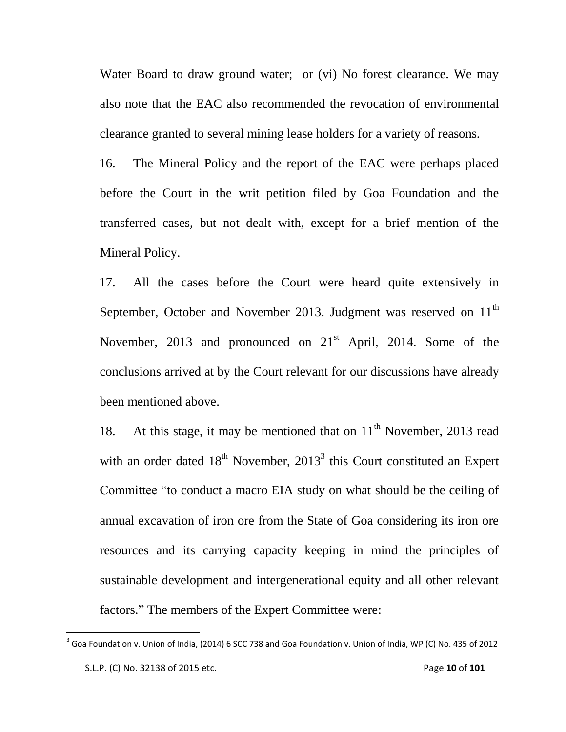Water Board to draw ground water; or (vi) No forest clearance. We may also note that the EAC also recommended the revocation of environmental clearance granted to several mining lease holders for a variety of reasons.

16. The Mineral Policy and the report of the EAC were perhaps placed before the Court in the writ petition filed by Goa Foundation and the transferred cases, but not dealt with, except for a brief mention of the Mineral Policy.

17. All the cases before the Court were heard quite extensively in September, October and November 2013. Judgment was reserved on  $11<sup>th</sup>$ November, 2013 and pronounced on  $21<sup>st</sup>$  April, 2014. Some of the conclusions arrived at by the Court relevant for our discussions have already been mentioned above.

18. At this stage, it may be mentioned that on  $11<sup>th</sup>$  November, 2013 read with an order dated  $18<sup>th</sup>$  November, 2013<sup>3</sup> this Court constituted an Expert Committee "to conduct a macro EIA study on what should be the ceiling of annual excavation of iron ore from the State of Goa considering its iron ore resources and its carrying capacity keeping in mind the principles of sustainable development and intergenerational equity and all other relevant factors." The members of the Expert Committee were:

 $\overline{\phantom{a}}$ 

S.L.P. (C) No. 32138 of 2015 etc. Page **10** of **101**  $^3$  Goa Foundation v. Union of India, (2014) 6 SCC 738 and Goa Foundation v. Union of India, WP (C) No. 435 of 2012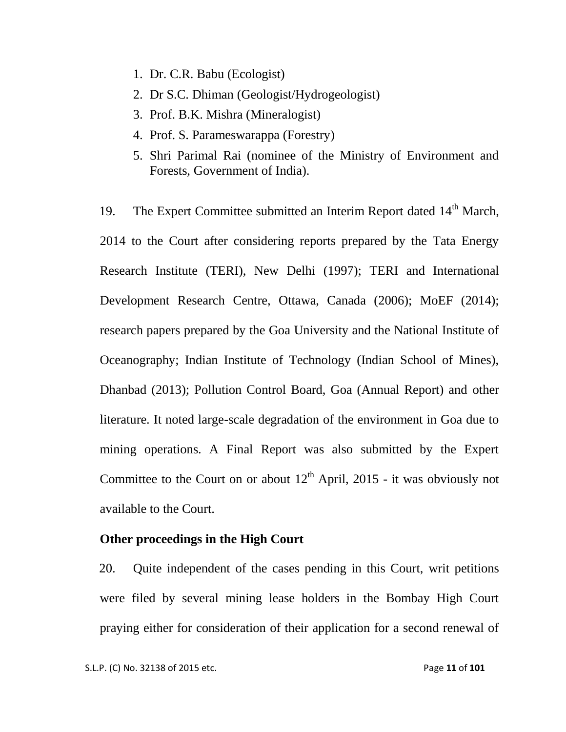- 1. Dr. C.R. Babu (Ecologist)
- 2. Dr S.C. Dhiman (Geologist/Hydrogeologist)
- 3. Prof. B.K. Mishra (Mineralogist)
- 4. Prof. S. Parameswarappa (Forestry)
- 5. Shri Parimal Rai (nominee of the Ministry of Environment and Forests, Government of India).

19. The Expert Committee submitted an Interim Report dated 14<sup>th</sup> March, 2014 to the Court after considering reports prepared by the Tata Energy Research Institute (TERI), New Delhi (1997); TERI and International Development Research Centre, Ottawa, Canada (2006); MoEF (2014); research papers prepared by the Goa University and the National Institute of Oceanography; Indian Institute of Technology (Indian School of Mines), Dhanbad (2013); Pollution Control Board, Goa (Annual Report) and other literature. It noted large-scale degradation of the environment in Goa due to mining operations. A Final Report was also submitted by the Expert Committee to the Court on or about  $12<sup>th</sup>$  April, 2015 - it was obviously not available to the Court.

#### **Other proceedings in the High Court**

20. Quite independent of the cases pending in this Court, writ petitions were filed by several mining lease holders in the Bombay High Court praying either for consideration of their application for a second renewal of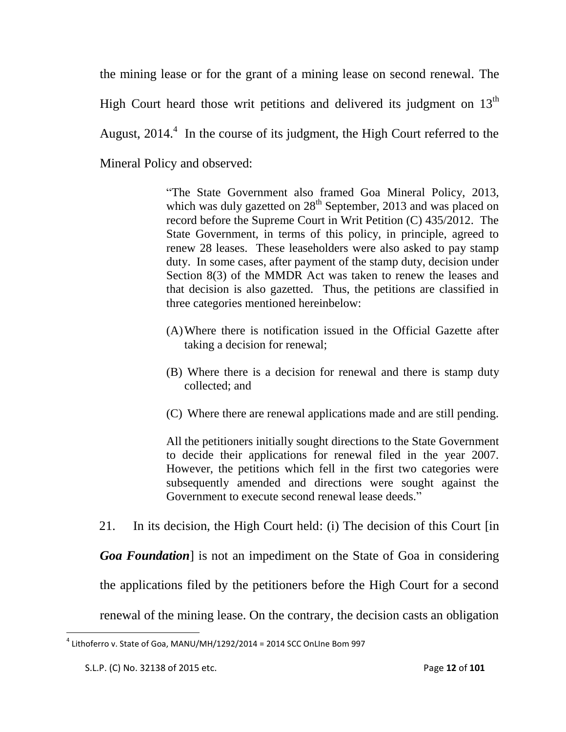the mining lease or for the grant of a mining lease on second renewal. The High Court heard those writ petitions and delivered its judgment on  $13<sup>th</sup>$ August,  $2014$ <sup>4</sup>. In the course of its judgment, the High Court referred to the Mineral Policy and observed:

> "The State Government also framed Goa Mineral Policy, 2013, which was duly gazetted on  $28<sup>th</sup>$  September, 2013 and was placed on record before the Supreme Court in Writ Petition (C) 435/2012. The State Government, in terms of this policy, in principle, agreed to renew 28 leases. These leaseholders were also asked to pay stamp duty. In some cases, after payment of the stamp duty, decision under Section 8(3) of the MMDR Act was taken to renew the leases and that decision is also gazetted. Thus, the petitions are classified in three categories mentioned hereinbelow:

- (A)Where there is notification issued in the Official Gazette after taking a decision for renewal;
- (B) Where there is a decision for renewal and there is stamp duty collected; and
- (C) Where there are renewal applications made and are still pending.

All the petitioners initially sought directions to the State Government to decide their applications for renewal filed in the year 2007. However, the petitions which fell in the first two categories were subsequently amended and directions were sought against the Government to execute second renewal lease deeds."

21. In its decision, the High Court held: (i) The decision of this Court [in

*Goa Foundation*] is not an impediment on the State of Goa in considering

the applications filed by the petitioners before the High Court for a second

renewal of the mining lease. On the contrary, the decision casts an obligation

 $\overline{\phantom{a}}$ 

 $^4$  Lithoferro v. State of Goa, MANU/MH/1292/2014 = 2014 SCC OnLIne Bom 997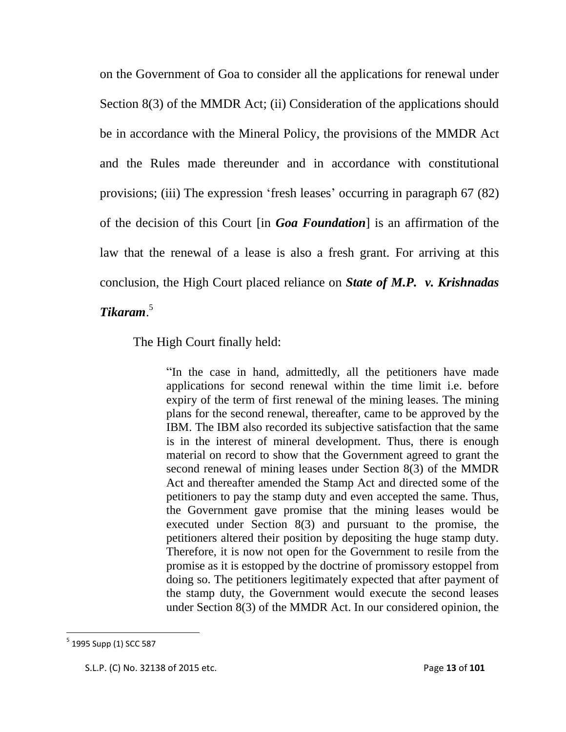on the Government of Goa to consider all the applications for renewal under Section 8(3) of the MMDR Act; (ii) Consideration of the applications should be in accordance with the Mineral Policy, the provisions of the MMDR Act and the Rules made thereunder and in accordance with constitutional provisions; (iii) The expression "fresh leases" occurring in paragraph 67 (82) of the decision of this Court [in *Goa Foundation*] is an affirmation of the law that the renewal of a lease is also a fresh grant. For arriving at this conclusion, the High Court placed reliance on *State of M.P. v. Krishnadas Tikaram*. 5

The High Court finally held:

"In the case in hand, admittedly, all the petitioners have made applications for second renewal within the time limit i.e. before expiry of the term of first renewal of the mining leases. The mining plans for the second renewal, thereafter, came to be approved by the IBM. The IBM also recorded its subjective satisfaction that the same is in the interest of mineral development. Thus, there is enough material on record to show that the Government agreed to grant the second renewal of mining leases under Section 8(3) of the MMDR Act and thereafter amended the Stamp Act and directed some of the petitioners to pay the stamp duty and even accepted the same. Thus, the Government gave promise that the mining leases would be executed under Section 8(3) and pursuant to the promise, the petitioners altered their position by depositing the huge stamp duty. Therefore, it is now not open for the Government to resile from the promise as it is estopped by the doctrine of promissory estoppel from doing so. The petitioners legitimately expected that after payment of the stamp duty, the Government would execute the second leases under Section 8(3) of the MMDR Act. In our considered opinion, the

 $\overline{\phantom{a}}$ 

<sup>&</sup>lt;sup>5</sup> 1995 Supp (1) SCC 587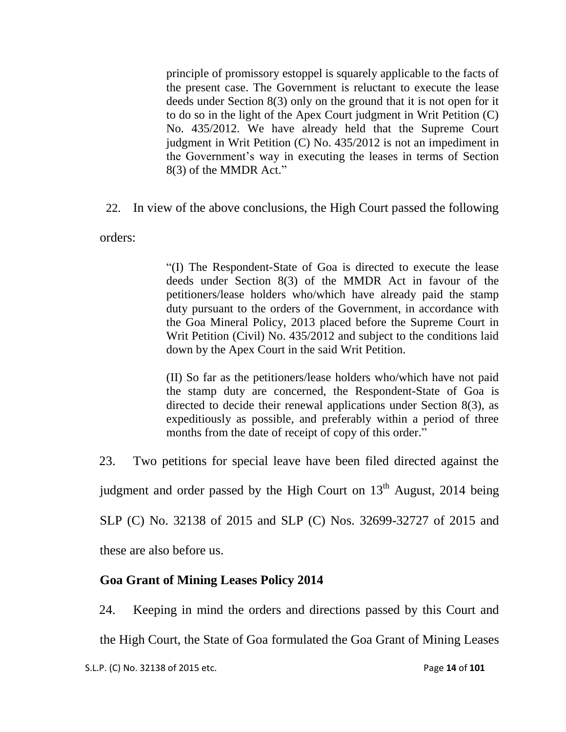principle of promissory estoppel is squarely applicable to the facts of the present case. The Government is reluctant to execute the lease deeds under Section 8(3) only on the ground that it is not open for it to do so in the light of the Apex Court judgment in Writ Petition (C) No. 435/2012. We have already held that the Supreme Court judgment in Writ Petition (C) No. 435/2012 is not an impediment in the Government"s way in executing the leases in terms of Section 8(3) of the MMDR Act."

22. In view of the above conclusions, the High Court passed the following

orders:

"(I) The Respondent-State of Goa is directed to execute the lease deeds under Section 8(3) of the MMDR Act in favour of the petitioners/lease holders who/which have already paid the stamp duty pursuant to the orders of the Government, in accordance with the Goa Mineral Policy, 2013 placed before the Supreme Court in Writ Petition (Civil) No. 435/2012 and subject to the conditions laid down by the Apex Court in the said Writ Petition.

(II) So far as the petitioners/lease holders who/which have not paid the stamp duty are concerned, the Respondent-State of Goa is directed to decide their renewal applications under Section 8(3), as expeditiously as possible, and preferably within a period of three months from the date of receipt of copy of this order."

23. Two petitions for special leave have been filed directed against the

judgment and order passed by the High Court on 13<sup>th</sup> August, 2014 being

SLP (C) No. 32138 of 2015 and SLP (C) Nos. 32699-32727 of 2015 and

these are also before us.

# **Goa Grant of Mining Leases Policy 2014**

24. Keeping in mind the orders and directions passed by this Court and the High Court, the State of Goa formulated the Goa Grant of Mining Leases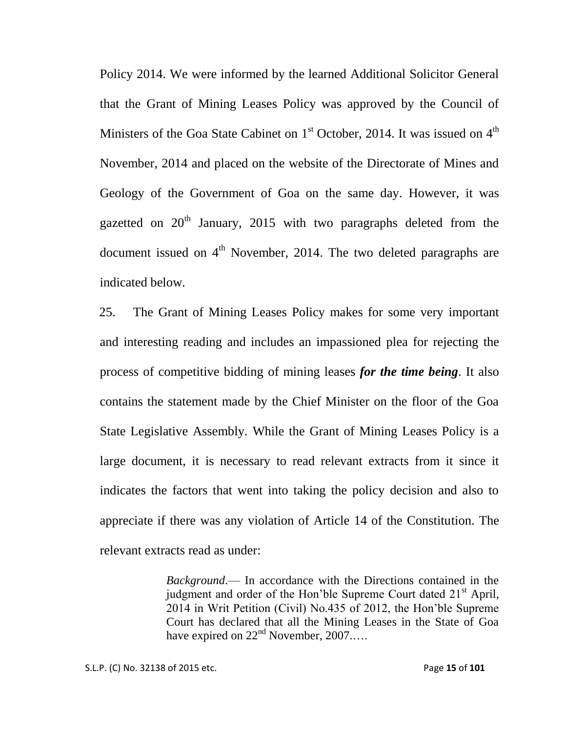Policy 2014. We were informed by the learned Additional Solicitor General that the Grant of Mining Leases Policy was approved by the Council of Ministers of the Goa State Cabinet on  $1<sup>st</sup>$  October, 2014. It was issued on  $4<sup>th</sup>$ November, 2014 and placed on the website of the Directorate of Mines and Geology of the Government of Goa on the same day. However, it was gazetted on  $20<sup>th</sup>$  January, 2015 with two paragraphs deleted from the document issued on  $4<sup>th</sup>$  November, 2014. The two deleted paragraphs are indicated below.

25. The Grant of Mining Leases Policy makes for some very important and interesting reading and includes an impassioned plea for rejecting the process of competitive bidding of mining leases *for the time being*. It also contains the statement made by the Chief Minister on the floor of the Goa State Legislative Assembly. While the Grant of Mining Leases Policy is a large document, it is necessary to read relevant extracts from it since it indicates the factors that went into taking the policy decision and also to appreciate if there was any violation of Article 14 of the Constitution. The relevant extracts read as under:

> *Background*.–– In accordance with the Directions contained in the judgment and order of the Hon'ble Supreme Court dated 21<sup>st</sup> April, 2014 in Writ Petition (Civil) No.435 of 2012, the Hon"ble Supreme Court has declared that all the Mining Leases in the State of Goa have expired on  $22<sup>nd</sup>$  November,  $2007...$ .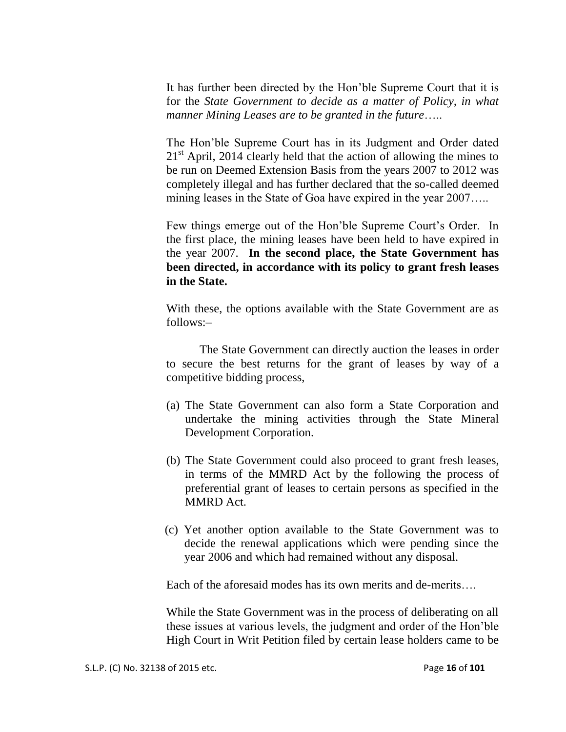It has further been directed by the Hon"ble Supreme Court that it is for the *State Government to decide as a matter of Policy, in what manner Mining Leases are to be granted in the future*…..

The Hon"ble Supreme Court has in its Judgment and Order dated  $21<sup>st</sup>$  April, 2014 clearly held that the action of allowing the mines to be run on Deemed Extension Basis from the years 2007 to 2012 was completely illegal and has further declared that the so-called deemed mining leases in the State of Goa have expired in the year 2007…..

Few things emerge out of the Hon'ble Supreme Court's Order. In the first place, the mining leases have been held to have expired in the year 2007. **In the second place, the State Government has been directed, in accordance with its policy to grant fresh leases in the State.**

With these, the options available with the State Government are as follows:–

The State Government can directly auction the leases in order to secure the best returns for the grant of leases by way of a competitive bidding process,

- (a) The State Government can also form a State Corporation and undertake the mining activities through the State Mineral Development Corporation.
- (b) The State Government could also proceed to grant fresh leases, in terms of the MMRD Act by the following the process of preferential grant of leases to certain persons as specified in the MMRD Act.
- (c) Yet another option available to the State Government was to decide the renewal applications which were pending since the year 2006 and which had remained without any disposal.

Each of the aforesaid modes has its own merits and de-merits….

While the State Government was in the process of deliberating on all these issues at various levels, the judgment and order of the Hon"ble High Court in Writ Petition filed by certain lease holders came to be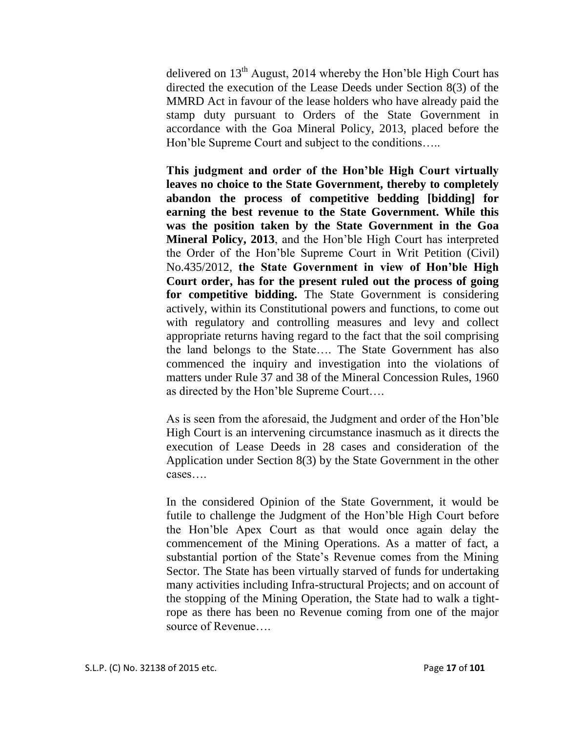delivered on  $13<sup>th</sup>$  August, 2014 whereby the Hon'ble High Court has directed the execution of the Lease Deeds under Section 8(3) of the MMRD Act in favour of the lease holders who have already paid the stamp duty pursuant to Orders of the State Government in accordance with the Goa Mineral Policy, 2013, placed before the Hon"ble Supreme Court and subject to the conditions…..

**This judgment and order of the Hon'ble High Court virtually leaves no choice to the State Government, thereby to completely abandon the process of competitive bedding [bidding] for earning the best revenue to the State Government. While this was the position taken by the State Government in the Goa Mineral Policy, 2013**, and the Hon"ble High Court has interpreted the Order of the Hon"ble Supreme Court in Writ Petition (Civil) No.435/2012, **the State Government in view of Hon'ble High Court order, has for the present ruled out the process of going for competitive bidding.** The State Government is considering actively, within its Constitutional powers and functions, to come out with regulatory and controlling measures and levy and collect appropriate returns having regard to the fact that the soil comprising the land belongs to the State…. The State Government has also commenced the inquiry and investigation into the violations of matters under Rule 37 and 38 of the Mineral Concession Rules, 1960 as directed by the Hon"ble Supreme Court….

As is seen from the aforesaid, the Judgment and order of the Hon"ble High Court is an intervening circumstance inasmuch as it directs the execution of Lease Deeds in 28 cases and consideration of the Application under Section 8(3) by the State Government in the other cases….

In the considered Opinion of the State Government, it would be futile to challenge the Judgment of the Hon"ble High Court before the Hon"ble Apex Court as that would once again delay the commencement of the Mining Operations. As a matter of fact, a substantial portion of the State's Revenue comes from the Mining Sector. The State has been virtually starved of funds for undertaking many activities including Infra-structural Projects; and on account of the stopping of the Mining Operation, the State had to walk a tightrope as there has been no Revenue coming from one of the major source of Revenue….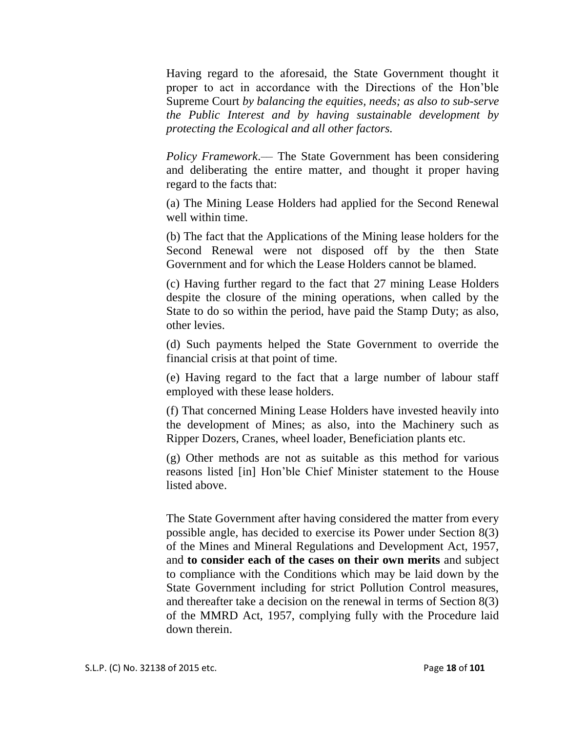Having regard to the aforesaid, the State Government thought it proper to act in accordance with the Directions of the Hon"ble Supreme Court *by balancing the equities, needs; as also to sub-serve the Public Interest and by having sustainable development by protecting the Ecological and all other factors.*

*Policy Framework*.— The State Government has been considering and deliberating the entire matter, and thought it proper having regard to the facts that:

(a) The Mining Lease Holders had applied for the Second Renewal well within time.

(b) The fact that the Applications of the Mining lease holders for the Second Renewal were not disposed off by the then State Government and for which the Lease Holders cannot be blamed.

(c) Having further regard to the fact that 27 mining Lease Holders despite the closure of the mining operations, when called by the State to do so within the period, have paid the Stamp Duty; as also, other levies.

(d) Such payments helped the State Government to override the financial crisis at that point of time.

(e) Having regard to the fact that a large number of labour staff employed with these lease holders.

(f) That concerned Mining Lease Holders have invested heavily into the development of Mines; as also, into the Machinery such as Ripper Dozers, Cranes, wheel loader, Beneficiation plants etc.

(g) Other methods are not as suitable as this method for various reasons listed [in] Hon"ble Chief Minister statement to the House listed above.

The State Government after having considered the matter from every possible angle, has decided to exercise its Power under Section 8(3) of the Mines and Mineral Regulations and Development Act, 1957, and **to consider each of the cases on their own merits** and subject to compliance with the Conditions which may be laid down by the State Government including for strict Pollution Control measures, and thereafter take a decision on the renewal in terms of Section 8(3) of the MMRD Act, 1957, complying fully with the Procedure laid down therein.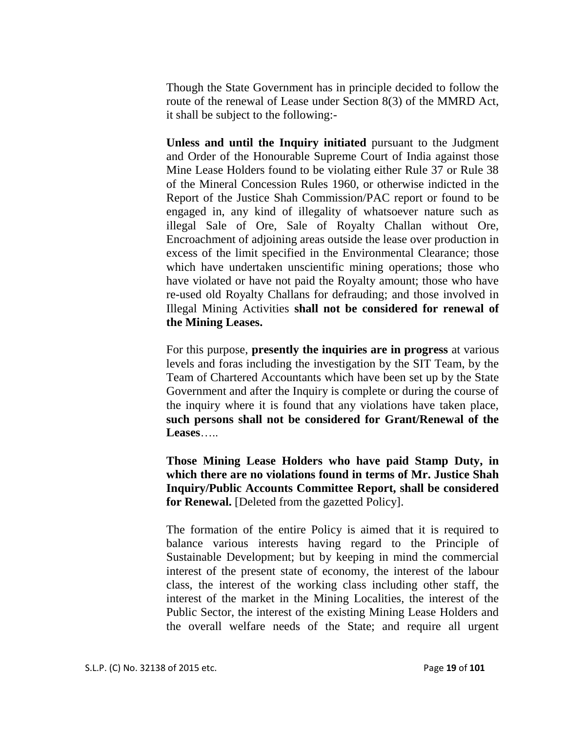Though the State Government has in principle decided to follow the route of the renewal of Lease under Section 8(3) of the MMRD Act, it shall be subject to the following:-

**Unless and until the Inquiry initiated** pursuant to the Judgment and Order of the Honourable Supreme Court of India against those Mine Lease Holders found to be violating either Rule 37 or Rule 38 of the Mineral Concession Rules 1960, or otherwise indicted in the Report of the Justice Shah Commission/PAC report or found to be engaged in, any kind of illegality of whatsoever nature such as illegal Sale of Ore, Sale of Royalty Challan without Ore, Encroachment of adjoining areas outside the lease over production in excess of the limit specified in the Environmental Clearance; those which have undertaken unscientific mining operations; those who have violated or have not paid the Royalty amount; those who have re-used old Royalty Challans for defrauding; and those involved in Illegal Mining Activities **shall not be considered for renewal of the Mining Leases.** 

For this purpose, **presently the inquiries are in progress** at various levels and foras including the investigation by the SIT Team, by the Team of Chartered Accountants which have been set up by the State Government and after the Inquiry is complete or during the course of the inquiry where it is found that any violations have taken place, **such persons shall not be considered for Grant/Renewal of the Leases**…..

**Those Mining Lease Holders who have paid Stamp Duty, in which there are no violations found in terms of Mr. Justice Shah Inquiry/Public Accounts Committee Report, shall be considered for Renewal.** [Deleted from the gazetted Policy].

The formation of the entire Policy is aimed that it is required to balance various interests having regard to the Principle of Sustainable Development; but by keeping in mind the commercial interest of the present state of economy, the interest of the labour class, the interest of the working class including other staff, the interest of the market in the Mining Localities, the interest of the Public Sector, the interest of the existing Mining Lease Holders and the overall welfare needs of the State; and require all urgent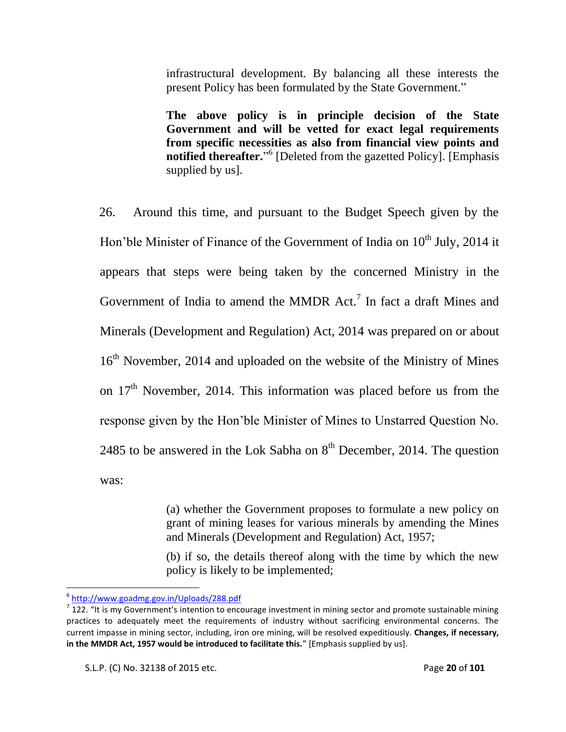infrastructural development. By balancing all these interests the present Policy has been formulated by the State Government."

**The above policy is in principle decision of the State Government and will be vetted for exact legal requirements from specific necessities as also from financial view points and notified thereafter.**" 6 [Deleted from the gazetted Policy]. [Emphasis supplied by us].

26. Around this time, and pursuant to the Budget Speech given by the Hon'ble Minister of Finance of the Government of India on  $10<sup>th</sup>$  July, 2014 it appears that steps were being taken by the concerned Ministry in the Government of India to amend the MMDR  $Act.^{7}$  In fact a draft Mines and Minerals (Development and Regulation) Act, 2014 was prepared on or about 16<sup>th</sup> November, 2014 and uploaded on the website of the Ministry of Mines on  $17<sup>th</sup>$  November, 2014. This information was placed before us from the response given by the Hon"ble Minister of Mines to Unstarred Question No. 2485 to be answered in the Lok Sabha on  $8<sup>th</sup>$  December, 2014. The question was:

> (a) whether the Government proposes to formulate a new policy on grant of mining leases for various minerals by amending the Mines and Minerals (Development and Regulation) Act, 1957;

> (b) if so, the details thereof along with the time by which the new policy is likely to be implemented;

l

<sup>6</sup> <http://www.goadmg.gov.in/Uploads/288.pdf>

 $^7$  122. "It is my Government's intention to encourage investment in mining sector and promote sustainable mining practices to adequately meet the requirements of industry without sacrificing environmental concerns. The current impasse in mining sector, including, iron ore mining, will be resolved expeditiously. **Changes, if necessary,**  in the MMDR Act, 1957 would be introduced to facilitate this." [Emphasis supplied by us].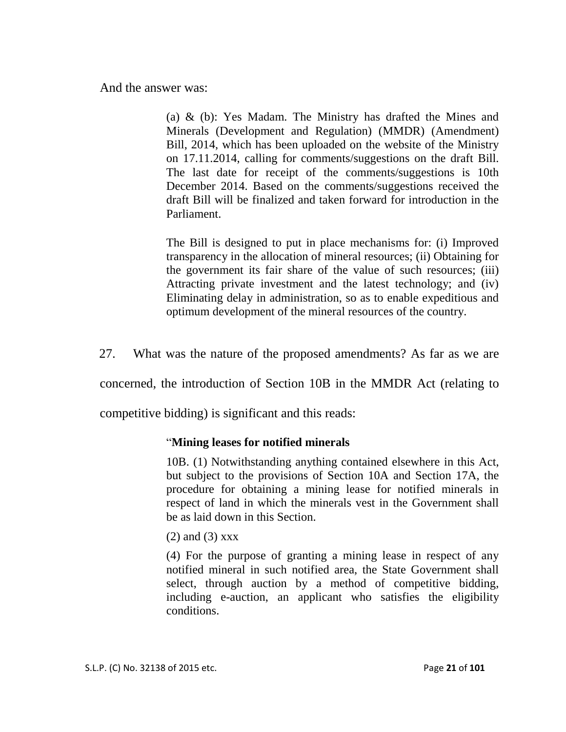And the answer was:

(a) & (b): Yes Madam. The Ministry has drafted the Mines and Minerals (Development and Regulation) (MMDR) (Amendment) Bill, 2014, which has been uploaded on the website of the Ministry on 17.11.2014, calling for comments/suggestions on the draft Bill. The last date for receipt of the comments/suggestions is 10th December 2014. Based on the comments/suggestions received the draft Bill will be finalized and taken forward for introduction in the Parliament.

The Bill is designed to put in place mechanisms for: (i) Improved transparency in the allocation of mineral resources; (ii) Obtaining for the government its fair share of the value of such resources; (iii) Attracting private investment and the latest technology; and (iv) Eliminating delay in administration, so as to enable expeditious and optimum development of the mineral resources of the country.

27. What was the nature of the proposed amendments? As far as we are

concerned, the introduction of Section 10B in the MMDR Act (relating to

competitive bidding) is significant and this reads:

### "**Mining leases for notified minerals**

10B. (1) Notwithstanding anything contained elsewhere in this Act, but subject to the provisions of Section 10A and Section 17A, the procedure for obtaining a mining lease for notified minerals in respect of land in which the minerals vest in the Government shall be as laid down in this Section.

(2) and (3) xxx

(4) For the purpose of granting a mining lease in respect of any notified mineral in such notified area, the State Government shall select, through auction by a method of competitive bidding, including e-auction, an applicant who satisfies the eligibility conditions.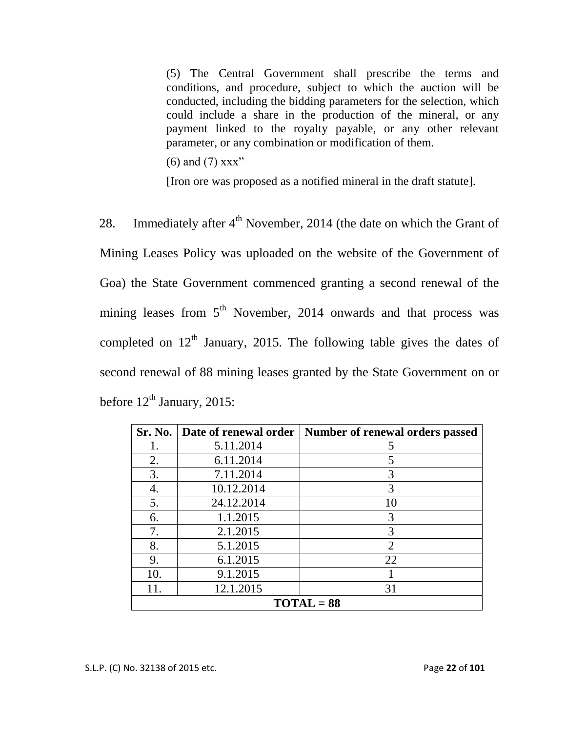(5) The Central Government shall prescribe the terms and conditions, and procedure, subject to which the auction will be conducted, including the bidding parameters for the selection, which could include a share in the production of the mineral, or any payment linked to the royalty payable, or any other relevant parameter, or any combination or modification of them.

 $(6)$  and  $(7)$  xxx"

[Iron ore was proposed as a notified mineral in the draft statute].

28. Immediately after  $4<sup>th</sup>$  November, 2014 (the date on which the Grant of Mining Leases Policy was uploaded on the website of the Government of Goa) the State Government commenced granting a second renewal of the mining leases from  $5<sup>th</sup>$  November, 2014 onwards and that process was completed on  $12<sup>th</sup>$  January, 2015. The following table gives the dates of second renewal of 88 mining leases granted by the State Government on or before  $12^{th}$  January, 2015:

|              | Sr. No.   Date of renewal order | Number of renewal orders passed |  |
|--------------|---------------------------------|---------------------------------|--|
|              | 5.11.2014                       |                                 |  |
| 2.           | 6.11.2014                       |                                 |  |
| 3.           | 7.11.2014                       | 3                               |  |
| 4.           | 10.12.2014                      | 3                               |  |
| 5.           | 24.12.2014                      | 10                              |  |
| 6.           | 1.1.2015                        | 3                               |  |
| 7.           | 2.1.2015                        | 3                               |  |
| 8.           | 5.1.2015                        | $\overline{2}$                  |  |
| 9.           | 6.1.2015                        | 22                              |  |
| 10.          | 9.1.2015                        |                                 |  |
| 11.          | 12.1.2015                       | 31                              |  |
| $TOTAL = 88$ |                                 |                                 |  |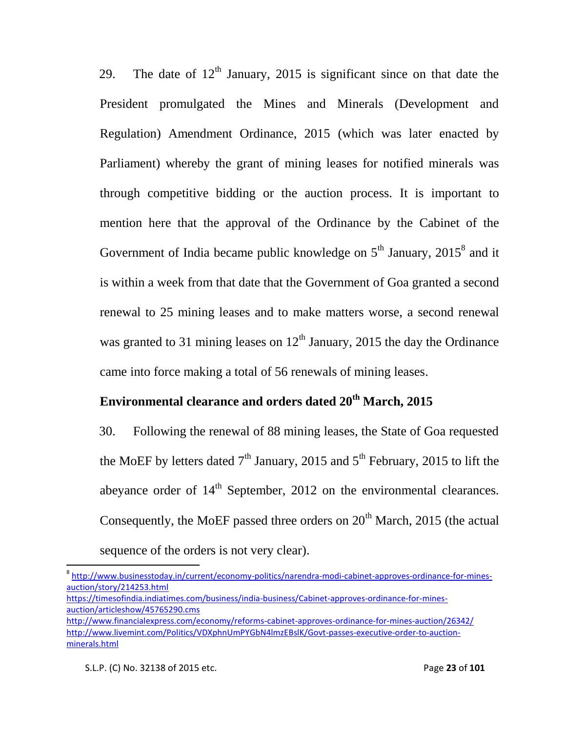29. The date of  $12<sup>th</sup>$  January, 2015 is significant since on that date the President promulgated the Mines and Minerals (Development and Regulation) Amendment Ordinance, 2015 (which was later enacted by Parliament) whereby the grant of mining leases for notified minerals was through competitive bidding or the auction process. It is important to mention here that the approval of the Ordinance by the Cabinet of the Government of India became public knowledge on  $5<sup>th</sup>$  January, 2015<sup>8</sup> and it is within a week from that date that the Government of Goa granted a second renewal to 25 mining leases and to make matters worse, a second renewal was granted to 31 mining leases on  $12<sup>th</sup>$  January, 2015 the day the Ordinance came into force making a total of 56 renewals of mining leases.

# **Environmental clearance and orders dated 20th March, 2015**

30. Following the renewal of 88 mining leases, the State of Goa requested the MoEF by letters dated  $7<sup>th</sup>$  January, 2015 and  $5<sup>th</sup>$  February, 2015 to lift the abeyance order of  $14<sup>th</sup>$  September, 2012 on the environmental clearances. Consequently, the MoEF passed three orders on  $20<sup>th</sup>$  March, 2015 (the actual sequence of the orders is not very clear).

 $\overline{a}$ 

<sup>&</sup>lt;sup>8</sup> [http://www.businesstoday.in/current/economy-politics/narendra-modi-cabinet-approves-ordinance-for-mines](http://www.businesstoday.in/current/economy-politics/narendra-modi-cabinet-approves-ordinance-for-mines-auction/story/214253.html)[auction/story/214253.html](http://www.businesstoday.in/current/economy-politics/narendra-modi-cabinet-approves-ordinance-for-mines-auction/story/214253.html)

[https://timesofindia.indiatimes.com/business/india-business/Cabinet-approves-ordinance-for-mines](https://timesofindia.indiatimes.com/business/india-business/Cabinet-approves-ordinance-for-mines-auction/articleshow/45765290.cms)[auction/articleshow/45765290.cms](https://timesofindia.indiatimes.com/business/india-business/Cabinet-approves-ordinance-for-mines-auction/articleshow/45765290.cms)

<http://www.financialexpress.com/economy/reforms-cabinet-approves-ordinance-for-mines-auction/26342/> [http://www.livemint.com/Politics/VDXphnUmPYGbN4lmzEBslK/Govt-passes-executive-order-to-auction](http://www.livemint.com/Politics/VDXphnUmPYGbN4lmzEBslK/Govt-passes-executive-order-to-auction-minerals.html)[minerals.html](http://www.livemint.com/Politics/VDXphnUmPYGbN4lmzEBslK/Govt-passes-executive-order-to-auction-minerals.html)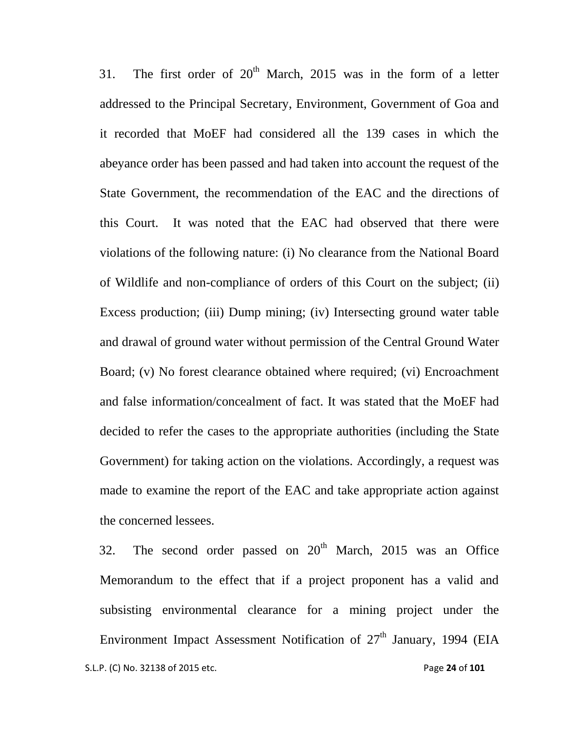31. The first order of  $20<sup>th</sup>$  March, 2015 was in the form of a letter addressed to the Principal Secretary, Environment, Government of Goa and it recorded that MoEF had considered all the 139 cases in which the abeyance order has been passed and had taken into account the request of the State Government, the recommendation of the EAC and the directions of this Court. It was noted that the EAC had observed that there were violations of the following nature: (i) No clearance from the National Board of Wildlife and non-compliance of orders of this Court on the subject; (ii) Excess production; (iii) Dump mining; (iv) Intersecting ground water table and drawal of ground water without permission of the Central Ground Water Board; (v) No forest clearance obtained where required; (vi) Encroachment and false information/concealment of fact. It was stated that the MoEF had decided to refer the cases to the appropriate authorities (including the State Government) for taking action on the violations. Accordingly, a request was made to examine the report of the EAC and take appropriate action against the concerned lessees.

 S.L.P. (C) No. 32138 of 2015 etc. Page **24** of **101** 32. The second order passed on  $20<sup>th</sup>$  March, 2015 was an Office Memorandum to the effect that if a project proponent has a valid and subsisting environmental clearance for a mining project under the Environment Impact Assessment Notification of 27<sup>th</sup> January, 1994 (EIA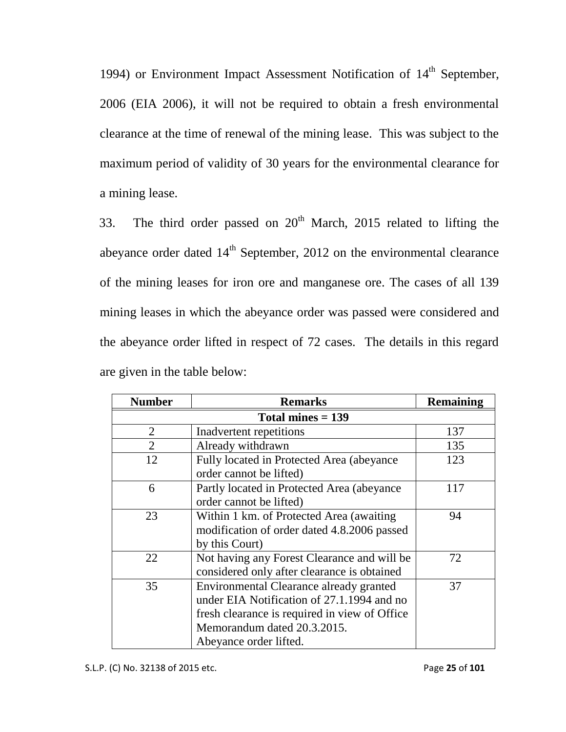1994) or Environment Impact Assessment Notification of  $14<sup>th</sup>$  September, 2006 (EIA 2006), it will not be required to obtain a fresh environmental clearance at the time of renewal of the mining lease. This was subject to the maximum period of validity of 30 years for the environmental clearance for a mining lease.

33. The third order passed on  $20<sup>th</sup>$  March, 2015 related to lifting the abeyance order dated  $14<sup>th</sup>$  September, 2012 on the environmental clearance of the mining leases for iron ore and manganese ore. The cases of all 139 mining leases in which the abeyance order was passed were considered and the abeyance order lifted in respect of 72 cases. The details in this regard are given in the table below:

| <b>Number</b>       | <b>Remarks</b>                                | <b>Remaining</b> |  |
|---------------------|-----------------------------------------------|------------------|--|
| Total mines $= 139$ |                                               |                  |  |
| $\overline{2}$      | Inadvertent repetitions                       | 137              |  |
| $\overline{2}$      | Already withdrawn                             | 135              |  |
| 12                  | Fully located in Protected Area (abeyance     | 123              |  |
|                     | order cannot be lifted)                       |                  |  |
| 6                   | Partly located in Protected Area (abeyance)   | 117              |  |
|                     | order cannot be lifted)                       |                  |  |
| 23                  | Within 1 km. of Protected Area (awaiting)     | 94               |  |
|                     | modification of order dated 4.8.2006 passed   |                  |  |
|                     | by this Court)                                |                  |  |
| 22                  | Not having any Forest Clearance and will be   | 72               |  |
|                     | considered only after clearance is obtained   |                  |  |
| 35                  | Environmental Clearance already granted       | 37               |  |
|                     | under EIA Notification of 27.1.1994 and no    |                  |  |
|                     | fresh clearance is required in view of Office |                  |  |
|                     | Memorandum dated 20.3.2015.                   |                  |  |
|                     | Abeyance order lifted.                        |                  |  |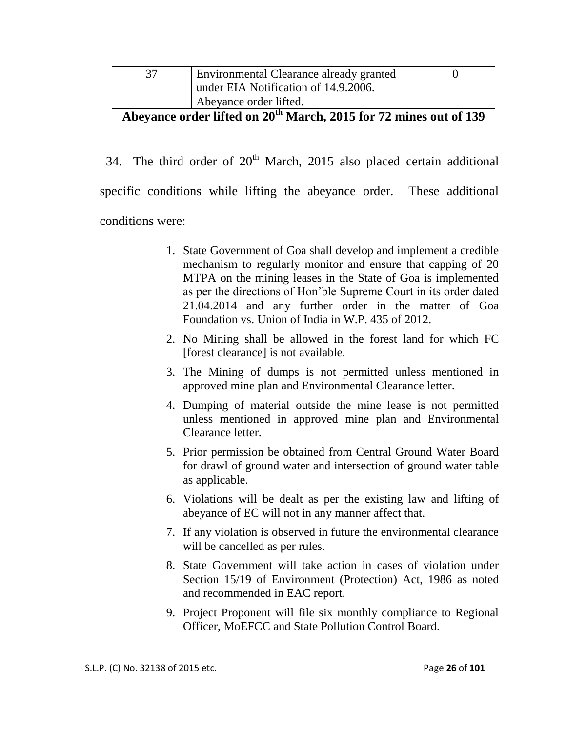|                                                                               | Environmental Clearance already granted |  |  |
|-------------------------------------------------------------------------------|-----------------------------------------|--|--|
|                                                                               | under EIA Notification of 14.9.2006.    |  |  |
|                                                                               | Abeyance order lifted.                  |  |  |
| Abevance order lifted on 20 <sup>th</sup> March, 2015 for 72 mines out of 139 |                                         |  |  |

34. The third order of  $20<sup>th</sup>$  March, 2015 also placed certain additional specific conditions while lifting the abeyance order. These additional conditions were:

- 1. State Government of Goa shall develop and implement a credible mechanism to regularly monitor and ensure that capping of 20 MTPA on the mining leases in the State of Goa is implemented as per the directions of Hon"ble Supreme Court in its order dated 21.04.2014 and any further order in the matter of Goa Foundation vs. Union of India in W.P. 435 of 2012.
- 2. No Mining shall be allowed in the forest land for which FC [forest clearance] is not available.
- 3. The Mining of dumps is not permitted unless mentioned in approved mine plan and Environmental Clearance letter.
- 4. Dumping of material outside the mine lease is not permitted unless mentioned in approved mine plan and Environmental Clearance letter.
- 5. Prior permission be obtained from Central Ground Water Board for drawl of ground water and intersection of ground water table as applicable.
- 6. Violations will be dealt as per the existing law and lifting of abeyance of EC will not in any manner affect that.
- 7. If any violation is observed in future the environmental clearance will be cancelled as per rules.
- 8. State Government will take action in cases of violation under Section 15/19 of Environment (Protection) Act, 1986 as noted and recommended in EAC report.
- 9. Project Proponent will file six monthly compliance to Regional Officer, MoEFCC and State Pollution Control Board.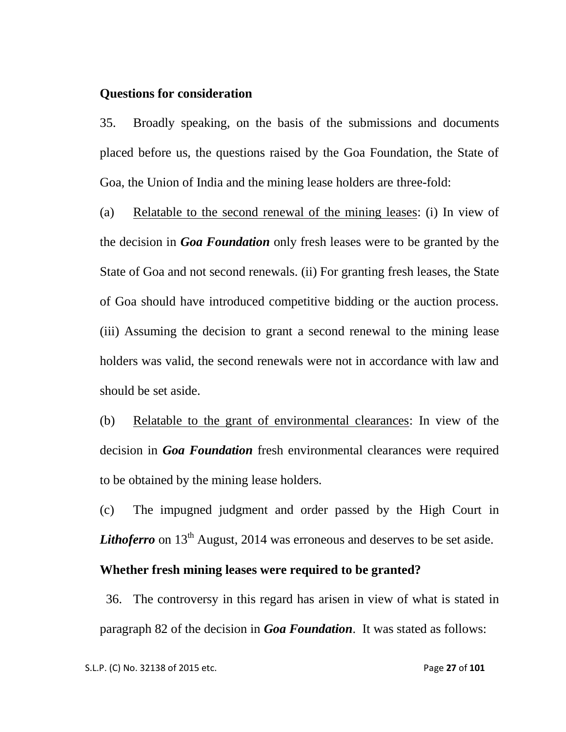#### **Questions for consideration**

35. Broadly speaking, on the basis of the submissions and documents placed before us, the questions raised by the Goa Foundation, the State of Goa, the Union of India and the mining lease holders are three-fold:

(a) Relatable to the second renewal of the mining leases: (i) In view of the decision in *Goa Foundation* only fresh leases were to be granted by the State of Goa and not second renewals. (ii) For granting fresh leases, the State of Goa should have introduced competitive bidding or the auction process. (iii) Assuming the decision to grant a second renewal to the mining lease holders was valid, the second renewals were not in accordance with law and should be set aside.

(b) Relatable to the grant of environmental clearances: In view of the decision in *Goa Foundation* fresh environmental clearances were required to be obtained by the mining lease holders.

(c) The impugned judgment and order passed by the High Court in *Lithoferro* on  $13<sup>th</sup>$  August, 2014 was erroneous and deserves to be set aside.

### **Whether fresh mining leases were required to be granted?**

36. The controversy in this regard has arisen in view of what is stated in paragraph 82 of the decision in *Goa Foundation*. It was stated as follows: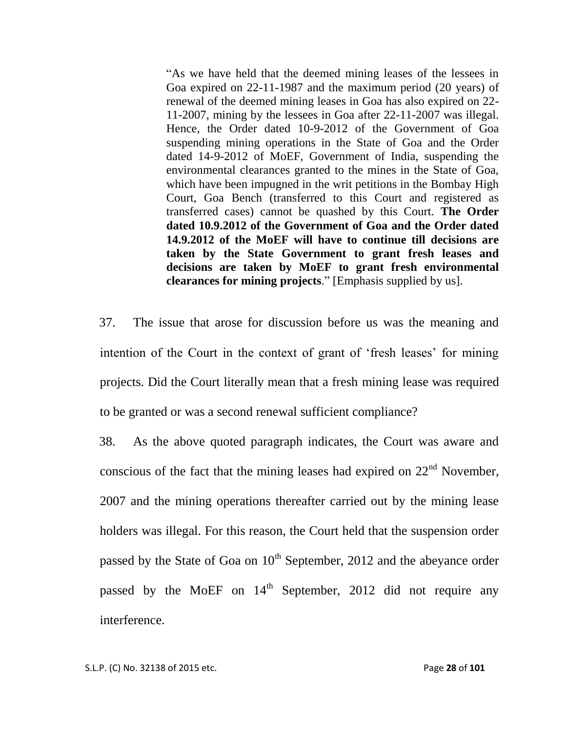"As we have held that the deemed mining leases of the lessees in Goa expired on 22-11-1987 and the maximum period (20 years) of renewal of the deemed mining leases in Goa has also expired on 22- 11-2007, mining by the lessees in Goa after 22-11-2007 was illegal. Hence, the Order dated 10-9-2012 of the Government of Goa suspending mining operations in the State of Goa and the Order dated 14-9-2012 of MoEF, Government of India, suspending the environmental clearances granted to the mines in the State of Goa, which have been impugned in the writ petitions in the Bombay High Court, Goa Bench (transferred to this Court and registered as transferred cases) cannot be quashed by this Court. **The Order dated 10.9.2012 of the Government of Goa and the Order dated 14.9.2012 of the MoEF will have to continue till decisions are taken by the State Government to grant fresh leases and decisions are taken by MoEF to grant fresh environmental clearances for mining projects**." [Emphasis supplied by us].

37. The issue that arose for discussion before us was the meaning and intention of the Court in the context of grant of 'fresh leases' for mining projects. Did the Court literally mean that a fresh mining lease was required to be granted or was a second renewal sufficient compliance?

38. As the above quoted paragraph indicates, the Court was aware and conscious of the fact that the mining leases had expired on  $22<sup>nd</sup>$  November, 2007 and the mining operations thereafter carried out by the mining lease holders was illegal. For this reason, the Court held that the suspension order passed by the State of Goa on  $10<sup>th</sup>$  September, 2012 and the abeyance order passed by the MoEF on  $14<sup>th</sup>$  September, 2012 did not require any interference.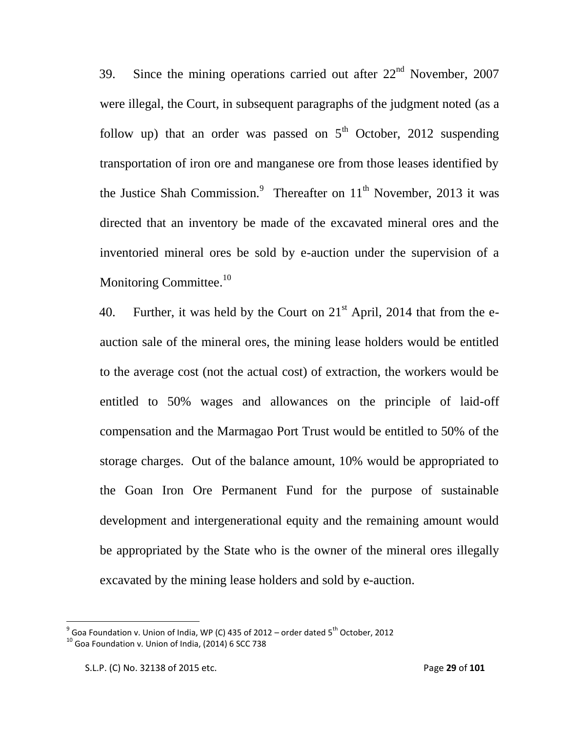39. Since the mining operations carried out after  $22<sup>nd</sup>$  November, 2007 were illegal, the Court, in subsequent paragraphs of the judgment noted (as a follow up) that an order was passed on  $5<sup>th</sup>$  October, 2012 suspending transportation of iron ore and manganese ore from those leases identified by the Justice Shah Commission.<sup>9</sup> Thereafter on  $11<sup>th</sup>$  November, 2013 it was directed that an inventory be made of the excavated mineral ores and the inventoried mineral ores be sold by e-auction under the supervision of a Monitoring Committee.<sup>10</sup>

40. Further, it was held by the Court on  $21<sup>st</sup>$  April, 2014 that from the eauction sale of the mineral ores, the mining lease holders would be entitled to the average cost (not the actual cost) of extraction, the workers would be entitled to 50% wages and allowances on the principle of laid-off compensation and the Marmagao Port Trust would be entitled to 50% of the storage charges. Out of the balance amount, 10% would be appropriated to the Goan Iron Ore Permanent Fund for the purpose of sustainable development and intergenerational equity and the remaining amount would be appropriated by the State who is the owner of the mineral ores illegally excavated by the mining lease holders and sold by e-auction.

 9 Goa Foundation v. Union of India, WP (C) 435 of 2012 – order dated 5th October, 2012

 $10$  Goa Foundation v. Union of India, (2014) 6 SCC 738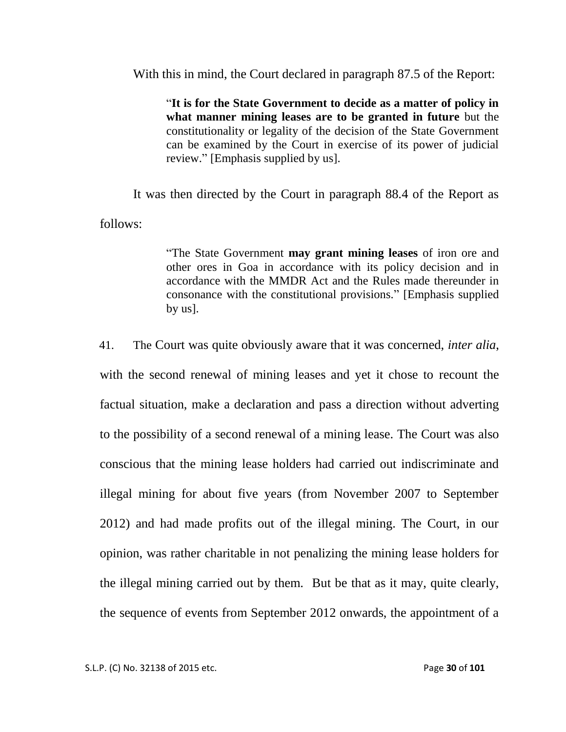With this in mind, the Court declared in paragraph 87.5 of the Report:

"**It is for the State Government to decide as a matter of policy in what manner mining leases are to be granted in future** but the constitutionality or legality of the decision of the State Government can be examined by the Court in exercise of its power of judicial review." [Emphasis supplied by us].

It was then directed by the Court in paragraph 88.4 of the Report as follows:

> "The State Government **may grant mining leases** of iron ore and other ores in Goa in accordance with its policy decision and in accordance with the MMDR Act and the Rules made thereunder in consonance with the constitutional provisions." [Emphasis supplied by us].

41. The Court was quite obviously aware that it was concerned, *inter alia*, with the second renewal of mining leases and yet it chose to recount the factual situation, make a declaration and pass a direction without adverting to the possibility of a second renewal of a mining lease. The Court was also conscious that the mining lease holders had carried out indiscriminate and illegal mining for about five years (from November 2007 to September 2012) and had made profits out of the illegal mining. The Court, in our opinion, was rather charitable in not penalizing the mining lease holders for the illegal mining carried out by them. But be that as it may, quite clearly, the sequence of events from September 2012 onwards, the appointment of a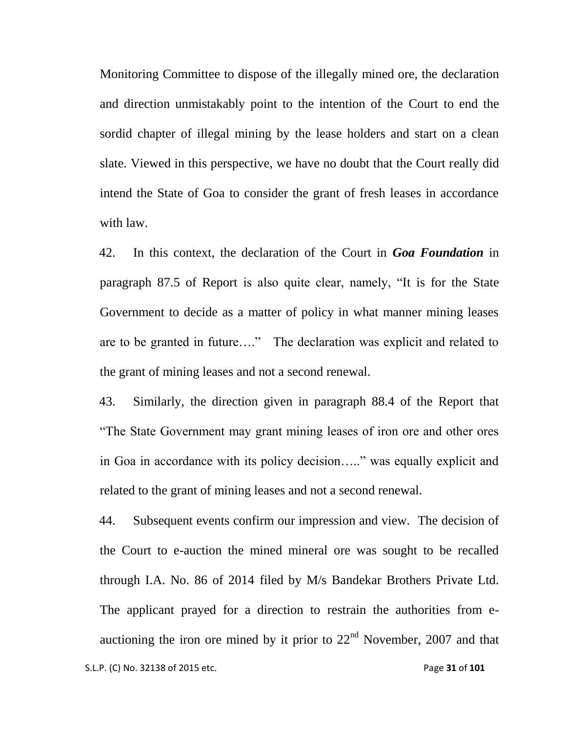Monitoring Committee to dispose of the illegally mined ore, the declaration and direction unmistakably point to the intention of the Court to end the sordid chapter of illegal mining by the lease holders and start on a clean slate. Viewed in this perspective, we have no doubt that the Court really did intend the State of Goa to consider the grant of fresh leases in accordance with law.

42. In this context, the declaration of the Court in *Goa Foundation* in paragraph 87.5 of Report is also quite clear, namely, "It is for the State Government to decide as a matter of policy in what manner mining leases are to be granted in future…." The declaration was explicit and related to the grant of mining leases and not a second renewal.

43. Similarly, the direction given in paragraph 88.4 of the Report that "The State Government may grant mining leases of iron ore and other ores in Goa in accordance with its policy decision….." was equally explicit and related to the grant of mining leases and not a second renewal.

 S.L.P. (C) No. 32138 of 2015 etc. Page **31** of **101** 44. Subsequent events confirm our impression and view. The decision of the Court to e-auction the mined mineral ore was sought to be recalled through I.A. No. 86 of 2014 filed by M/s Bandekar Brothers Private Ltd. The applicant prayed for a direction to restrain the authorities from eauctioning the iron ore mined by it prior to  $22<sup>nd</sup>$  November, 2007 and that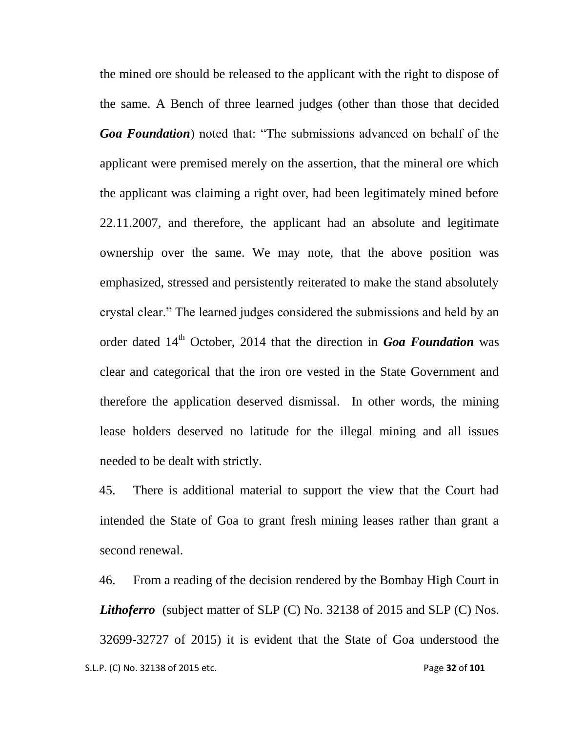the mined ore should be released to the applicant with the right to dispose of the same. A Bench of three learned judges (other than those that decided *Goa Foundation*) noted that: "The submissions advanced on behalf of the applicant were premised merely on the assertion, that the mineral ore which the applicant was claiming a right over, had been legitimately mined before 22.11.2007, and therefore, the applicant had an absolute and legitimate ownership over the same. We may note, that the above position was emphasized, stressed and persistently reiterated to make the stand absolutely crystal clear." The learned judges considered the submissions and held by an order dated 14<sup>th</sup> October, 2014 that the direction in *Goa Foundation* was clear and categorical that the iron ore vested in the State Government and therefore the application deserved dismissal. In other words, the mining lease holders deserved no latitude for the illegal mining and all issues needed to be dealt with strictly.

45. There is additional material to support the view that the Court had intended the State of Goa to grant fresh mining leases rather than grant a second renewal.

 S.L.P. (C) No. 32138 of 2015 etc. Page **32** of **101** 46. From a reading of the decision rendered by the Bombay High Court in *Lithoferro* (subject matter of SLP (C) No. 32138 of 2015 and SLP (C) Nos. 32699-32727 of 2015) it is evident that the State of Goa understood the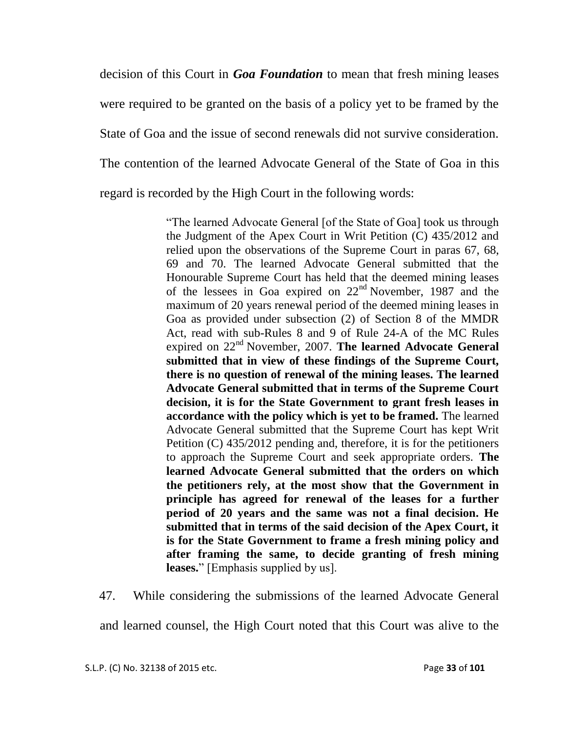decision of this Court in *Goa Foundation* to mean that fresh mining leases were required to be granted on the basis of a policy yet to be framed by the State of Goa and the issue of second renewals did not survive consideration. The contention of the learned Advocate General of the State of Goa in this regard is recorded by the High Court in the following words:

> "The learned Advocate General [of the State of Goa] took us through the Judgment of the Apex Court in Writ Petition (C) 435/2012 and relied upon the observations of the Supreme Court in paras 67, 68, 69 and 70. The learned Advocate General submitted that the Honourable Supreme Court has held that the deemed mining leases of the lessees in Goa expired on 22nd November, 1987 and the maximum of 20 years renewal period of the deemed mining leases in Goa as provided under subsection (2) of Section 8 of the MMDR Act, read with sub-Rules 8 and 9 of Rule 24-A of the MC Rules expired on 22nd November, 2007. **The learned Advocate General submitted that in view of these findings of the Supreme Court, there is no question of renewal of the mining leases. The learned Advocate General submitted that in terms of the Supreme Court decision, it is for the State Government to grant fresh leases in accordance with the policy which is yet to be framed.** The learned Advocate General submitted that the Supreme Court has kept Writ Petition (C) 435/2012 pending and, therefore, it is for the petitioners to approach the Supreme Court and seek appropriate orders. **The learned Advocate General submitted that the orders on which the petitioners rely, at the most show that the Government in principle has agreed for renewal of the leases for a further period of 20 years and the same was not a final decision. He submitted that in terms of the said decision of the Apex Court, it is for the State Government to frame a fresh mining policy and after framing the same, to decide granting of fresh mining leases.**" [Emphasis supplied by us].

47. While considering the submissions of the learned Advocate General

and learned counsel, the High Court noted that this Court was alive to the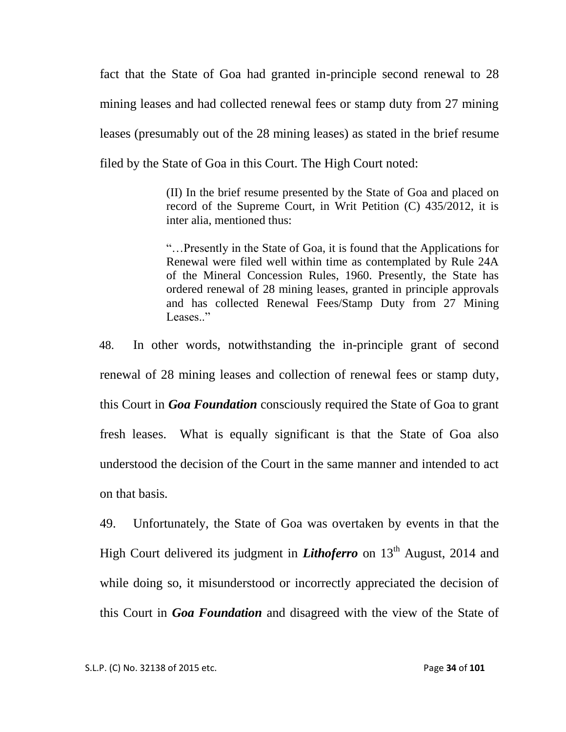fact that the State of Goa had granted in-principle second renewal to 28 mining leases and had collected renewal fees or stamp duty from 27 mining leases (presumably out of the 28 mining leases) as stated in the brief resume filed by the State of Goa in this Court. The High Court noted:

> (II) In the brief resume presented by the State of Goa and placed on record of the Supreme Court, in Writ Petition (C) 435/2012, it is inter alia, mentioned thus:

> "…Presently in the State of Goa, it is found that the Applications for Renewal were filed well within time as contemplated by Rule 24A of the Mineral Concession Rules, 1960. Presently, the State has ordered renewal of 28 mining leases, granted in principle approvals and has collected Renewal Fees/Stamp Duty from 27 Mining Leases."

48. In other words, notwithstanding the in-principle grant of second renewal of 28 mining leases and collection of renewal fees or stamp duty, this Court in *Goa Foundation* consciously required the State of Goa to grant fresh leases. What is equally significant is that the State of Goa also understood the decision of the Court in the same manner and intended to act on that basis.

49. Unfortunately, the State of Goa was overtaken by events in that the High Court delivered its judgment in *Lithoferro* on 13<sup>th</sup> August, 2014 and while doing so, it misunderstood or incorrectly appreciated the decision of this Court in *Goa Foundation* and disagreed with the view of the State of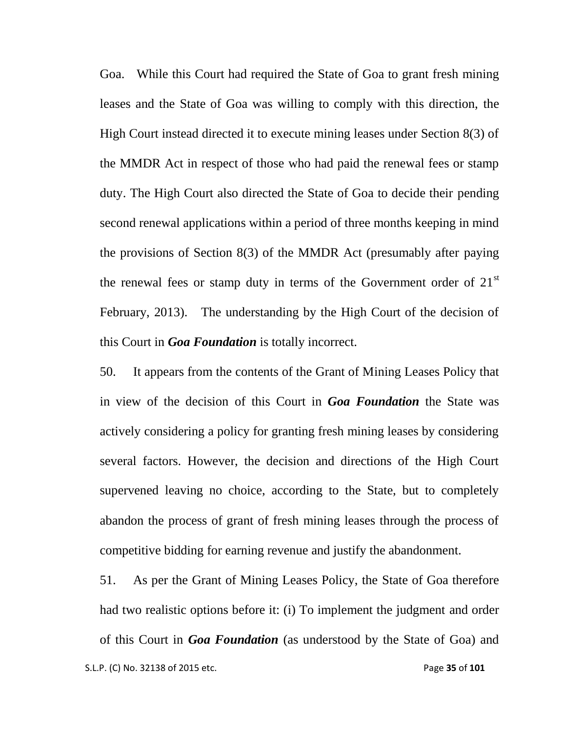Goa. While this Court had required the State of Goa to grant fresh mining leases and the State of Goa was willing to comply with this direction, the High Court instead directed it to execute mining leases under Section 8(3) of the MMDR Act in respect of those who had paid the renewal fees or stamp duty. The High Court also directed the State of Goa to decide their pending second renewal applications within a period of three months keeping in mind the provisions of Section 8(3) of the MMDR Act (presumably after paying the renewal fees or stamp duty in terms of the Government order of  $21<sup>st</sup>$ February, 2013). The understanding by the High Court of the decision of this Court in *Goa Foundation* is totally incorrect.

50. It appears from the contents of the Grant of Mining Leases Policy that in view of the decision of this Court in *Goa Foundation* the State was actively considering a policy for granting fresh mining leases by considering several factors. However, the decision and directions of the High Court supervened leaving no choice, according to the State, but to completely abandon the process of grant of fresh mining leases through the process of competitive bidding for earning revenue and justify the abandonment.

 S.L.P. (C) No. 32138 of 2015 etc. Page **35** of **101** 51. As per the Grant of Mining Leases Policy, the State of Goa therefore had two realistic options before it: (i) To implement the judgment and order of this Court in *Goa Foundation* (as understood by the State of Goa) and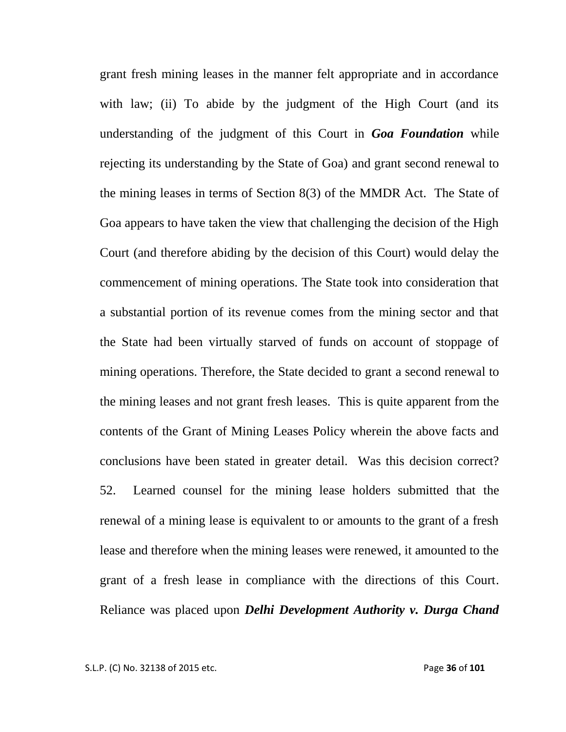grant fresh mining leases in the manner felt appropriate and in accordance with law; (ii) To abide by the judgment of the High Court (and its understanding of the judgment of this Court in *Goa Foundation* while rejecting its understanding by the State of Goa) and grant second renewal to the mining leases in terms of Section 8(3) of the MMDR Act. The State of Goa appears to have taken the view that challenging the decision of the High Court (and therefore abiding by the decision of this Court) would delay the commencement of mining operations. The State took into consideration that a substantial portion of its revenue comes from the mining sector and that the State had been virtually starved of funds on account of stoppage of mining operations. Therefore, the State decided to grant a second renewal to the mining leases and not grant fresh leases. This is quite apparent from the contents of the Grant of Mining Leases Policy wherein the above facts and conclusions have been stated in greater detail. Was this decision correct? 52. Learned counsel for the mining lease holders submitted that the renewal of a mining lease is equivalent to or amounts to the grant of a fresh lease and therefore when the mining leases were renewed, it amounted to the grant of a fresh lease in compliance with the directions of this Court. Reliance was placed upon *Delhi Development Authority v. Durga Chand*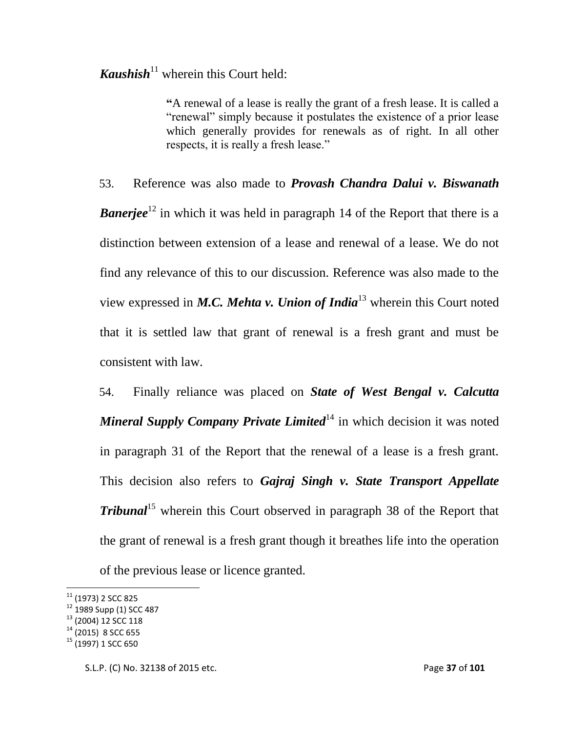**Kaushish**<sup>11</sup> wherein this Court held:

**"**A renewal of a lease is really the grant of a fresh lease. It is called a "renewal" simply because it postulates the existence of a prior lease which generally provides for renewals as of right. In all other respects, it is really a fresh lease."

53. Reference was also made to *Provash Chandra Dalui v. Biswanath Banerjee*<sup>12</sup> in which it was held in paragraph 14 of the Report that there is a distinction between extension of a lease and renewal of a lease. We do not find any relevance of this to our discussion. Reference was also made to the view expressed in *M.C. Mehta v. Union of India*<sup>13</sup> wherein this Court noted that it is settled law that grant of renewal is a fresh grant and must be consistent with law.

54. Finally reliance was placed on *State of West Bengal v. Calcutta Mineral Supply Company Private Limited*<sup>14</sup> in which decision it was noted in paragraph 31 of the Report that the renewal of a lease is a fresh grant. This decision also refers to *Gajraj Singh v. State Transport Appellate Tribunal*<sup>15</sup> wherein this Court observed in paragraph 38 of the Report that the grant of renewal is a fresh grant though it breathes life into the operation of the previous lease or licence granted.

l

 $^{11}$  (1973) 2 SCC 825

<sup>&</sup>lt;sup>12</sup> 1989 Supp (1) SCC 487

<sup>13</sup> (2004) 12 SCC 118

 $14$  (2015) 8 SCC 655

<sup>&</sup>lt;sup>15</sup> (1997) 1 SCC 650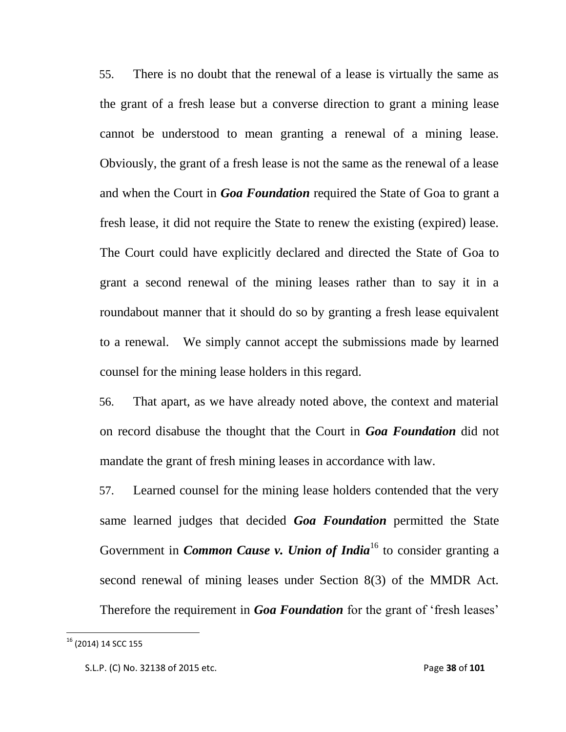55. There is no doubt that the renewal of a lease is virtually the same as the grant of a fresh lease but a converse direction to grant a mining lease cannot be understood to mean granting a renewal of a mining lease. Obviously, the grant of a fresh lease is not the same as the renewal of a lease and when the Court in *Goa Foundation* required the State of Goa to grant a fresh lease, it did not require the State to renew the existing (expired) lease. The Court could have explicitly declared and directed the State of Goa to grant a second renewal of the mining leases rather than to say it in a roundabout manner that it should do so by granting a fresh lease equivalent to a renewal. We simply cannot accept the submissions made by learned counsel for the mining lease holders in this regard.

56. That apart, as we have already noted above, the context and material on record disabuse the thought that the Court in *Goa Foundation* did not mandate the grant of fresh mining leases in accordance with law.

57. Learned counsel for the mining lease holders contended that the very same learned judges that decided *Goa Foundation* permitted the State Government in *Common Cause v. Union of India*<sup>16</sup> to consider granting a second renewal of mining leases under Section 8(3) of the MMDR Act. Therefore the requirement in *Goa Foundation* for the grant of 'fresh leases'

 $^{16}$  (2014) 14 SCC 155

S.L.P. (C) No. 32138 of 2015 etc. Page **38** of **101**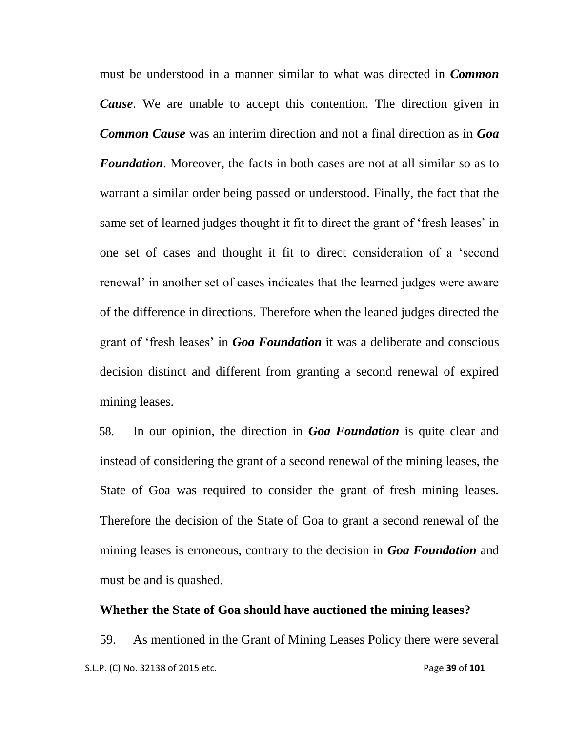must be understood in a manner similar to what was directed in *Common Cause*. We are unable to accept this contention. The direction given in *Common Cause* was an interim direction and not a final direction as in *Goa Foundation*. Moreover, the facts in both cases are not at all similar so as to warrant a similar order being passed or understood. Finally, the fact that the same set of learned judges thought it fit to direct the grant of 'fresh leases' in one set of cases and thought it fit to direct consideration of a "second renewal' in another set of cases indicates that the learned judges were aware of the difference in directions. Therefore when the leaned judges directed the grant of "fresh leases" in *Goa Foundation* it was a deliberate and conscious decision distinct and different from granting a second renewal of expired mining leases.

58. In our opinion, the direction in *Goa Foundation* is quite clear and instead of considering the grant of a second renewal of the mining leases, the State of Goa was required to consider the grant of fresh mining leases. Therefore the decision of the State of Goa to grant a second renewal of the mining leases is erroneous, contrary to the decision in *Goa Foundation* and must be and is quashed.

#### **Whether the State of Goa should have auctioned the mining leases?**

 S.L.P. (C) No. 32138 of 2015 etc. Page **39** of **101** 59. As mentioned in the Grant of Mining Leases Policy there were several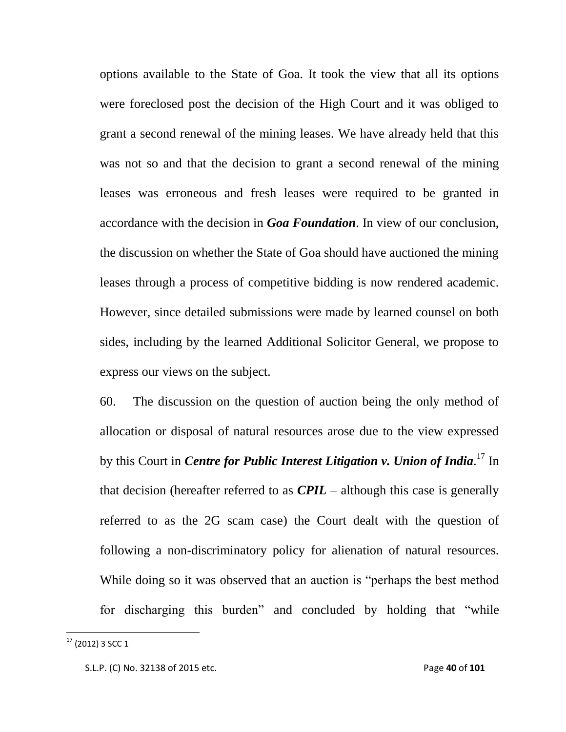options available to the State of Goa. It took the view that all its options were foreclosed post the decision of the High Court and it was obliged to grant a second renewal of the mining leases. We have already held that this was not so and that the decision to grant a second renewal of the mining leases was erroneous and fresh leases were required to be granted in accordance with the decision in *Goa Foundation*. In view of our conclusion, the discussion on whether the State of Goa should have auctioned the mining leases through a process of competitive bidding is now rendered academic. However, since detailed submissions were made by learned counsel on both sides, including by the learned Additional Solicitor General, we propose to express our views on the subject.

60. The discussion on the question of auction being the only method of allocation or disposal of natural resources arose due to the view expressed by this Court in *Centre for Public Interest Litigation v. Union of India*. <sup>17</sup> In that decision (hereafter referred to as *CPIL* – although this case is generally referred to as the 2G scam case) the Court dealt with the question of following a non-discriminatory policy for alienation of natural resources. While doing so it was observed that an auction is "perhaps the best method for discharging this burden" and concluded by holding that "while

 $^{17}$  (2012) 3 SCC 1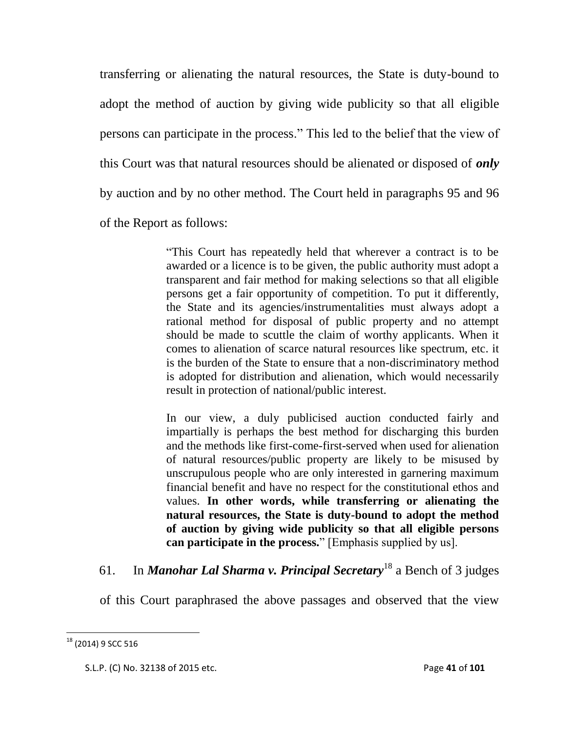transferring or alienating the natural resources, the State is duty-bound to adopt the method of auction by giving wide publicity so that all eligible persons can participate in the process." This led to the belief that the view of this Court was that natural resources should be alienated or disposed of *only*  by auction and by no other method. The Court held in paragraphs 95 and 96 of the Report as follows:

> "This Court has repeatedly held that wherever a contract is to be awarded or a licence is to be given, the public authority must adopt a transparent and fair method for making selections so that all eligible persons get a fair opportunity of competition. To put it differently, the State and its agencies/instrumentalities must always adopt a rational method for disposal of public property and no attempt should be made to scuttle the claim of worthy applicants. When it comes to alienation of scarce natural resources like spectrum, etc. it is the burden of the State to ensure that a non-discriminatory method is adopted for distribution and alienation, which would necessarily result in protection of national/public interest.

> In our view, a duly publicised auction conducted fairly and impartially is perhaps the best method for discharging this burden and the methods like first-come-first-served when used for alienation of natural resources/public property are likely to be misused by unscrupulous people who are only interested in garnering maximum financial benefit and have no respect for the constitutional ethos and values. **In other words, while transferring or alienating the natural resources, the State is duty-bound to adopt the method of auction by giving wide publicity so that all eligible persons can participate in the process.**" [Emphasis supplied by us].

# 61. In *Manohar Lal Sharma v. Principal Secretary*<sup>18</sup> a Bench of 3 judges

of this Court paraphrased the above passages and observed that the view

 $^{18}$  (2014) 9 SCC 516

S.L.P. (C) No. 32138 of 2015 etc. Page **41** of **101**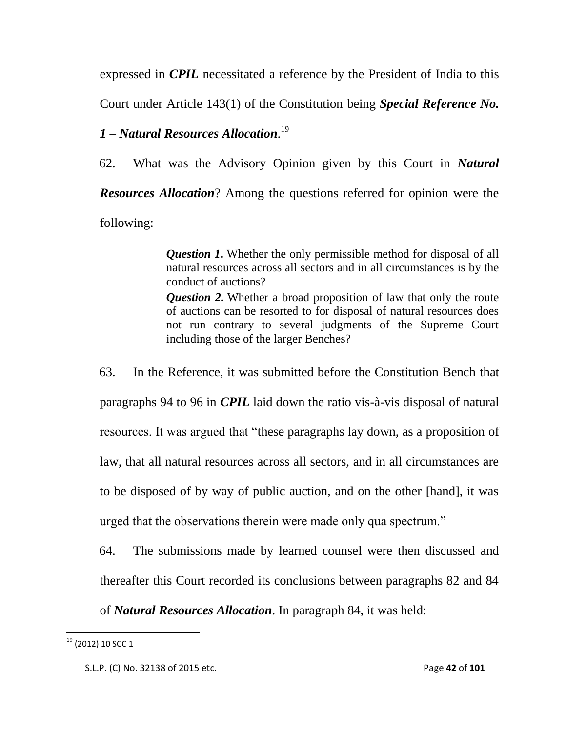expressed in *CPIL* necessitated a reference by the President of India to this

Court under Article 143(1) of the Constitution being *Special Reference No.* 

# *1 – Natural Resources Allocation*. 19

62. What was the Advisory Opinion given by this Court in *Natural Resources Allocation*? Among the questions referred for opinion were the following:

> *Question 1***.** Whether the only permissible method for disposal of all natural resources across all sectors and in all circumstances is by the conduct of auctions?

> *Question 2.* Whether a broad proposition of law that only the route of auctions can be resorted to for disposal of natural resources does not run contrary to several judgments of the Supreme Court including those of the larger Benches?

63. In the Reference, it was submitted before the Constitution Bench that paragraphs 94 to 96 in *CPIL* laid down the ratio vis-à-vis disposal of natural resources. It was argued that "these paragraphs lay down, as a proposition of law, that all natural resources across all sectors, and in all circumstances are to be disposed of by way of public auction, and on the other [hand], it was urged that the observations therein were made only qua spectrum."

64. The submissions made by learned counsel were then discussed and thereafter this Court recorded its conclusions between paragraphs 82 and 84

of *Natural Resources Allocation*. In paragraph 84, it was held:

 $^{19}$  (2012) 10 SCC 1

S.L.P. (C) No. 32138 of 2015 etc. Page **42** of **101**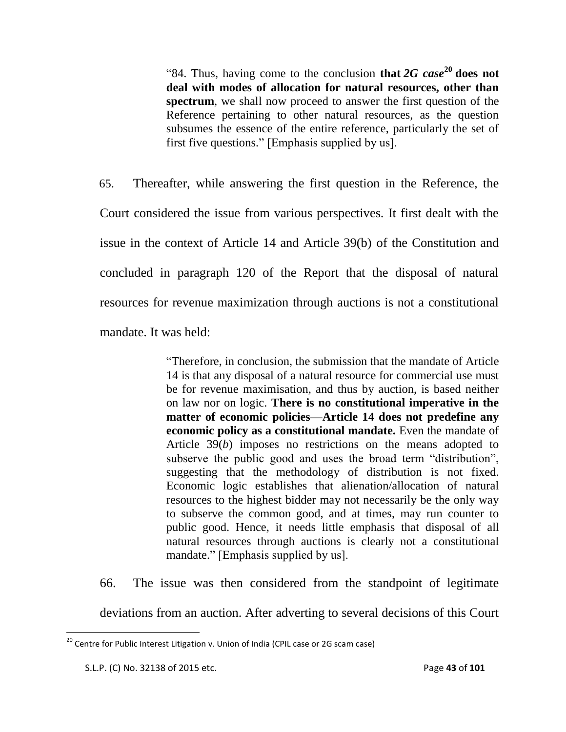"84. Thus, having come to the conclusion **that**  $2G$  case<sup>20</sup> does not **deal with modes of allocation for natural resources, other than spectrum**, we shall now proceed to answer the first question of the Reference pertaining to other natural resources, as the question subsumes the essence of the entire reference, particularly the set of first five questions." [Emphasis supplied by us].

65. Thereafter, while answering the first question in the Reference, the Court considered the issue from various perspectives. It first dealt with the issue in the context of Article 14 and Article 39(b) of the Constitution and concluded in paragraph 120 of the Report that the disposal of natural resources for revenue maximization through auctions is not a constitutional mandate. It was held:

> "Therefore, in conclusion, the submission that the mandate of Article 14 is that any disposal of a natural resource for commercial use must be for revenue maximisation, and thus by auction, is based neither on law nor on logic. **There is no constitutional imperative in the matter of economic policies—Article 14 does not predefine any economic policy as a constitutional mandate.** Even the mandate of Article 39(*b*) imposes no restrictions on the means adopted to subserve the public good and uses the broad term "distribution", suggesting that the methodology of distribution is not fixed. Economic logic establishes that alienation/allocation of natural resources to the highest bidder may not necessarily be the only way to subserve the common good, and at times, may run counter to public good. Hence, it needs little emphasis that disposal of all natural resources through auctions is clearly not a constitutional mandate." [Emphasis supplied by us].

66. The issue was then considered from the standpoint of legitimate

deviations from an auction. After adverting to several decisions of this Court

 $^{20}$  Centre for Public Interest Litigation v. Union of India (CPIL case or 2G scam case)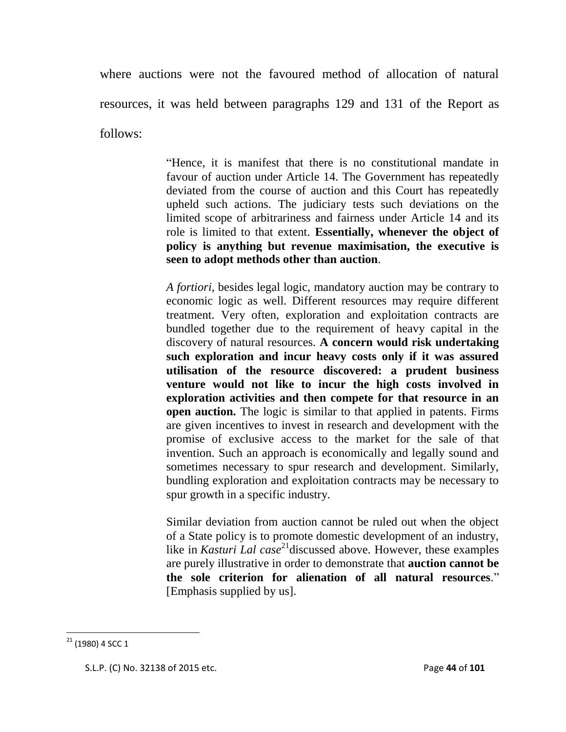where auctions were not the favoured method of allocation of natural resources, it was held between paragraphs 129 and 131 of the Report as follows:

> "Hence, it is manifest that there is no constitutional mandate in favour of auction under Article 14. The Government has repeatedly deviated from the course of auction and this Court has repeatedly upheld such actions. The judiciary tests such deviations on the limited scope of arbitrariness and fairness under Article 14 and its role is limited to that extent. **Essentially, whenever the object of policy is anything but revenue maximisation, the executive is seen to adopt methods other than auction**.

> *A fortiori*, besides legal logic, mandatory auction may be contrary to economic logic as well. Different resources may require different treatment. Very often, exploration and exploitation contracts are bundled together due to the requirement of heavy capital in the discovery of natural resources. **A concern would risk undertaking such exploration and incur heavy costs only if it was assured utilisation of the resource discovered: a prudent business venture would not like to incur the high costs involved in exploration activities and then compete for that resource in an open auction.** The logic is similar to that applied in patents. Firms are given incentives to invest in research and development with the promise of exclusive access to the market for the sale of that invention. Such an approach is economically and legally sound and sometimes necessary to spur research and development. Similarly, bundling exploration and exploitation contracts may be necessary to spur growth in a specific industry.

> Similar deviation from auction cannot be ruled out when the object of a State policy is to promote domestic development of an industry, like in *Kasturi Lal case*<sup>21</sup> discussed above. However, these examples are purely illustrative in order to demonstrate that **auction cannot be the sole criterion for alienation of all natural resources**." [Emphasis supplied by us].

 $21$  (1980) 4 SCC 1

S.L.P. (C) No. 32138 of 2015 etc. Page **44** of **101**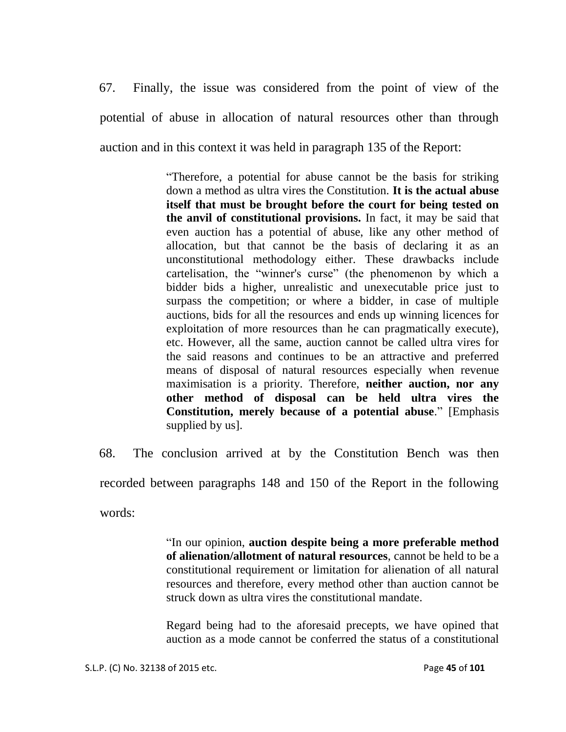67. Finally, the issue was considered from the point of view of the potential of abuse in allocation of natural resources other than through auction and in this context it was held in paragraph 135 of the Report:

> "Therefore, a potential for abuse cannot be the basis for striking down a method as ultra vires the Constitution. **It is the actual abuse itself that must be brought before the court for being tested on the anvil of constitutional provisions.** In fact, it may be said that even auction has a potential of abuse, like any other method of allocation, but that cannot be the basis of declaring it as an unconstitutional methodology either. These drawbacks include cartelisation, the "winner's curse" (the phenomenon by which a bidder bids a higher, unrealistic and unexecutable price just to surpass the competition; or where a bidder, in case of multiple auctions, bids for all the resources and ends up winning licences for exploitation of more resources than he can pragmatically execute), etc. However, all the same, auction cannot be called ultra vires for the said reasons and continues to be an attractive and preferred means of disposal of natural resources especially when revenue maximisation is a priority. Therefore, **neither auction, nor any other method of disposal can be held ultra vires the Constitution, merely because of a potential abuse**." [Emphasis supplied by us].

68. The conclusion arrived at by the Constitution Bench was then recorded between paragraphs 148 and 150 of the Report in the following words:

> "In our opinion, **auction despite being a more preferable method of alienation/allotment of natural resources**, cannot be held to be a constitutional requirement or limitation for alienation of all natural resources and therefore, every method other than auction cannot be struck down as ultra vires the constitutional mandate.

> Regard being had to the aforesaid precepts, we have opined that auction as a mode cannot be conferred the status of a constitutional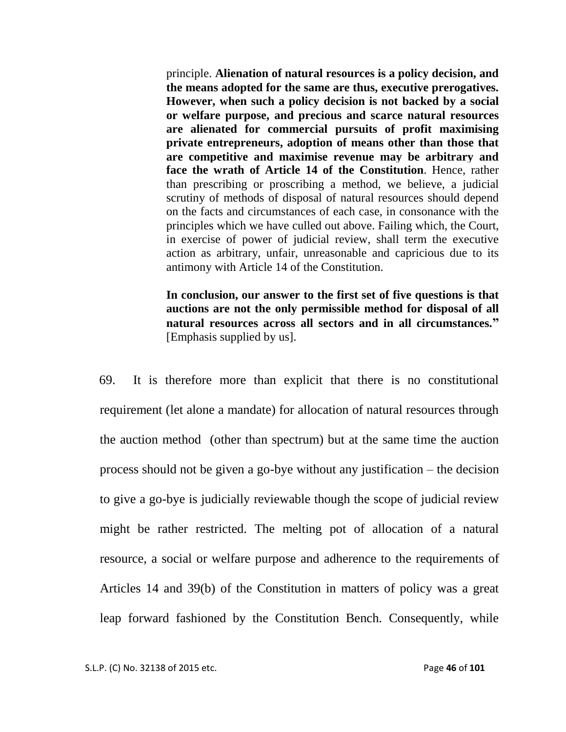principle. **Alienation of natural resources is a policy decision, and the means adopted for the same are thus, executive prerogatives. However, when such a policy decision is not backed by a social or welfare purpose, and precious and scarce natural resources are alienated for commercial pursuits of profit maximising private entrepreneurs, adoption of means other than those that are competitive and maximise revenue may be arbitrary and face the wrath of Article 14 of the Constitution**. Hence, rather than prescribing or proscribing a method, we believe, a judicial scrutiny of methods of disposal of natural resources should depend on the facts and circumstances of each case, in consonance with the principles which we have culled out above. Failing which, the Court, in exercise of power of judicial review, shall term the executive action as arbitrary, unfair, unreasonable and capricious due to its antimony with Article 14 of the Constitution.

**In conclusion, our answer to the first set of five questions is that auctions are not the only permissible method for disposal of all natural resources across all sectors and in all circumstances."**  [Emphasis supplied by us].

69. It is therefore more than explicit that there is no constitutional requirement (let alone a mandate) for allocation of natural resources through the auction method (other than spectrum) but at the same time the auction process should not be given a go-bye without any justification – the decision to give a go-bye is judicially reviewable though the scope of judicial review might be rather restricted. The melting pot of allocation of a natural resource, a social or welfare purpose and adherence to the requirements of Articles 14 and 39(b) of the Constitution in matters of policy was a great leap forward fashioned by the Constitution Bench. Consequently, while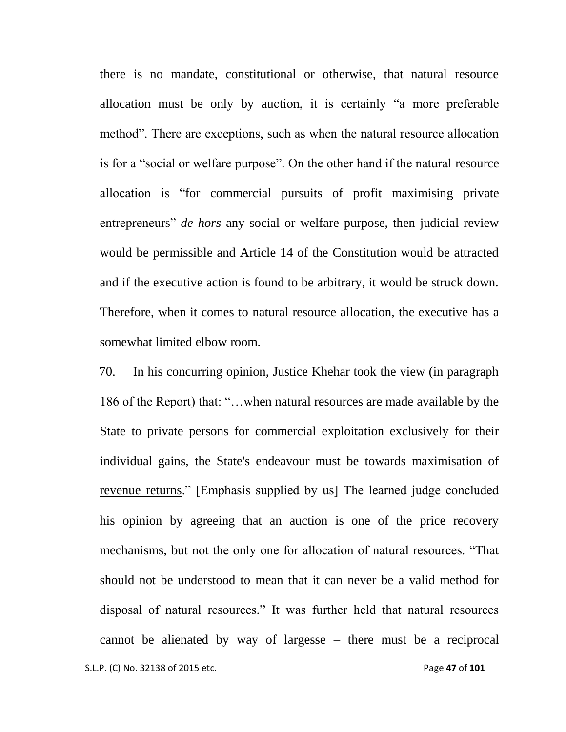there is no mandate, constitutional or otherwise, that natural resource allocation must be only by auction, it is certainly "a more preferable method". There are exceptions, such as when the natural resource allocation is for a "social or welfare purpose". On the other hand if the natural resource allocation is "for commercial pursuits of profit maximising private entrepreneurs" *de hors* any social or welfare purpose, then judicial review would be permissible and Article 14 of the Constitution would be attracted and if the executive action is found to be arbitrary, it would be struck down. Therefore, when it comes to natural resource allocation, the executive has a somewhat limited elbow room.

 S.L.P. (C) No. 32138 of 2015 etc. Page **47** of **101** 70. In his concurring opinion, Justice Khehar took the view (in paragraph 186 of the Report) that: "…when natural resources are made available by the State to private persons for commercial exploitation exclusively for their individual gains, the State's endeavour must be towards maximisation of revenue returns." [Emphasis supplied by us] The learned judge concluded his opinion by agreeing that an auction is one of the price recovery mechanisms, but not the only one for allocation of natural resources. "That should not be understood to mean that it can never be a valid method for disposal of natural resources." It was further held that natural resources cannot be alienated by way of largesse – there must be a reciprocal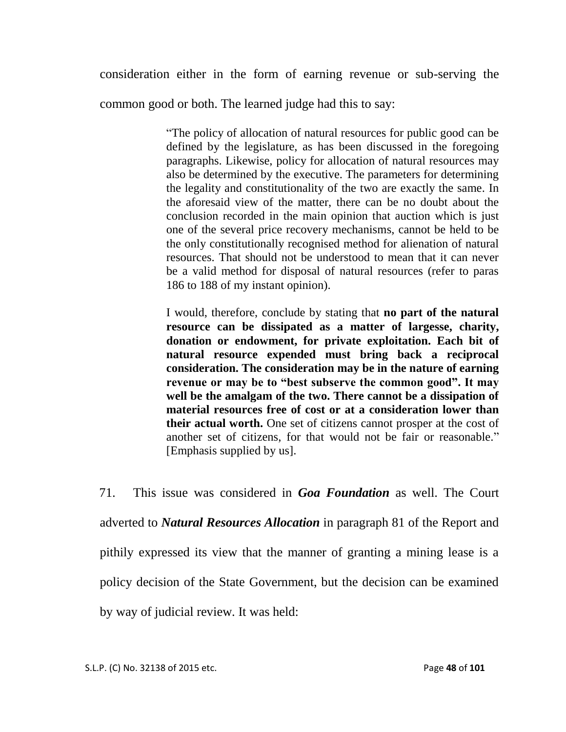consideration either in the form of earning revenue or sub-serving the

common good or both. The learned judge had this to say:

"The policy of allocation of natural resources for public good can be defined by the legislature, as has been discussed in the foregoing paragraphs. Likewise, policy for allocation of natural resources may also be determined by the executive. The parameters for determining the legality and constitutionality of the two are exactly the same. In the aforesaid view of the matter, there can be no doubt about the conclusion recorded in the main opinion that auction which is just one of the several price recovery mechanisms, cannot be held to be the only constitutionally recognised method for alienation of natural resources. That should not be understood to mean that it can never be a valid method for disposal of natural resources (refer to paras 186 to 188 of my instant opinion).

I would, therefore, conclude by stating that **no part of the natural resource can be dissipated as a matter of largesse, charity, donation or endowment, for private exploitation. Each bit of natural resource expended must bring back a reciprocal consideration. The consideration may be in the nature of earning revenue or may be to "best subserve the common good". It may well be the amalgam of the two. There cannot be a dissipation of material resources free of cost or at a consideration lower than their actual worth.** One set of citizens cannot prosper at the cost of another set of citizens, for that would not be fair or reasonable." [Emphasis supplied by us].

71. This issue was considered in *Goa Foundation* as well. The Court adverted to *Natural Resources Allocation* in paragraph 81 of the Report and pithily expressed its view that the manner of granting a mining lease is a policy decision of the State Government, but the decision can be examined by way of judicial review. It was held: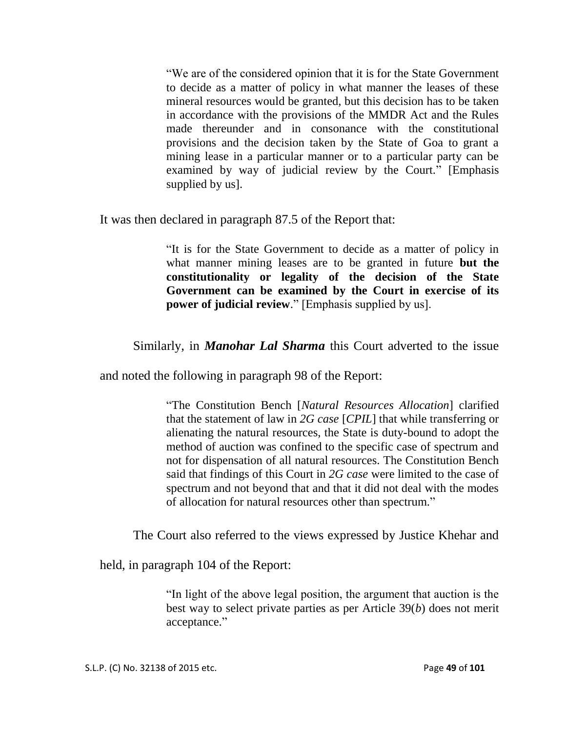"We are of the considered opinion that it is for the State Government to decide as a matter of policy in what manner the leases of these mineral resources would be granted, but this decision has to be taken in accordance with the provisions of the MMDR Act and the Rules made thereunder and in consonance with the constitutional provisions and the decision taken by the State of Goa to grant a mining lease in a particular manner or to a particular party can be examined by way of judicial review by the Court." [Emphasis supplied by us].

It was then declared in paragraph 87.5 of the Report that:

"It is for the State Government to decide as a matter of policy in what manner mining leases are to be granted in future **but the constitutionality or legality of the decision of the State Government can be examined by the Court in exercise of its power of judicial review.**" [Emphasis supplied by us].

Similarly, in *Manohar Lal Sharma* this Court adverted to the issue

and noted the following in paragraph 98 of the Report:

"The Constitution Bench [*Natural Resources Allocation*] clarified that the statement of law in *2G case* [*CPIL*] that while transferring or alienating the natural resources, the State is duty-bound to adopt the method of auction was confined to the specific case of spectrum and not for dispensation of all natural resources. The Constitution Bench said that findings of this Court in *2G case* were limited to the case of spectrum and not beyond that and that it did not deal with the modes of allocation for natural resources other than spectrum."

The Court also referred to the views expressed by Justice Khehar and

held, in paragraph 104 of the Report:

"In light of the above legal position, the argument that auction is the best way to select private parties as per Article 39(*b*) does not merit acceptance."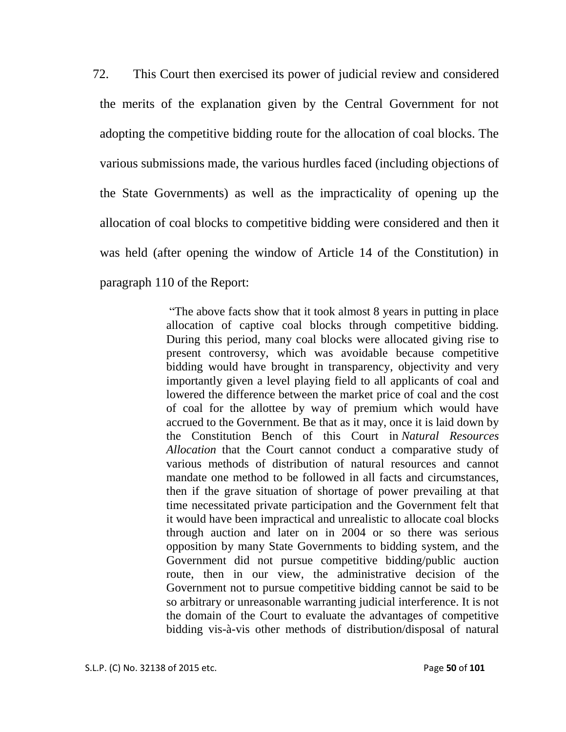72. This Court then exercised its power of judicial review and considered the merits of the explanation given by the Central Government for not adopting the competitive bidding route for the allocation of coal blocks. The various submissions made, the various hurdles faced (including objections of the State Governments) as well as the impracticality of opening up the allocation of coal blocks to competitive bidding were considered and then it was held (after opening the window of Article 14 of the Constitution) in paragraph 110 of the Report:

> "The above facts show that it took almost 8 years in putting in place allocation of captive coal blocks through competitive bidding. During this period, many coal blocks were allocated giving rise to present controversy, which was avoidable because competitive bidding would have brought in transparency, objectivity and very importantly given a level playing field to all applicants of coal and lowered the difference between the market price of coal and the cost of coal for the allottee by way of premium which would have accrued to the Government. Be that as it may, once it is laid down by the Constitution Bench of this Court in *Natural Resources Allocation* that the Court cannot conduct a comparative study of various methods of distribution of natural resources and cannot mandate one method to be followed in all facts and circumstances, then if the grave situation of shortage of power prevailing at that time necessitated private participation and the Government felt that it would have been impractical and unrealistic to allocate coal blocks through auction and later on in 2004 or so there was serious opposition by many State Governments to bidding system, and the Government did not pursue competitive bidding/public auction route, then in our view, the administrative decision of the Government not to pursue competitive bidding cannot be said to be so arbitrary or unreasonable warranting judicial interference. It is not the domain of the Court to evaluate the advantages of competitive bidding vis-à-vis other methods of distribution/disposal of natural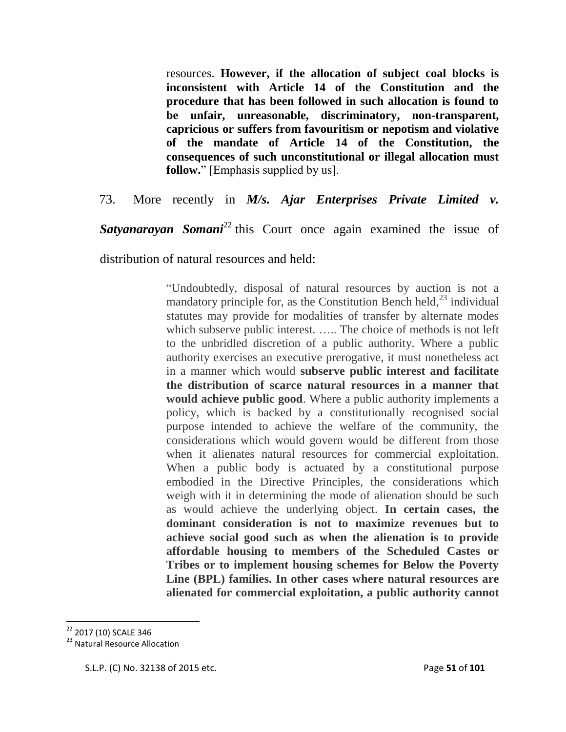resources. **However, if the allocation of subject coal blocks is inconsistent with Article 14 of the Constitution and the procedure that has been followed in such allocation is found to be unfair, unreasonable, discriminatory, non-transparent, capricious or suffers from favouritism or nepotism and violative of the mandate of Article 14 of the Constitution, the consequences of such unconstitutional or illegal allocation must follow.**" [Emphasis supplied by us].

73. More recently in *M/s. Ajar Enterprises Private Limited v.* 

**Satyanarayan Somani**<sup>22</sup> this Court once again examined the issue of

distribution of natural resources and held:

"Undoubtedly, disposal of natural resources by auction is not a mandatory principle for, as the Constitution Bench held, $^{23}$  individual statutes may provide for modalities of transfer by alternate modes which subserve public interest. ..... The choice of methods is not left to the unbridled discretion of a public authority. Where a public authority exercises an executive prerogative, it must nonetheless act in a manner which would **subserve public interest and facilitate the distribution of scarce natural resources in a manner that would achieve public good**. Where a public authority implements a policy, which is backed by a constitutionally recognised social purpose intended to achieve the welfare of the community, the considerations which would govern would be different from those when it alienates natural resources for commercial exploitation. When a public body is actuated by a constitutional purpose embodied in the Directive Principles, the considerations which weigh with it in determining the mode of alienation should be such as would achieve the underlying object. **In certain cases, the dominant consideration is not to maximize revenues but to achieve social good such as when the alienation is to provide affordable housing to members of the Scheduled Castes or Tribes or to implement housing schemes for Below the Poverty Line (BPL) families. In other cases where natural resources are alienated for commercial exploitation, a public authority cannot** 

<sup>&</sup>lt;sup>22</sup> 2017 (10) SCALE 346

<sup>&</sup>lt;sup>23</sup> Natural Resource Allocation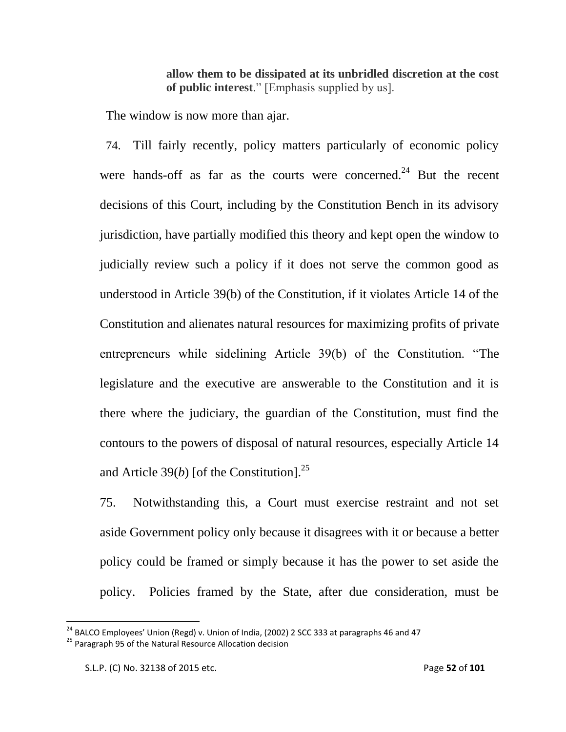**allow them to be dissipated at its unbridled discretion at the cost of public interest**." [Emphasis supplied by us].

The window is now more than ajar.

74. Till fairly recently, policy matters particularly of economic policy were hands-off as far as the courts were concerned.<sup>24</sup> But the recent decisions of this Court, including by the Constitution Bench in its advisory jurisdiction, have partially modified this theory and kept open the window to judicially review such a policy if it does not serve the common good as understood in Article 39(b) of the Constitution, if it violates Article 14 of the Constitution and alienates natural resources for maximizing profits of private entrepreneurs while sidelining Article 39(b) of the Constitution. "The legislature and the executive are answerable to the Constitution and it is there where the judiciary, the guardian of the Constitution, must find the contours to the powers of disposal of natural resources, especially Article 14 and Article 39(*b*) [of the Constitution].<sup>25</sup>

75. Notwithstanding this, a Court must exercise restraint and not set aside Government policy only because it disagrees with it or because a better policy could be framed or simply because it has the power to set aside the policy. Policies framed by the State, after due consideration, must be

 $^{24}$  BALCO Employees' Union (Regd) v. Union of India, (2002) 2 SCC 333 at paragraphs 46 and 47

<sup>&</sup>lt;sup>25</sup> Paragraph 95 of the Natural Resource Allocation decision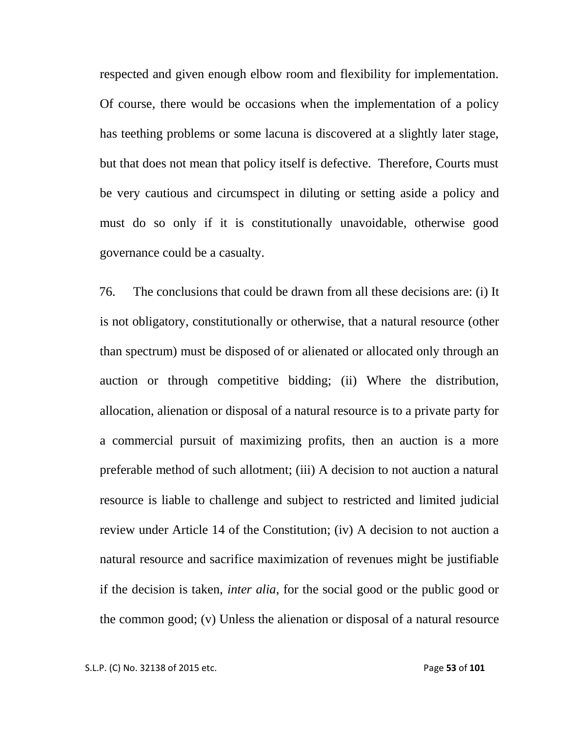respected and given enough elbow room and flexibility for implementation. Of course, there would be occasions when the implementation of a policy has teething problems or some lacuna is discovered at a slightly later stage, but that does not mean that policy itself is defective. Therefore, Courts must be very cautious and circumspect in diluting or setting aside a policy and must do so only if it is constitutionally unavoidable, otherwise good governance could be a casualty.

76. The conclusions that could be drawn from all these decisions are: (i) It is not obligatory, constitutionally or otherwise, that a natural resource (other than spectrum) must be disposed of or alienated or allocated only through an auction or through competitive bidding; (ii) Where the distribution, allocation, alienation or disposal of a natural resource is to a private party for a commercial pursuit of maximizing profits, then an auction is a more preferable method of such allotment; (iii) A decision to not auction a natural resource is liable to challenge and subject to restricted and limited judicial review under Article 14 of the Constitution; (iv) A decision to not auction a natural resource and sacrifice maximization of revenues might be justifiable if the decision is taken, *inter alia*, for the social good or the public good or the common good; (v) Unless the alienation or disposal of a natural resource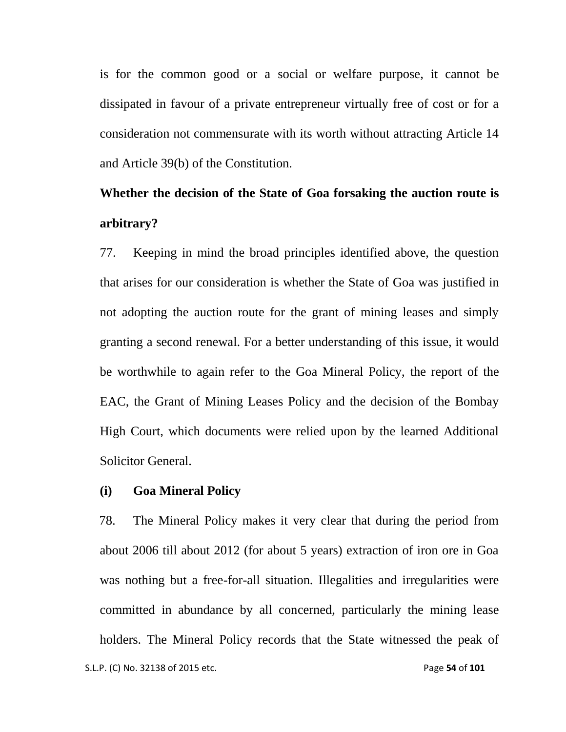is for the common good or a social or welfare purpose, it cannot be dissipated in favour of a private entrepreneur virtually free of cost or for a consideration not commensurate with its worth without attracting Article 14 and Article 39(b) of the Constitution.

# **Whether the decision of the State of Goa forsaking the auction route is arbitrary?**

77. Keeping in mind the broad principles identified above, the question that arises for our consideration is whether the State of Goa was justified in not adopting the auction route for the grant of mining leases and simply granting a second renewal. For a better understanding of this issue, it would be worthwhile to again refer to the Goa Mineral Policy, the report of the EAC, the Grant of Mining Leases Policy and the decision of the Bombay High Court, which documents were relied upon by the learned Additional Solicitor General.

#### **(i) Goa Mineral Policy**

S.L.P. (C) No. 32138 of 2015 etc. **Page 54** of **101** 78. The Mineral Policy makes it very clear that during the period from about 2006 till about 2012 (for about 5 years) extraction of iron ore in Goa was nothing but a free-for-all situation. Illegalities and irregularities were committed in abundance by all concerned, particularly the mining lease holders. The Mineral Policy records that the State witnessed the peak of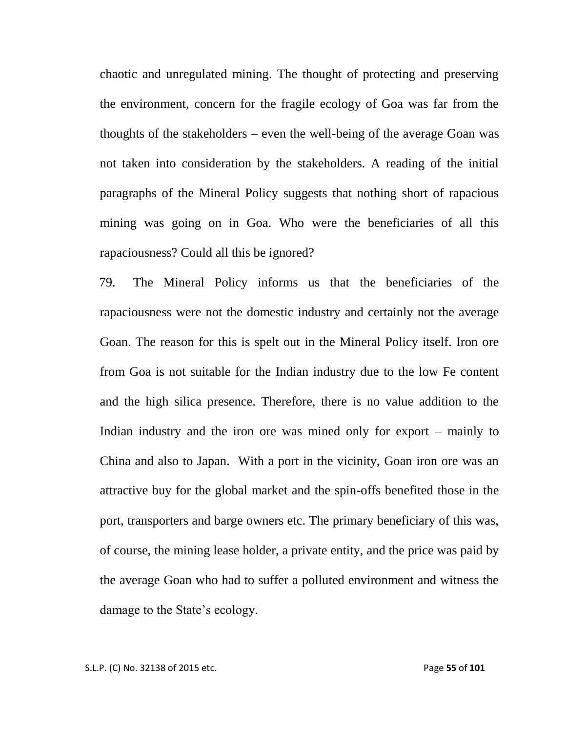chaotic and unregulated mining. The thought of protecting and preserving the environment, concern for the fragile ecology of Goa was far from the thoughts of the stakeholders – even the well-being of the average Goan was not taken into consideration by the stakeholders. A reading of the initial paragraphs of the Mineral Policy suggests that nothing short of rapacious mining was going on in Goa. Who were the beneficiaries of all this rapaciousness? Could all this be ignored?

79. The Mineral Policy informs us that the beneficiaries of the rapaciousness were not the domestic industry and certainly not the average Goan. The reason for this is spelt out in the Mineral Policy itself. Iron ore from Goa is not suitable for the Indian industry due to the low Fe content and the high silica presence. Therefore, there is no value addition to the Indian industry and the iron ore was mined only for export – mainly to China and also to Japan. With a port in the vicinity, Goan iron ore was an attractive buy for the global market and the spin-offs benefited those in the port, transporters and barge owners etc. The primary beneficiary of this was, of course, the mining lease holder, a private entity, and the price was paid by the average Goan who had to suffer a polluted environment and witness the damage to the State's ecology.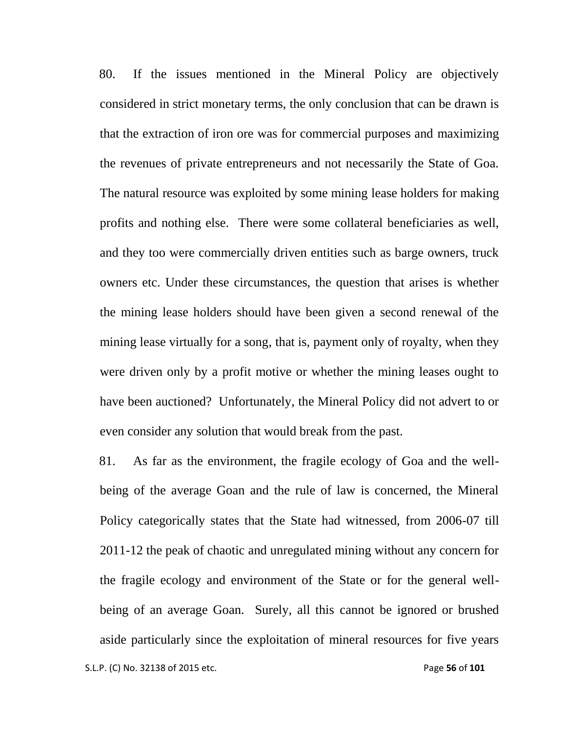80. If the issues mentioned in the Mineral Policy are objectively considered in strict monetary terms, the only conclusion that can be drawn is that the extraction of iron ore was for commercial purposes and maximizing the revenues of private entrepreneurs and not necessarily the State of Goa. The natural resource was exploited by some mining lease holders for making profits and nothing else. There were some collateral beneficiaries as well, and they too were commercially driven entities such as barge owners, truck owners etc. Under these circumstances, the question that arises is whether the mining lease holders should have been given a second renewal of the mining lease virtually for a song, that is, payment only of royalty, when they were driven only by a profit motive or whether the mining leases ought to have been auctioned? Unfortunately, the Mineral Policy did not advert to or even consider any solution that would break from the past.

81. As far as the environment, the fragile ecology of Goa and the wellbeing of the average Goan and the rule of law is concerned, the Mineral Policy categorically states that the State had witnessed, from 2006-07 till 2011-12 the peak of chaotic and unregulated mining without any concern for the fragile ecology and environment of the State or for the general wellbeing of an average Goan. Surely, all this cannot be ignored or brushed aside particularly since the exploitation of mineral resources for five years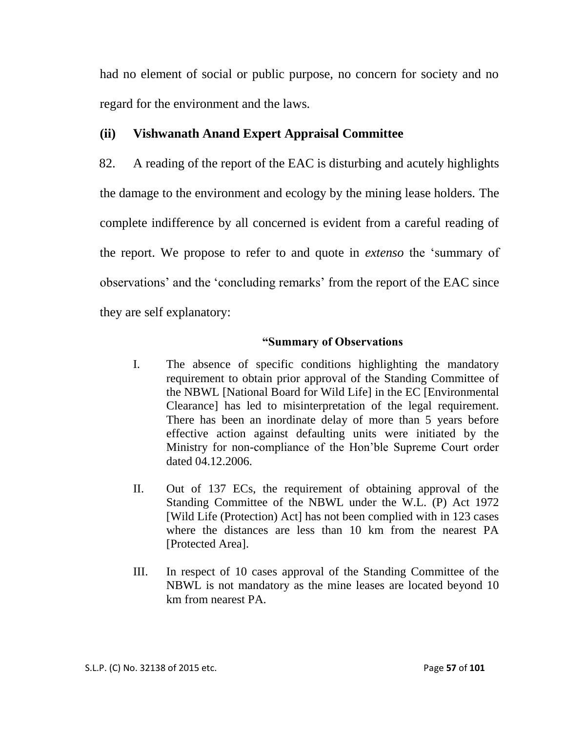had no element of social or public purpose, no concern for society and no regard for the environment and the laws.

## **(ii) Vishwanath Anand Expert Appraisal Committee**

82. A reading of the report of the EAC is disturbing and acutely highlights the damage to the environment and ecology by the mining lease holders. The complete indifference by all concerned is evident from a careful reading of the report. We propose to refer to and quote in *extenso* the "summary of observations" and the "concluding remarks" from the report of the EAC since they are self explanatory:

#### **"Summary of Observations**

- I. The absence of specific conditions highlighting the mandatory requirement to obtain prior approval of the Standing Committee of the NBWL [National Board for Wild Life] in the EC [Environmental Clearance] has led to misinterpretation of the legal requirement. There has been an inordinate delay of more than 5 years before effective action against defaulting units were initiated by the Ministry for non-compliance of the Hon"ble Supreme Court order dated 04.12.2006.
- II. Out of 137 ECs, the requirement of obtaining approval of the Standing Committee of the NBWL under the W.L. (P) Act 1972 [Wild Life (Protection) Act] has not been complied with in 123 cases where the distances are less than 10 km from the nearest PA [Protected Area].
- III. In respect of 10 cases approval of the Standing Committee of the NBWL is not mandatory as the mine leases are located beyond 10 km from nearest PA.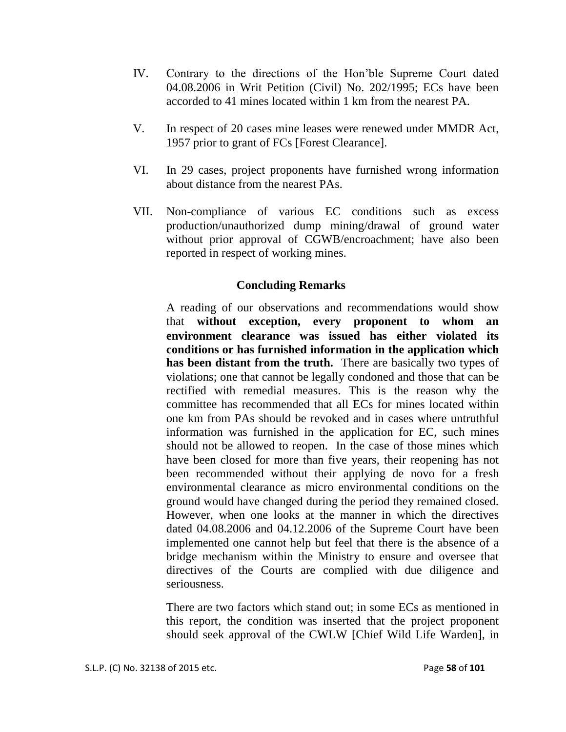- IV. Contrary to the directions of the Hon"ble Supreme Court dated 04.08.2006 in Writ Petition (Civil) No. 202/1995; ECs have been accorded to 41 mines located within 1 km from the nearest PA.
- V. In respect of 20 cases mine leases were renewed under MMDR Act, 1957 prior to grant of FCs [Forest Clearance].
- VI. In 29 cases, project proponents have furnished wrong information about distance from the nearest PAs.
- VII. Non-compliance of various EC conditions such as excess production/unauthorized dump mining/drawal of ground water without prior approval of CGWB/encroachment; have also been reported in respect of working mines.

#### **Concluding Remarks**

A reading of our observations and recommendations would show that **without exception, every proponent to whom an environment clearance was issued has either violated its conditions or has furnished information in the application which has been distant from the truth.** There are basically two types of violations; one that cannot be legally condoned and those that can be rectified with remedial measures. This is the reason why the committee has recommended that all ECs for mines located within one km from PAs should be revoked and in cases where untruthful information was furnished in the application for EC, such mines should not be allowed to reopen. In the case of those mines which have been closed for more than five years, their reopening has not been recommended without their applying de novo for a fresh environmental clearance as micro environmental conditions on the ground would have changed during the period they remained closed. However, when one looks at the manner in which the directives dated 04.08.2006 and 04.12.2006 of the Supreme Court have been implemented one cannot help but feel that there is the absence of a bridge mechanism within the Ministry to ensure and oversee that directives of the Courts are complied with due diligence and seriousness.

There are two factors which stand out; in some ECs as mentioned in this report, the condition was inserted that the project proponent should seek approval of the CWLW [Chief Wild Life Warden], in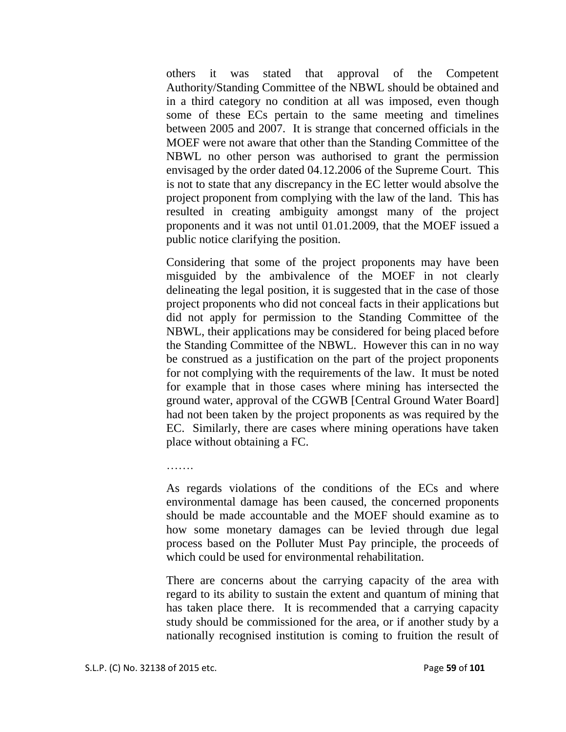others it was stated that approval of the Competent Authority/Standing Committee of the NBWL should be obtained and in a third category no condition at all was imposed, even though some of these ECs pertain to the same meeting and timelines between 2005 and 2007. It is strange that concerned officials in the MOEF were not aware that other than the Standing Committee of the NBWL no other person was authorised to grant the permission envisaged by the order dated 04.12.2006 of the Supreme Court. This is not to state that any discrepancy in the EC letter would absolve the project proponent from complying with the law of the land. This has resulted in creating ambiguity amongst many of the project proponents and it was not until 01.01.2009, that the MOEF issued a public notice clarifying the position.

Considering that some of the project proponents may have been misguided by the ambivalence of the MOEF in not clearly delineating the legal position, it is suggested that in the case of those project proponents who did not conceal facts in their applications but did not apply for permission to the Standing Committee of the NBWL, their applications may be considered for being placed before the Standing Committee of the NBWL. However this can in no way be construed as a justification on the part of the project proponents for not complying with the requirements of the law. It must be noted for example that in those cases where mining has intersected the ground water, approval of the CGWB [Central Ground Water Board] had not been taken by the project proponents as was required by the EC. Similarly, there are cases where mining operations have taken place without obtaining a FC.

As regards violations of the conditions of the ECs and where environmental damage has been caused, the concerned proponents should be made accountable and the MOEF should examine as to how some monetary damages can be levied through due legal process based on the Polluter Must Pay principle, the proceeds of which could be used for environmental rehabilitation.

There are concerns about the carrying capacity of the area with regard to its ability to sustain the extent and quantum of mining that has taken place there. It is recommended that a carrying capacity study should be commissioned for the area, or if another study by a nationally recognised institution is coming to fruition the result of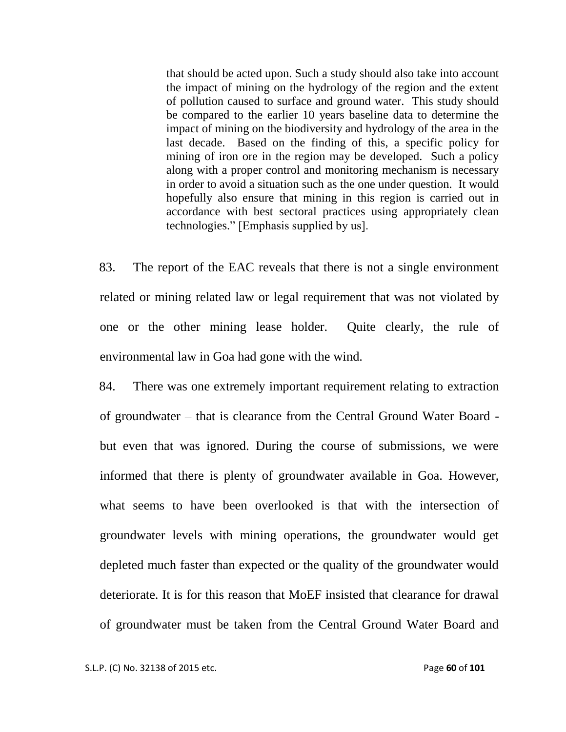that should be acted upon. Such a study should also take into account the impact of mining on the hydrology of the region and the extent of pollution caused to surface and ground water. This study should be compared to the earlier 10 years baseline data to determine the impact of mining on the biodiversity and hydrology of the area in the last decade. Based on the finding of this, a specific policy for mining of iron ore in the region may be developed. Such a policy along with a proper control and monitoring mechanism is necessary in order to avoid a situation such as the one under question. It would hopefully also ensure that mining in this region is carried out in accordance with best sectoral practices using appropriately clean technologies." [Emphasis supplied by us].

83. The report of the EAC reveals that there is not a single environment related or mining related law or legal requirement that was not violated by one or the other mining lease holder. Quite clearly, the rule of environmental law in Goa had gone with the wind.

84. There was one extremely important requirement relating to extraction of groundwater – that is clearance from the Central Ground Water Board but even that was ignored. During the course of submissions, we were informed that there is plenty of groundwater available in Goa. However, what seems to have been overlooked is that with the intersection of groundwater levels with mining operations, the groundwater would get depleted much faster than expected or the quality of the groundwater would deteriorate. It is for this reason that MoEF insisted that clearance for drawal of groundwater must be taken from the Central Ground Water Board and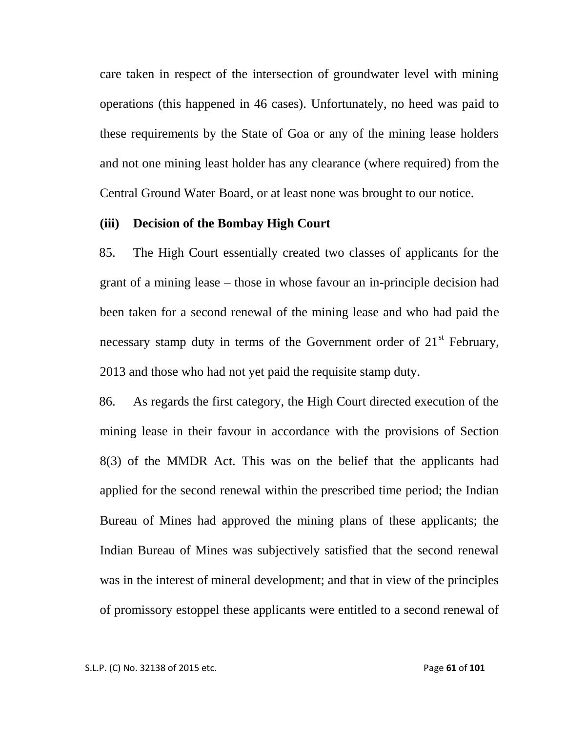care taken in respect of the intersection of groundwater level with mining operations (this happened in 46 cases). Unfortunately, no heed was paid to these requirements by the State of Goa or any of the mining lease holders and not one mining least holder has any clearance (where required) from the Central Ground Water Board, or at least none was brought to our notice.

#### **(iii) Decision of the Bombay High Court**

85. The High Court essentially created two classes of applicants for the grant of a mining lease – those in whose favour an in-principle decision had been taken for a second renewal of the mining lease and who had paid the necessary stamp duty in terms of the Government order of  $21<sup>st</sup>$  February, 2013 and those who had not yet paid the requisite stamp duty.

86. As regards the first category, the High Court directed execution of the mining lease in their favour in accordance with the provisions of Section 8(3) of the MMDR Act. This was on the belief that the applicants had applied for the second renewal within the prescribed time period; the Indian Bureau of Mines had approved the mining plans of these applicants; the Indian Bureau of Mines was subjectively satisfied that the second renewal was in the interest of mineral development; and that in view of the principles of promissory estoppel these applicants were entitled to a second renewal of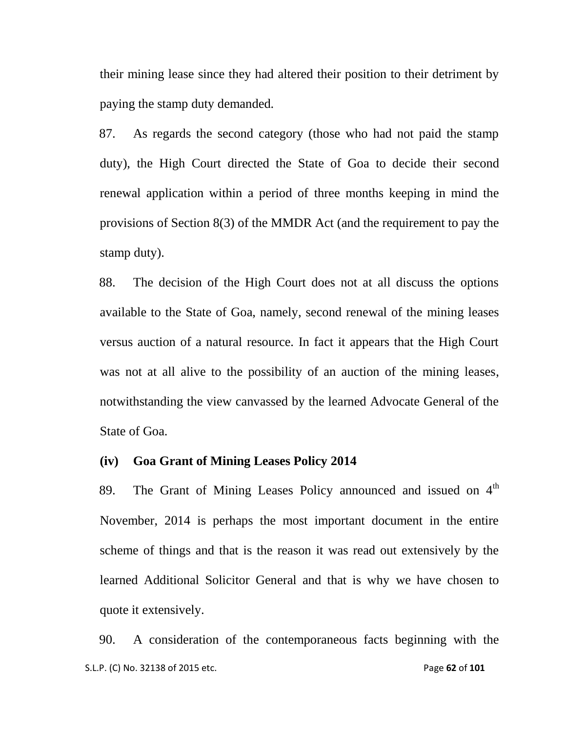their mining lease since they had altered their position to their detriment by paying the stamp duty demanded.

87. As regards the second category (those who had not paid the stamp duty), the High Court directed the State of Goa to decide their second renewal application within a period of three months keeping in mind the provisions of Section 8(3) of the MMDR Act (and the requirement to pay the stamp duty).

88. The decision of the High Court does not at all discuss the options available to the State of Goa, namely, second renewal of the mining leases versus auction of a natural resource. In fact it appears that the High Court was not at all alive to the possibility of an auction of the mining leases, notwithstanding the view canvassed by the learned Advocate General of the State of Goa.

#### **(iv) Goa Grant of Mining Leases Policy 2014**

89. The Grant of Mining Leases Policy announced and issued on  $4<sup>th</sup>$ November, 2014 is perhaps the most important document in the entire scheme of things and that is the reason it was read out extensively by the learned Additional Solicitor General and that is why we have chosen to quote it extensively.

 S.L.P. (C) No. 32138 of 2015 etc. Page **62** of **101** 90. A consideration of the contemporaneous facts beginning with the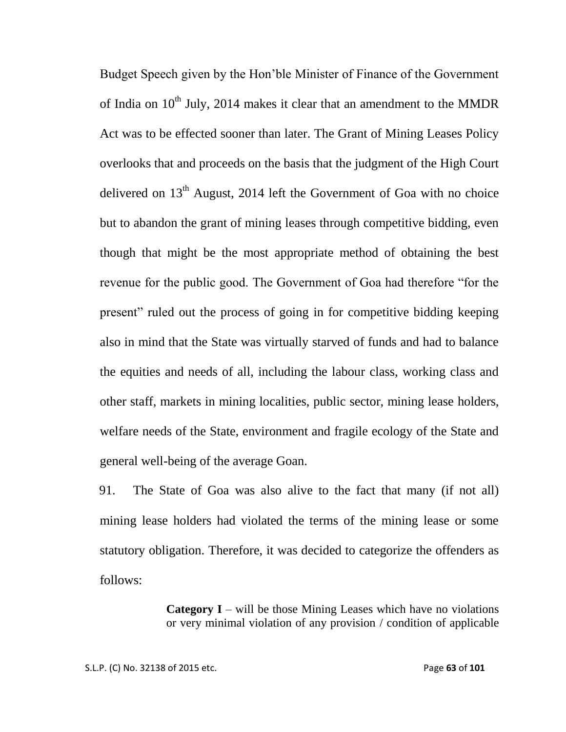Budget Speech given by the Hon"ble Minister of Finance of the Government of India on  $10^{th}$  July, 2014 makes it clear that an amendment to the MMDR Act was to be effected sooner than later. The Grant of Mining Leases Policy overlooks that and proceeds on the basis that the judgment of the High Court delivered on  $13<sup>th</sup>$  August, 2014 left the Government of Goa with no choice but to abandon the grant of mining leases through competitive bidding, even though that might be the most appropriate method of obtaining the best revenue for the public good. The Government of Goa had therefore "for the present" ruled out the process of going in for competitive bidding keeping also in mind that the State was virtually starved of funds and had to balance the equities and needs of all, including the labour class, working class and other staff, markets in mining localities, public sector, mining lease holders, welfare needs of the State, environment and fragile ecology of the State and general well-being of the average Goan.

91. The State of Goa was also alive to the fact that many (if not all) mining lease holders had violated the terms of the mining lease or some statutory obligation. Therefore, it was decided to categorize the offenders as follows:

> **Category I** – will be those Mining Leases which have no violations or very minimal violation of any provision / condition of applicable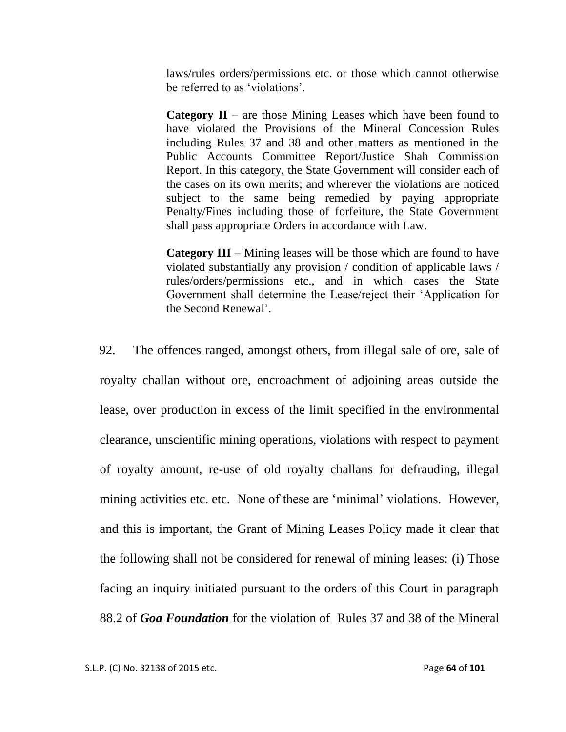laws/rules orders/permissions etc. or those which cannot otherwise be referred to as 'violations'.

**Category II** – are those Mining Leases which have been found to have violated the Provisions of the Mineral Concession Rules including Rules 37 and 38 and other matters as mentioned in the Public Accounts Committee Report/Justice Shah Commission Report. In this category, the State Government will consider each of the cases on its own merits; and wherever the violations are noticed subject to the same being remedied by paying appropriate Penalty/Fines including those of forfeiture, the State Government shall pass appropriate Orders in accordance with Law.

**Category III** – Mining leases will be those which are found to have violated substantially any provision / condition of applicable laws / rules/orders/permissions etc., and in which cases the State Government shall determine the Lease/reject their "Application for the Second Renewal".

92. The offences ranged, amongst others, from illegal sale of ore, sale of royalty challan without ore, encroachment of adjoining areas outside the lease, over production in excess of the limit specified in the environmental clearance, unscientific mining operations, violations with respect to payment of royalty amount, re-use of old royalty challans for defrauding, illegal mining activities etc. etc. None of these are "minimal" violations. However, and this is important, the Grant of Mining Leases Policy made it clear that the following shall not be considered for renewal of mining leases: (i) Those facing an inquiry initiated pursuant to the orders of this Court in paragraph 88.2 of *Goa Foundation* for the violation of Rules 37 and 38 of the Mineral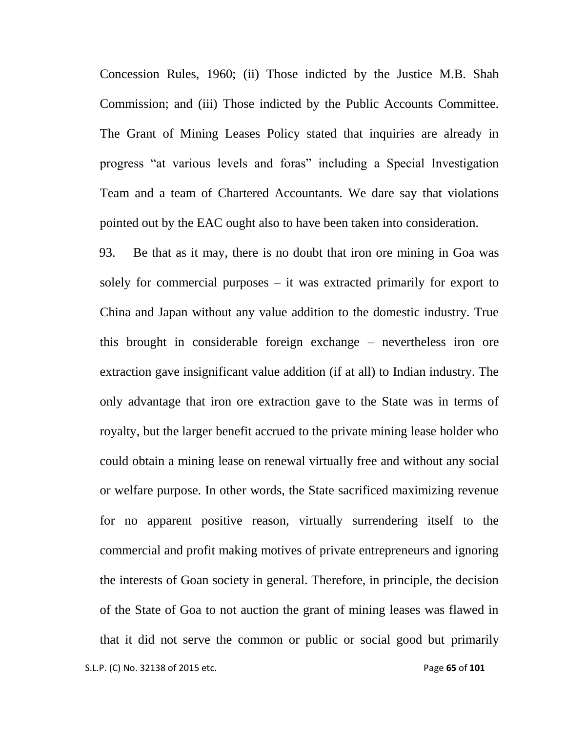Concession Rules, 1960; (ii) Those indicted by the Justice M.B. Shah Commission; and (iii) Those indicted by the Public Accounts Committee. The Grant of Mining Leases Policy stated that inquiries are already in progress "at various levels and foras" including a Special Investigation Team and a team of Chartered Accountants. We dare say that violations pointed out by the EAC ought also to have been taken into consideration.

S.L.P. (C) No. 32138 of 2015 etc. **Page 65** of 101 93. Be that as it may, there is no doubt that iron ore mining in Goa was solely for commercial purposes  $-$  it was extracted primarily for export to China and Japan without any value addition to the domestic industry. True this brought in considerable foreign exchange – nevertheless iron ore extraction gave insignificant value addition (if at all) to Indian industry. The only advantage that iron ore extraction gave to the State was in terms of royalty, but the larger benefit accrued to the private mining lease holder who could obtain a mining lease on renewal virtually free and without any social or welfare purpose. In other words, the State sacrificed maximizing revenue for no apparent positive reason, virtually surrendering itself to the commercial and profit making motives of private entrepreneurs and ignoring the interests of Goan society in general. Therefore, in principle, the decision of the State of Goa to not auction the grant of mining leases was flawed in that it did not serve the common or public or social good but primarily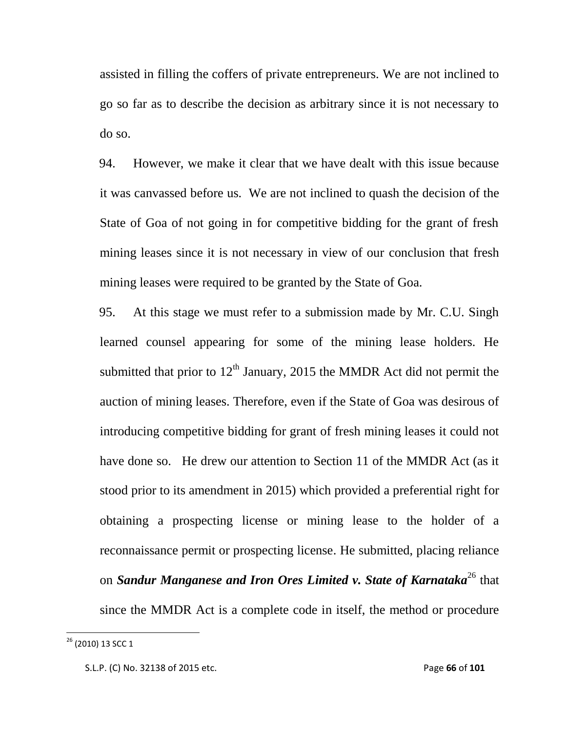assisted in filling the coffers of private entrepreneurs. We are not inclined to go so far as to describe the decision as arbitrary since it is not necessary to do so.

94. However, we make it clear that we have dealt with this issue because it was canvassed before us. We are not inclined to quash the decision of the State of Goa of not going in for competitive bidding for the grant of fresh mining leases since it is not necessary in view of our conclusion that fresh mining leases were required to be granted by the State of Goa.

95. At this stage we must refer to a submission made by Mr. C.U. Singh learned counsel appearing for some of the mining lease holders. He submitted that prior to  $12<sup>th</sup>$  January, 2015 the MMDR Act did not permit the auction of mining leases. Therefore, even if the State of Goa was desirous of introducing competitive bidding for grant of fresh mining leases it could not have done so. He drew our attention to Section 11 of the MMDR Act (as it stood prior to its amendment in 2015) which provided a preferential right for obtaining a prospecting license or mining lease to the holder of a reconnaissance permit or prospecting license. He submitted, placing reliance on *Sandur Manganese and Iron Ores Limited v. State of Karnataka*<sup>26</sup> that since the MMDR Act is a complete code in itself, the method or procedure

<sup>&</sup>lt;sup>26</sup> (2010) 13 SCC 1

S.L.P. (C) No. 32138 of 2015 etc. Page **66** of **101**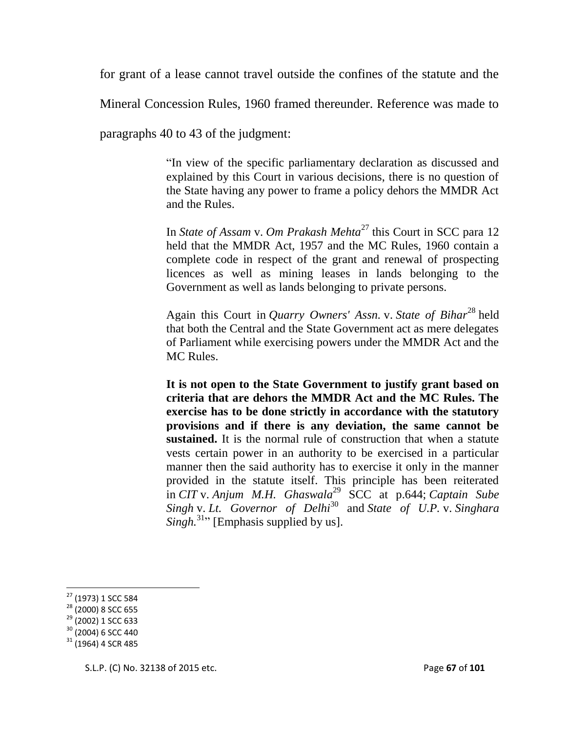for grant of a lease cannot travel outside the confines of the statute and the

Mineral Concession Rules, 1960 framed thereunder. Reference was made to

paragraphs 40 to 43 of the judgment:

"In view of the specific parliamentary declaration as discussed and explained by this Court in various decisions, there is no question of the State having any power to frame a policy dehors the MMDR Act and the Rules.

In *State of Assam* v. *Om Prakash Mehta*<sup>27</sup> this Court in SCC para 12 held that the MMDR Act, 1957 and the MC Rules, 1960 contain a complete code in respect of the grant and renewal of prospecting licences as well as mining leases in lands belonging to the Government as well as lands belonging to private persons.

Again this Court in *Quarry Owners' Assn.* v. *State of Bihar*<sup>28</sup> held that both the Central and the State Government act as mere delegates of Parliament while exercising powers under the MMDR Act and the MC Rules.

**It is not open to the State Government to justify grant based on criteria that are dehors the MMDR Act and the MC Rules. The exercise has to be done strictly in accordance with the statutory provisions and if there is any deviation, the same cannot be sustained.** It is the normal rule of construction that when a statute vests certain power in an authority to be exercised in a particular manner then the said authority has to exercise it only in the manner provided in the statute itself. This principle has been reiterated in *CIT* v. *Anjum M.H. Ghaswala*<sup>29</sup> SCC at p.644; *Captain Sube Singh* v. *Lt. Governor of Delhi*<sup>30</sup> and *State of U.P.* v. *Singhara*   $Singh^{31}$ <sup>,</sup> [Emphasis supplied by us].

l

<sup>&</sup>lt;sup>27</sup> (1973) 1 SCC 584

<sup>&</sup>lt;sup>28</sup> (2000) 8 SCC 655

<sup>29</sup> (2002) 1 SCC 633

<sup>30</sup> (2004) 6 SCC 440

 $31$  (1964) 4 SCR 485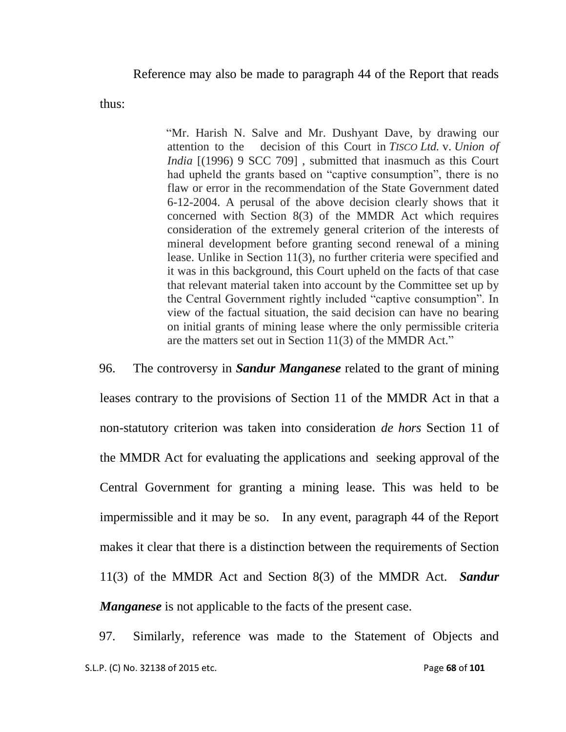Reference may also be made to paragraph 44 of the Report that reads

thus:

"Mr. Harish N. Salve and Mr. Dushyant Dave, by drawing our attention to the decision of this Court in *TISCO Ltd.* v. *Union of India* [(1996) 9 SCC 709], submitted that inasmuch as this Court had upheld the grants based on "captive consumption", there is no flaw or error in the recommendation of the State Government dated 6-12-2004. A perusal of the above decision clearly shows that it concerned with Section 8(3) of the MMDR Act which requires consideration of the extremely general criterion of the interests of mineral development before granting second renewal of a mining lease. Unlike in Section 11(3), no further criteria were specified and it was in this background, this Court upheld on the facts of that case that relevant material taken into account by the Committee set up by the Central Government rightly included "captive consumption". In view of the factual situation, the said decision can have no bearing on initial grants of mining lease where the only permissible criteria are the matters set out in Section 11(3) of the MMDR Act."

96. The controversy in *Sandur Manganese* related to the grant of mining leases contrary to the provisions of Section 11 of the MMDR Act in that a non-statutory criterion was taken into consideration *de hors* Section 11 of the MMDR Act for evaluating the applications and seeking approval of the Central Government for granting a mining lease. This was held to be impermissible and it may be so. In any event, paragraph 44 of the Report makes it clear that there is a distinction between the requirements of Section 11(3) of the MMDR Act and Section 8(3) of the MMDR Act. *Sandur Manganese* is not applicable to the facts of the present case.

 S.L.P. (C) No. 32138 of 2015 etc. Page **68** of **101** 97. Similarly, reference was made to the Statement of Objects and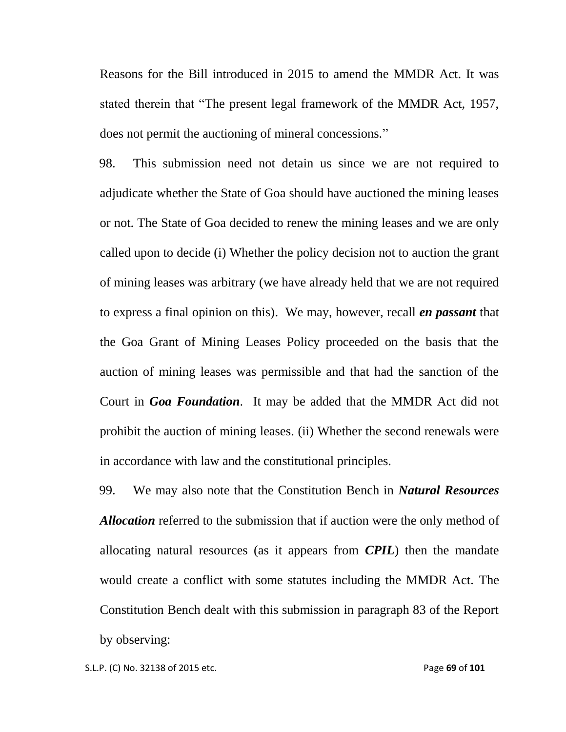Reasons for the Bill introduced in 2015 to amend the MMDR Act. It was stated therein that "The present legal framework of the MMDR Act, 1957, does not permit the auctioning of mineral concessions."

98. This submission need not detain us since we are not required to adjudicate whether the State of Goa should have auctioned the mining leases or not. The State of Goa decided to renew the mining leases and we are only called upon to decide (i) Whether the policy decision not to auction the grant of mining leases was arbitrary (we have already held that we are not required to express a final opinion on this). We may, however, recall *en passant* that the Goa Grant of Mining Leases Policy proceeded on the basis that the auction of mining leases was permissible and that had the sanction of the Court in *Goa Foundation*. It may be added that the MMDR Act did not prohibit the auction of mining leases. (ii) Whether the second renewals were in accordance with law and the constitutional principles.

99. We may also note that the Constitution Bench in *Natural Resources Allocation* referred to the submission that if auction were the only method of allocating natural resources (as it appears from *CPIL*) then the mandate would create a conflict with some statutes including the MMDR Act. The Constitution Bench dealt with this submission in paragraph 83 of the Report by observing: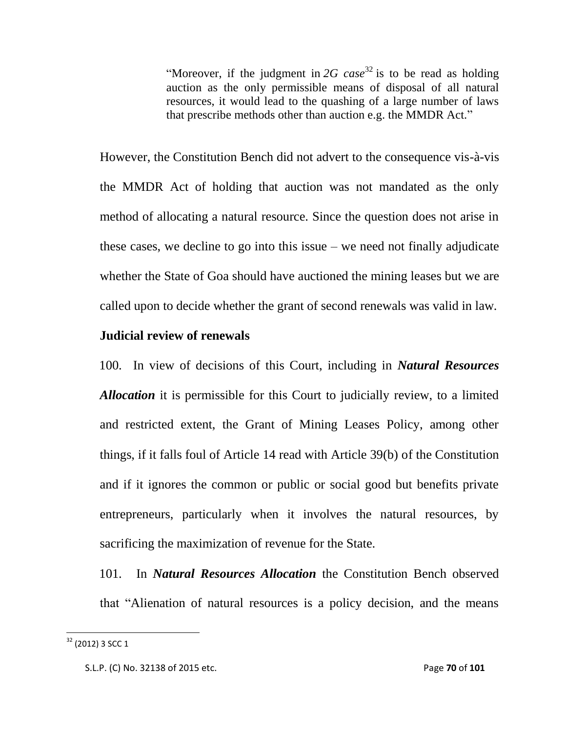"Moreover, if the judgment in  $2G$  case<sup>32</sup> is to be read as holding auction as the only permissible means of disposal of all natural resources, it would lead to the quashing of a large number of laws that prescribe methods other than auction e.g. the MMDR Act."

However, the Constitution Bench did not advert to the consequence vis-à-vis the MMDR Act of holding that auction was not mandated as the only method of allocating a natural resource. Since the question does not arise in these cases, we decline to go into this issue – we need not finally adjudicate whether the State of Goa should have auctioned the mining leases but we are called upon to decide whether the grant of second renewals was valid in law.

## **Judicial review of renewals**

100. In view of decisions of this Court, including in *Natural Resources Allocation* it is permissible for this Court to judicially review, to a limited and restricted extent, the Grant of Mining Leases Policy, among other things, if it falls foul of Article 14 read with Article 39(b) of the Constitution and if it ignores the common or public or social good but benefits private entrepreneurs, particularly when it involves the natural resources, by sacrificing the maximization of revenue for the State.

101. In *Natural Resources Allocation* the Constitution Bench observed that "Alienation of natural resources is a policy decision, and the means

 $32$  (2012) 3 SCC 1

S.L.P. (C) No. 32138 of 2015 etc. Page **70** of **101**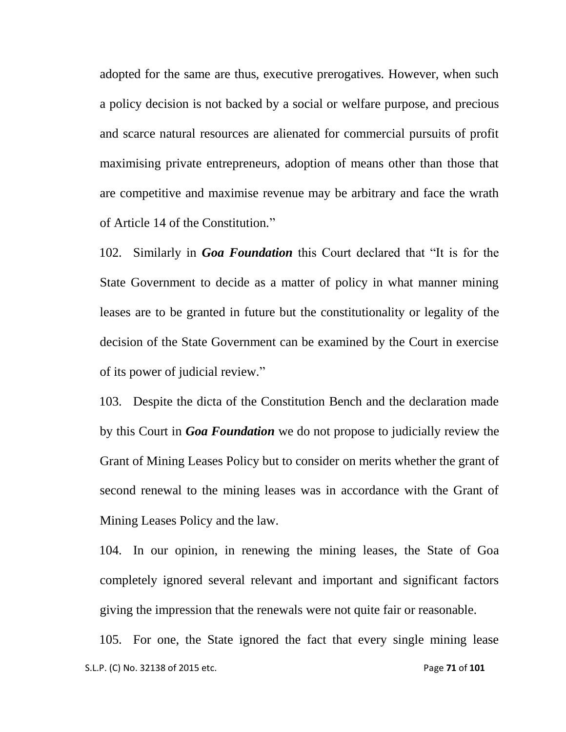adopted for the same are thus, executive prerogatives. However, when such a policy decision is not backed by a social or welfare purpose, and precious and scarce natural resources are alienated for commercial pursuits of profit maximising private entrepreneurs, adoption of means other than those that are competitive and maximise revenue may be arbitrary and face the wrath of Article 14 of the Constitution."

102. Similarly in *Goa Foundation* this Court declared that "It is for the State Government to decide as a matter of policy in what manner mining leases are to be granted in future but the constitutionality or legality of the decision of the State Government can be examined by the Court in exercise of its power of judicial review."

103. Despite the dicta of the Constitution Bench and the declaration made by this Court in *Goa Foundation* we do not propose to judicially review the Grant of Mining Leases Policy but to consider on merits whether the grant of second renewal to the mining leases was in accordance with the Grant of Mining Leases Policy and the law.

104. In our opinion, in renewing the mining leases, the State of Goa completely ignored several relevant and important and significant factors giving the impression that the renewals were not quite fair or reasonable.

 S.L.P. (C) No. 32138 of 2015 etc. Page **71** of **101** 105. For one, the State ignored the fact that every single mining lease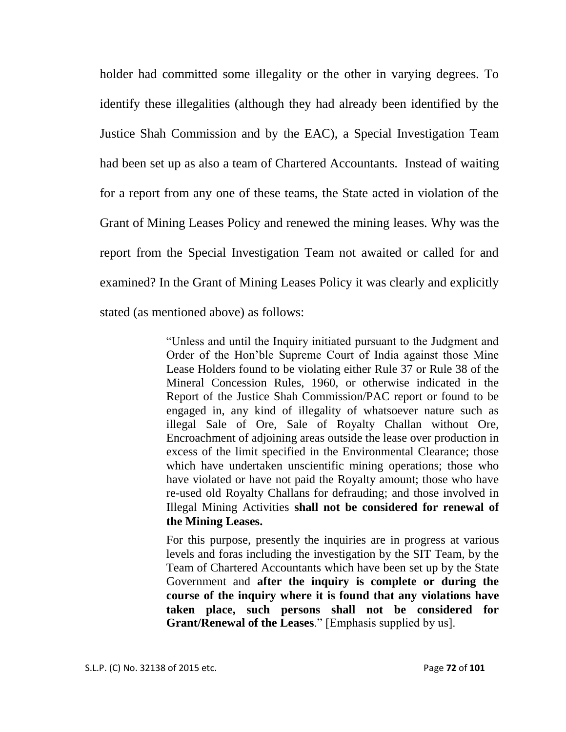holder had committed some illegality or the other in varying degrees. To identify these illegalities (although they had already been identified by the Justice Shah Commission and by the EAC), a Special Investigation Team had been set up as also a team of Chartered Accountants. Instead of waiting for a report from any one of these teams, the State acted in violation of the Grant of Mining Leases Policy and renewed the mining leases. Why was the report from the Special Investigation Team not awaited or called for and examined? In the Grant of Mining Leases Policy it was clearly and explicitly stated (as mentioned above) as follows:

> "Unless and until the Inquiry initiated pursuant to the Judgment and Order of the Hon"ble Supreme Court of India against those Mine Lease Holders found to be violating either Rule 37 or Rule 38 of the Mineral Concession Rules, 1960, or otherwise indicated in the Report of the Justice Shah Commission/PAC report or found to be engaged in, any kind of illegality of whatsoever nature such as illegal Sale of Ore, Sale of Royalty Challan without Ore, Encroachment of adjoining areas outside the lease over production in excess of the limit specified in the Environmental Clearance; those which have undertaken unscientific mining operations; those who have violated or have not paid the Royalty amount; those who have re-used old Royalty Challans for defrauding; and those involved in Illegal Mining Activities **shall not be considered for renewal of the Mining Leases.**

> For this purpose, presently the inquiries are in progress at various levels and foras including the investigation by the SIT Team, by the Team of Chartered Accountants which have been set up by the State Government and **after the inquiry is complete or during the course of the inquiry where it is found that any violations have taken place, such persons shall not be considered for Grant/Renewal of the Leases**." [Emphasis supplied by us].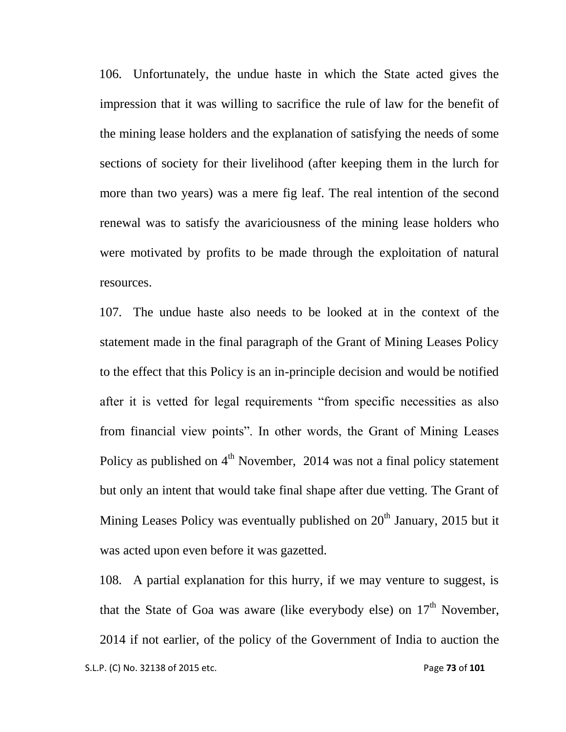106. Unfortunately, the undue haste in which the State acted gives the impression that it was willing to sacrifice the rule of law for the benefit of the mining lease holders and the explanation of satisfying the needs of some sections of society for their livelihood (after keeping them in the lurch for more than two years) was a mere fig leaf. The real intention of the second renewal was to satisfy the avariciousness of the mining lease holders who were motivated by profits to be made through the exploitation of natural resources.

107. The undue haste also needs to be looked at in the context of the statement made in the final paragraph of the Grant of Mining Leases Policy to the effect that this Policy is an in-principle decision and would be notified after it is vetted for legal requirements "from specific necessities as also from financial view points". In other words, the Grant of Mining Leases Policy as published on  $4<sup>th</sup>$  November, 2014 was not a final policy statement but only an intent that would take final shape after due vetting. The Grant of Mining Leases Policy was eventually published on  $20<sup>th</sup>$  January, 2015 but it was acted upon even before it was gazetted.

 S.L.P. (C) No. 32138 of 2015 etc. Page **73** of **101** 108. A partial explanation for this hurry, if we may venture to suggest, is that the State of Goa was aware (like everybody else) on  $17<sup>th</sup>$  November, 2014 if not earlier, of the policy of the Government of India to auction the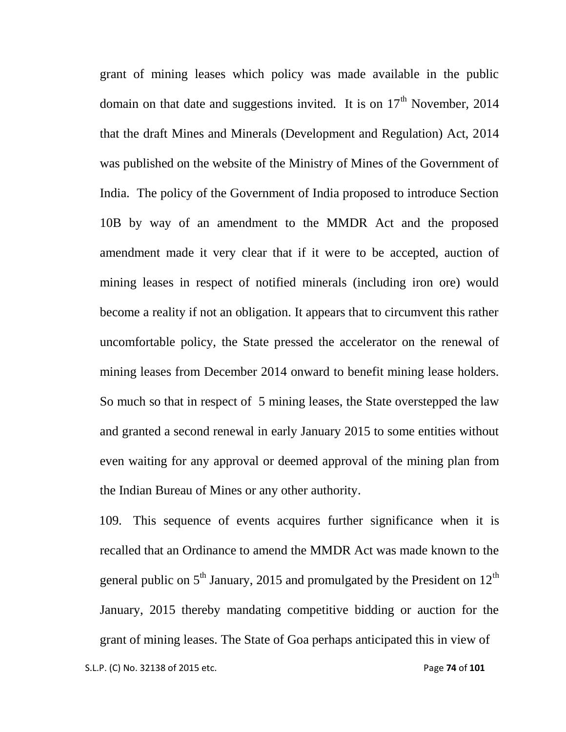grant of mining leases which policy was made available in the public domain on that date and suggestions invited. It is on  $17<sup>th</sup>$  November, 2014 that the draft Mines and Minerals (Development and Regulation) Act, 2014 was published on the website of the Ministry of Mines of the Government of India. The policy of the Government of India proposed to introduce Section 10B by way of an amendment to the MMDR Act and the proposed amendment made it very clear that if it were to be accepted, auction of mining leases in respect of notified minerals (including iron ore) would become a reality if not an obligation. It appears that to circumvent this rather uncomfortable policy, the State pressed the accelerator on the renewal of mining leases from December 2014 onward to benefit mining lease holders. So much so that in respect of 5 mining leases, the State overstepped the law and granted a second renewal in early January 2015 to some entities without even waiting for any approval or deemed approval of the mining plan from the Indian Bureau of Mines or any other authority.

 S.L.P. (C) No. 32138 of 2015 etc. Page **74** of **101** 109. This sequence of events acquires further significance when it is recalled that an Ordinance to amend the MMDR Act was made known to the general public on  $5<sup>th</sup>$  January, 2015 and promulgated by the President on 12<sup>th</sup> January, 2015 thereby mandating competitive bidding or auction for the grant of mining leases. The State of Goa perhaps anticipated this in view of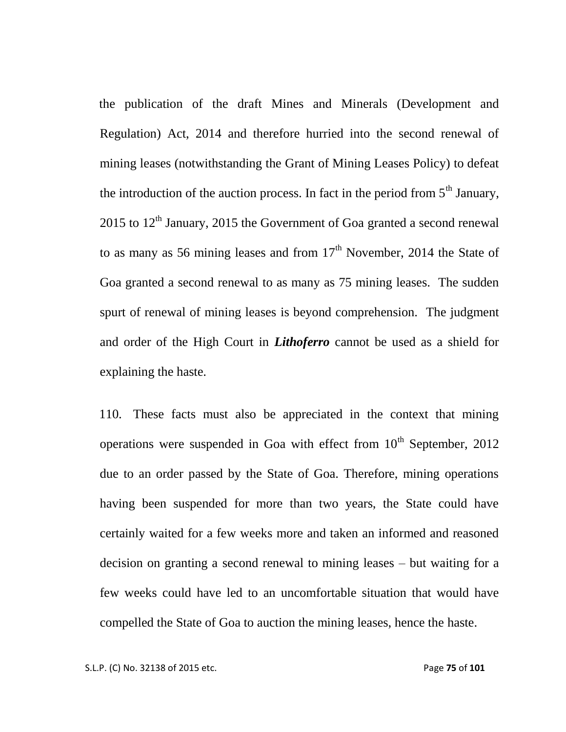the publication of the draft Mines and Minerals (Development and Regulation) Act, 2014 and therefore hurried into the second renewal of mining leases (notwithstanding the Grant of Mining Leases Policy) to defeat the introduction of the auction process. In fact in the period from  $5<sup>th</sup>$  January,  $2015$  to  $12<sup>th</sup>$  January, 2015 the Government of Goa granted a second renewal to as many as 56 mining leases and from  $17<sup>th</sup>$  November, 2014 the State of Goa granted a second renewal to as many as 75 mining leases. The sudden spurt of renewal of mining leases is beyond comprehension. The judgment and order of the High Court in *Lithoferro* cannot be used as a shield for explaining the haste.

110. These facts must also be appreciated in the context that mining operations were suspended in Goa with effect from  $10<sup>th</sup>$  September, 2012 due to an order passed by the State of Goa. Therefore, mining operations having been suspended for more than two years, the State could have certainly waited for a few weeks more and taken an informed and reasoned decision on granting a second renewal to mining leases – but waiting for a few weeks could have led to an uncomfortable situation that would have compelled the State of Goa to auction the mining leases, hence the haste.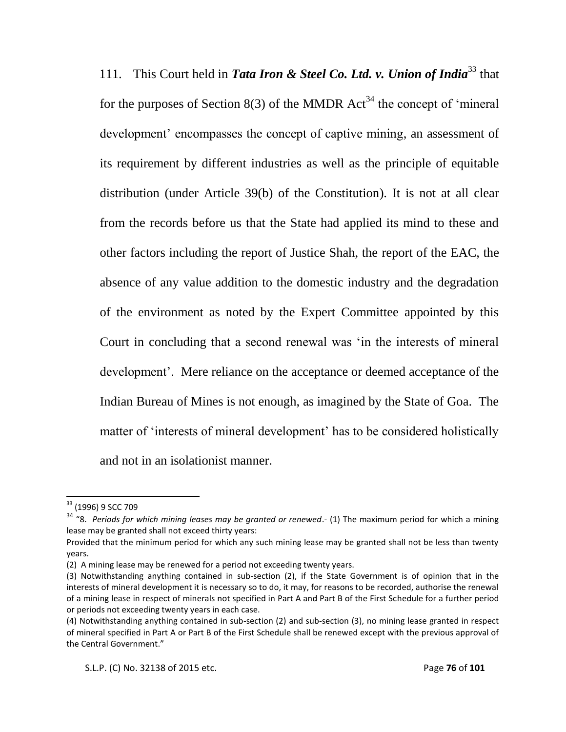111. This Court held in *Tata Iron & Steel Co. Ltd. v. Union of India*<sup>33</sup> that for the purposes of Section 8(3) of the MMDR  $Act^{34}$  the concept of 'mineral development' encompasses the concept of captive mining, an assessment of its requirement by different industries as well as the principle of equitable distribution (under Article 39(b) of the Constitution). It is not at all clear from the records before us that the State had applied its mind to these and other factors including the report of Justice Shah, the report of the EAC, the absence of any value addition to the domestic industry and the degradation of the environment as noted by the Expert Committee appointed by this Court in concluding that a second renewal was "in the interests of mineral development'. Mere reliance on the acceptance or deemed acceptance of the Indian Bureau of Mines is not enough, as imagined by the State of Goa. The matter of 'interests of mineral development' has to be considered holistically and not in an isolationist manner.

 $\overline{\phantom{a}}$ 

<sup>&</sup>lt;sup>33</sup> (1996) 9 SCC 709

<sup>&</sup>lt;sup>34</sup> "8. *Periods for which mining leases may be granted or renewed*.- (1) The maximum period for which a mining lease may be granted shall not exceed thirty years:

Provided that the minimum period for which any such mining lease may be granted shall not be less than twenty years.

<sup>(2)</sup> A mining lease may be renewed for a period not exceeding twenty years.

<sup>(3)</sup> Notwithstanding anything contained in sub-section (2), if the State Government is of opinion that in the interests of mineral development it is necessary so to do, it may, for reasons to be recorded, authorise the renewal of a mining lease in respect of minerals not specified in Part A and Part B of the First Schedule for a further period or periods not exceeding twenty years in each case.

<sup>(4)</sup> Notwithstanding anything contained in sub-section (2) and sub-section (3), no mining lease granted in respect of mineral specified in Part A or Part B of the First Schedule shall be renewed except with the previous approval of the Central Government."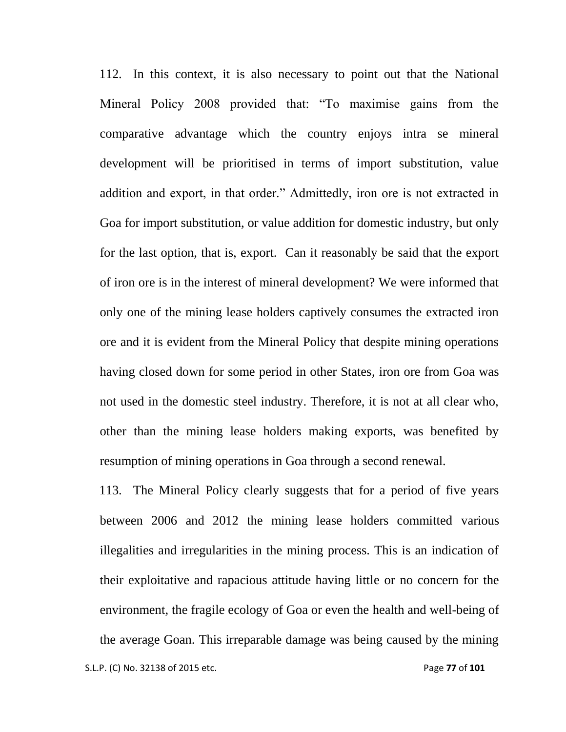112. In this context, it is also necessary to point out that the National Mineral Policy 2008 provided that: "To maximise gains from the comparative advantage which the country enjoys intra se mineral development will be prioritised in terms of import substitution, value addition and export, in that order." Admittedly, iron ore is not extracted in Goa for import substitution, or value addition for domestic industry, but only for the last option, that is, export. Can it reasonably be said that the export of iron ore is in the interest of mineral development? We were informed that only one of the mining lease holders captively consumes the extracted iron ore and it is evident from the Mineral Policy that despite mining operations having closed down for some period in other States, iron ore from Goa was not used in the domestic steel industry. Therefore, it is not at all clear who, other than the mining lease holders making exports, was benefited by resumption of mining operations in Goa through a second renewal.

113. The Mineral Policy clearly suggests that for a period of five years between 2006 and 2012 the mining lease holders committed various illegalities and irregularities in the mining process. This is an indication of their exploitative and rapacious attitude having little or no concern for the environment, the fragile ecology of Goa or even the health and well-being of the average Goan. This irreparable damage was being caused by the mining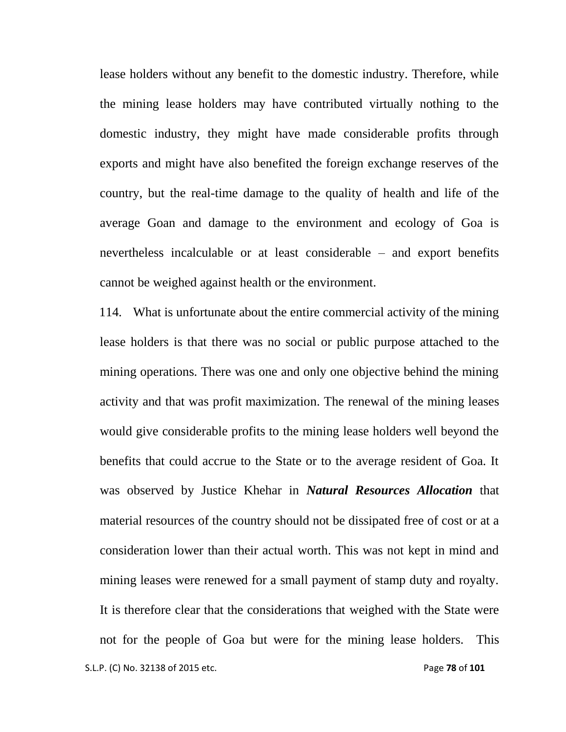lease holders without any benefit to the domestic industry. Therefore, while the mining lease holders may have contributed virtually nothing to the domestic industry, they might have made considerable profits through exports and might have also benefited the foreign exchange reserves of the country, but the real-time damage to the quality of health and life of the average Goan and damage to the environment and ecology of Goa is nevertheless incalculable or at least considerable – and export benefits cannot be weighed against health or the environment.

 S.L.P. (C) No. 32138 of 2015 etc. Page **78** of **101** 114. What is unfortunate about the entire commercial activity of the mining lease holders is that there was no social or public purpose attached to the mining operations. There was one and only one objective behind the mining activity and that was profit maximization. The renewal of the mining leases would give considerable profits to the mining lease holders well beyond the benefits that could accrue to the State or to the average resident of Goa. It was observed by Justice Khehar in *Natural Resources Allocation* that material resources of the country should not be dissipated free of cost or at a consideration lower than their actual worth. This was not kept in mind and mining leases were renewed for a small payment of stamp duty and royalty. It is therefore clear that the considerations that weighed with the State were not for the people of Goa but were for the mining lease holders. This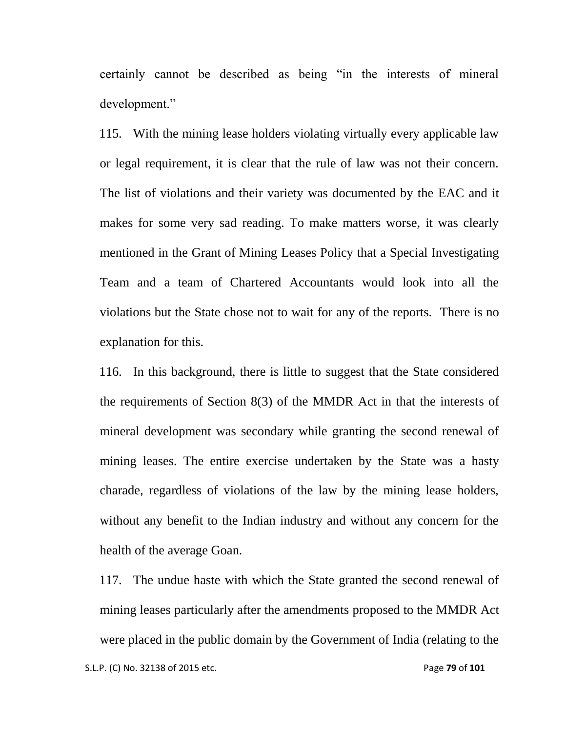certainly cannot be described as being "in the interests of mineral development."

115. With the mining lease holders violating virtually every applicable law or legal requirement, it is clear that the rule of law was not their concern. The list of violations and their variety was documented by the EAC and it makes for some very sad reading. To make matters worse, it was clearly mentioned in the Grant of Mining Leases Policy that a Special Investigating Team and a team of Chartered Accountants would look into all the violations but the State chose not to wait for any of the reports. There is no explanation for this.

116. In this background, there is little to suggest that the State considered the requirements of Section 8(3) of the MMDR Act in that the interests of mineral development was secondary while granting the second renewal of mining leases. The entire exercise undertaken by the State was a hasty charade, regardless of violations of the law by the mining lease holders, without any benefit to the Indian industry and without any concern for the health of the average Goan.

117. The undue haste with which the State granted the second renewal of mining leases particularly after the amendments proposed to the MMDR Act were placed in the public domain by the Government of India (relating to the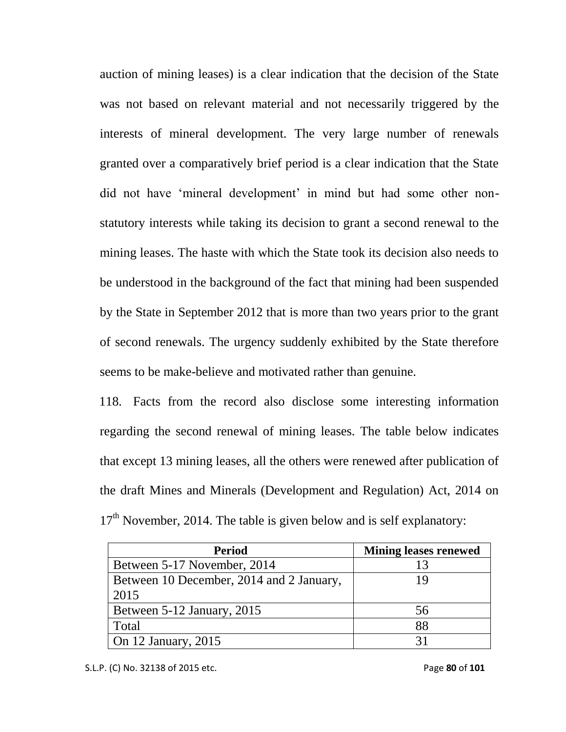auction of mining leases) is a clear indication that the decision of the State was not based on relevant material and not necessarily triggered by the interests of mineral development. The very large number of renewals granted over a comparatively brief period is a clear indication that the State did not have 'mineral development' in mind but had some other nonstatutory interests while taking its decision to grant a second renewal to the mining leases. The haste with which the State took its decision also needs to be understood in the background of the fact that mining had been suspended by the State in September 2012 that is more than two years prior to the grant of second renewals. The urgency suddenly exhibited by the State therefore seems to be make-believe and motivated rather than genuine.

118. Facts from the record also disclose some interesting information regarding the second renewal of mining leases. The table below indicates that except 13 mining leases, all the others were renewed after publication of the draft Mines and Minerals (Development and Regulation) Act, 2014 on  $17<sup>th</sup>$  November, 2014. The table is given below and is self explanatory:

| <b>Period</b>                            | <b>Mining leases renewed</b> |
|------------------------------------------|------------------------------|
| Between 5-17 November, 2014              |                              |
| Between 10 December, 2014 and 2 January, |                              |
| 2015                                     |                              |
| Between 5-12 January, 2015               | 56                           |
| Total                                    | 88                           |
| On 12 January, 2015                      |                              |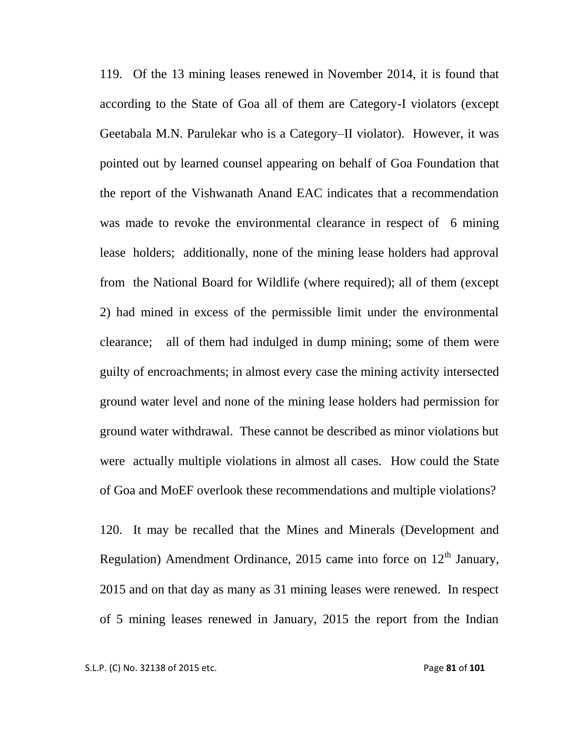119. Of the 13 mining leases renewed in November 2014, it is found that according to the State of Goa all of them are Category-I violators (except Geetabala M.N. Parulekar who is a Category–II violator). However, it was pointed out by learned counsel appearing on behalf of Goa Foundation that the report of the Vishwanath Anand EAC indicates that a recommendation was made to revoke the environmental clearance in respect of 6 mining lease holders; additionally, none of the mining lease holders had approval from the National Board for Wildlife (where required); all of them (except 2) had mined in excess of the permissible limit under the environmental clearance; all of them had indulged in dump mining; some of them were guilty of encroachments; in almost every case the mining activity intersected ground water level and none of the mining lease holders had permission for ground water withdrawal. These cannot be described as minor violations but were actually multiple violations in almost all cases. How could the State of Goa and MoEF overlook these recommendations and multiple violations?

120. It may be recalled that the Mines and Minerals (Development and Regulation) Amendment Ordinance, 2015 came into force on  $12<sup>th</sup>$  January, 2015 and on that day as many as 31 mining leases were renewed. In respect of 5 mining leases renewed in January, 2015 the report from the Indian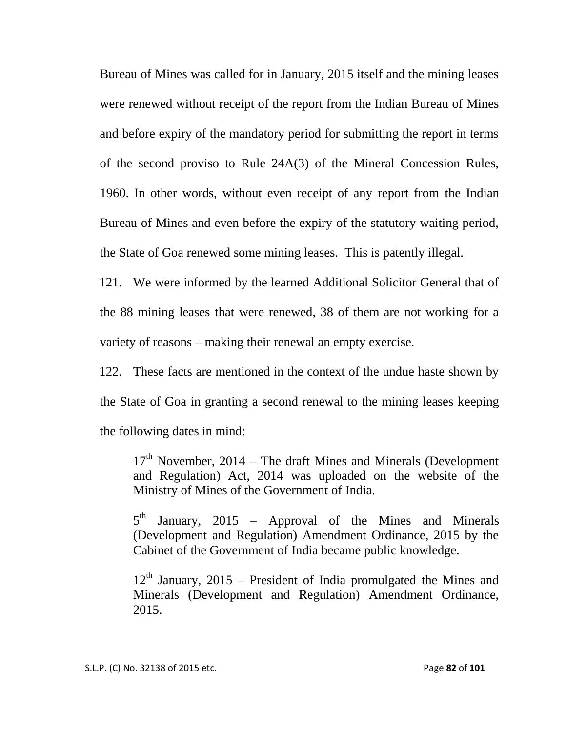Bureau of Mines was called for in January, 2015 itself and the mining leases were renewed without receipt of the report from the Indian Bureau of Mines and before expiry of the mandatory period for submitting the report in terms of the second proviso to Rule 24A(3) of the Mineral Concession Rules, 1960. In other words, without even receipt of any report from the Indian Bureau of Mines and even before the expiry of the statutory waiting period, the State of Goa renewed some mining leases. This is patently illegal.

121. We were informed by the learned Additional Solicitor General that of the 88 mining leases that were renewed, 38 of them are not working for a variety of reasons – making their renewal an empty exercise.

122. These facts are mentioned in the context of the undue haste shown by the State of Goa in granting a second renewal to the mining leases keeping the following dates in mind:

 $17<sup>th</sup>$  November, 2014 – The draft Mines and Minerals (Development and Regulation) Act, 2014 was uploaded on the website of the Ministry of Mines of the Government of India.

 $5^{\text{th}}$ January,  $2015$  – Approval of the Mines and Minerals (Development and Regulation) Amendment Ordinance, 2015 by the Cabinet of the Government of India became public knowledge.

 $12<sup>th</sup>$  January, 2015 – President of India promulgated the Mines and Minerals (Development and Regulation) Amendment Ordinance, 2015.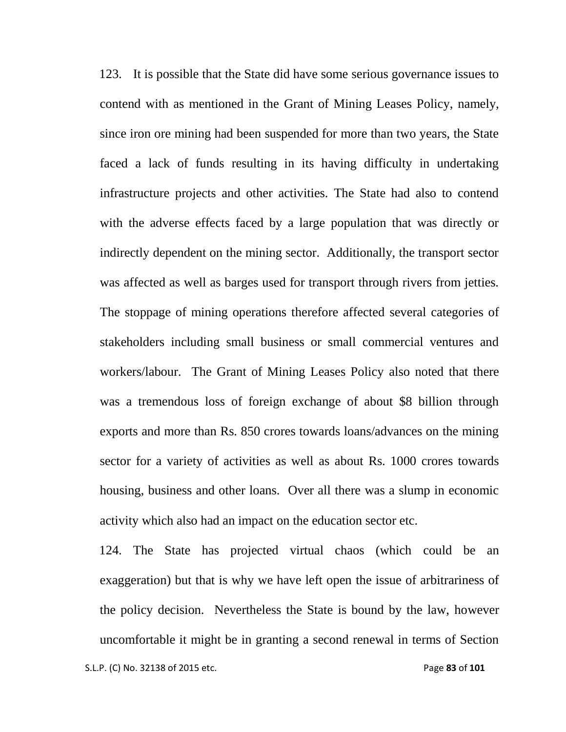123. It is possible that the State did have some serious governance issues to contend with as mentioned in the Grant of Mining Leases Policy, namely, since iron ore mining had been suspended for more than two years, the State faced a lack of funds resulting in its having difficulty in undertaking infrastructure projects and other activities. The State had also to contend with the adverse effects faced by a large population that was directly or indirectly dependent on the mining sector. Additionally, the transport sector was affected as well as barges used for transport through rivers from jetties. The stoppage of mining operations therefore affected several categories of stakeholders including small business or small commercial ventures and workers/labour. The Grant of Mining Leases Policy also noted that there was a tremendous loss of foreign exchange of about \$8 billion through exports and more than Rs. 850 crores towards loans/advances on the mining sector for a variety of activities as well as about Rs. 1000 crores towards housing, business and other loans. Over all there was a slump in economic activity which also had an impact on the education sector etc.

 S.L.P. (C) No. 32138 of 2015 etc. Page **83** of **101** 124. The State has projected virtual chaos (which could be an exaggeration) but that is why we have left open the issue of arbitrariness of the policy decision. Nevertheless the State is bound by the law, however uncomfortable it might be in granting a second renewal in terms of Section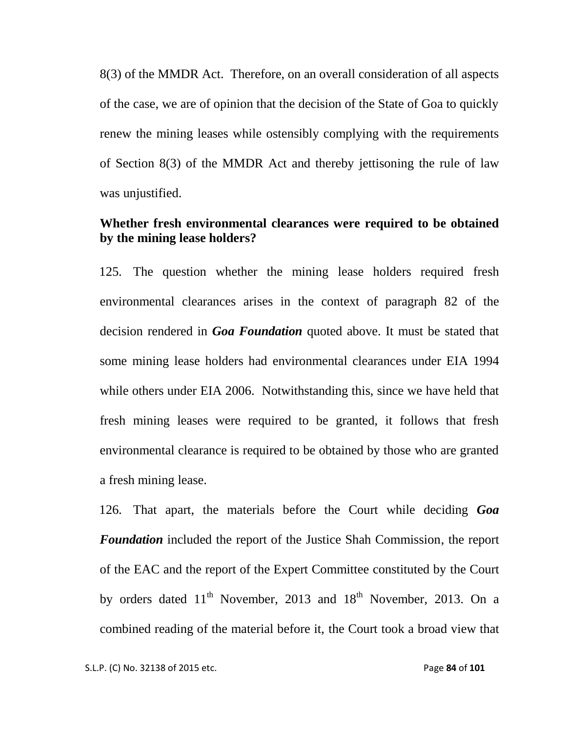8(3) of the MMDR Act. Therefore, on an overall consideration of all aspects of the case, we are of opinion that the decision of the State of Goa to quickly renew the mining leases while ostensibly complying with the requirements of Section 8(3) of the MMDR Act and thereby jettisoning the rule of law was unjustified.

## **Whether fresh environmental clearances were required to be obtained by the mining lease holders?**

125. The question whether the mining lease holders required fresh environmental clearances arises in the context of paragraph 82 of the decision rendered in *Goa Foundation* quoted above. It must be stated that some mining lease holders had environmental clearances under EIA 1994 while others under EIA 2006. Notwithstanding this, since we have held that fresh mining leases were required to be granted, it follows that fresh environmental clearance is required to be obtained by those who are granted a fresh mining lease.

126. That apart, the materials before the Court while deciding *Goa Foundation* included the report of the Justice Shah Commission, the report of the EAC and the report of the Expert Committee constituted by the Court by orders dated  $11<sup>th</sup>$  November, 2013 and  $18<sup>th</sup>$  November, 2013. On a combined reading of the material before it, the Court took a broad view that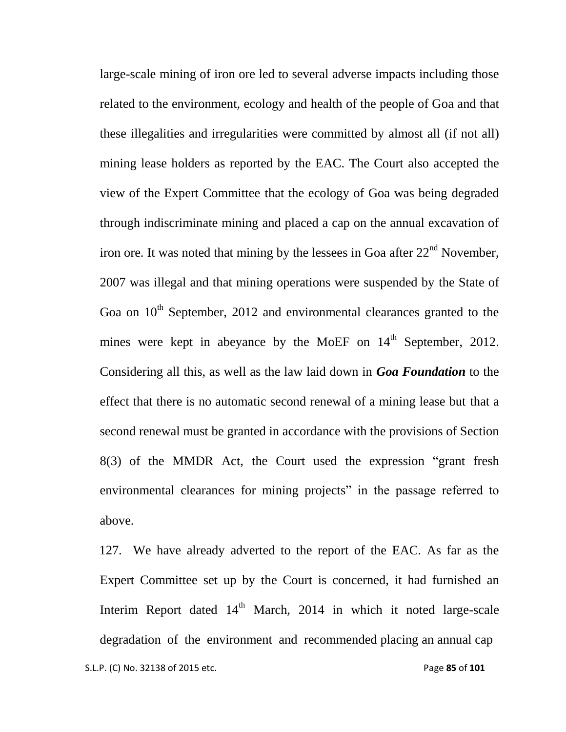large-scale mining of iron ore led to several adverse impacts including those related to the environment, ecology and health of the people of Goa and that these illegalities and irregularities were committed by almost all (if not all) mining lease holders as reported by the EAC. The Court also accepted the view of the Expert Committee that the ecology of Goa was being degraded through indiscriminate mining and placed a cap on the annual excavation of iron ore. It was noted that mining by the lessees in Goa after  $22<sup>nd</sup>$  November, 2007 was illegal and that mining operations were suspended by the State of Goa on  $10<sup>th</sup>$  September, 2012 and environmental clearances granted to the mines were kept in abeyance by the MoEF on  $14<sup>th</sup>$  September, 2012. Considering all this, as well as the law laid down in *Goa Foundation* to the effect that there is no automatic second renewal of a mining lease but that a second renewal must be granted in accordance with the provisions of Section 8(3) of the MMDR Act, the Court used the expression "grant fresh environmental clearances for mining projects" in the passage referred to above.

 S.L.P. (C) No. 32138 of 2015 etc. Page **85** of **101** 127. We have already adverted to the report of the EAC. As far as the Expert Committee set up by the Court is concerned, it had furnished an Interim Report dated  $14<sup>th</sup>$  March, 2014 in which it noted large-scale degradation of the environment and recommended placing an annual cap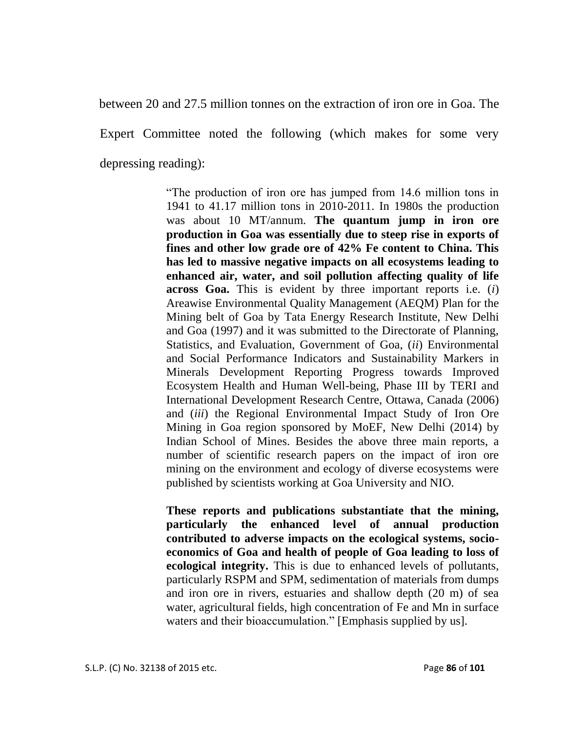between 20 and 27.5 million tonnes on the extraction of iron ore in Goa. The Expert Committee noted the following (which makes for some very depressing reading):

> "The production of iron ore has jumped from 14.6 million tons in 1941 to 41.17 million tons in 2010-2011. In 1980s the production was about 10 MT/annum. **The quantum jump in iron ore production in Goa was essentially due to steep rise in exports of fines and other low grade ore of 42% Fe content to China. This has led to massive negative impacts on all ecosystems leading to enhanced air, water, and soil pollution affecting quality of life across Goa.** This is evident by three important reports i.e. (*i*) Areawise Environmental Quality Management (AEQM) Plan for the Mining belt of Goa by Tata Energy Research Institute, New Delhi and Goa (1997) and it was submitted to the Directorate of Planning, Statistics, and Evaluation, Government of Goa, (*ii*) Environmental and Social Performance Indicators and Sustainability Markers in Minerals Development Reporting Progress towards Improved Ecosystem Health and Human Well-being, Phase III by TERI and International Development Research Centre, Ottawa, Canada (2006) and (*iii*) the Regional Environmental Impact Study of Iron Ore Mining in Goa region sponsored by MoEF, New Delhi (2014) by Indian School of Mines. Besides the above three main reports, a number of scientific research papers on the impact of iron ore mining on the environment and ecology of diverse ecosystems were published by scientists working at Goa University and NIO.

> **These reports and publications substantiate that the mining, particularly the enhanced level of annual production contributed to adverse impacts on the ecological systems, socioeconomics of Goa and health of people of Goa leading to loss of ecological integrity.** This is due to enhanced levels of pollutants, particularly RSPM and SPM, sedimentation of materials from dumps and iron ore in rivers, estuaries and shallow depth (20 m) of sea water, agricultural fields, high concentration of Fe and Mn in surface waters and their bioaccumulation." [Emphasis supplied by us].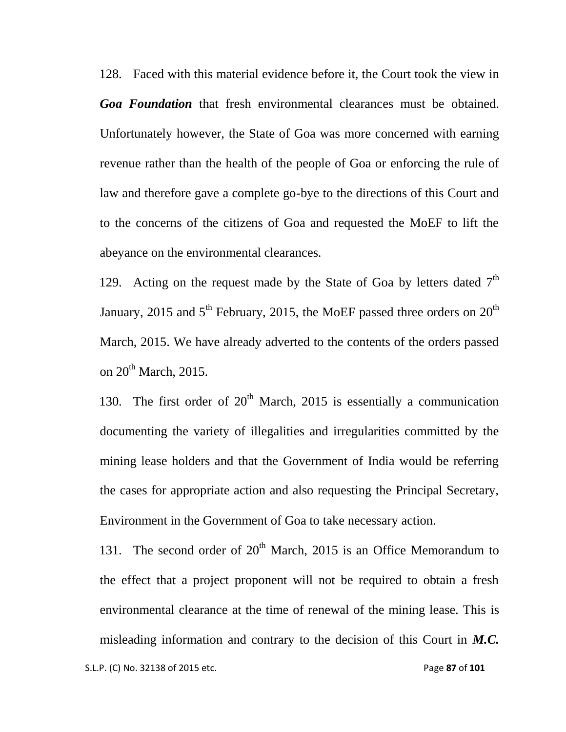128. Faced with this material evidence before it, the Court took the view in *Goa Foundation* that fresh environmental clearances must be obtained. Unfortunately however, the State of Goa was more concerned with earning revenue rather than the health of the people of Goa or enforcing the rule of law and therefore gave a complete go-bye to the directions of this Court and to the concerns of the citizens of Goa and requested the MoEF to lift the abeyance on the environmental clearances.

129. Acting on the request made by the State of Goa by letters dated  $7<sup>th</sup>$ January, 2015 and  $5<sup>th</sup>$  February, 2015, the MoEF passed three orders on  $20<sup>th</sup>$ March, 2015. We have already adverted to the contents of the orders passed on 20<sup>th</sup> March, 2015.

130. The first order of  $20<sup>th</sup>$  March, 2015 is essentially a communication documenting the variety of illegalities and irregularities committed by the mining lease holders and that the Government of India would be referring the cases for appropriate action and also requesting the Principal Secretary, Environment in the Government of Goa to take necessary action.

131. The second order of  $20<sup>th</sup>$  March, 2015 is an Office Memorandum to the effect that a project proponent will not be required to obtain a fresh environmental clearance at the time of renewal of the mining lease. This is misleading information and contrary to the decision of this Court in *M.C.*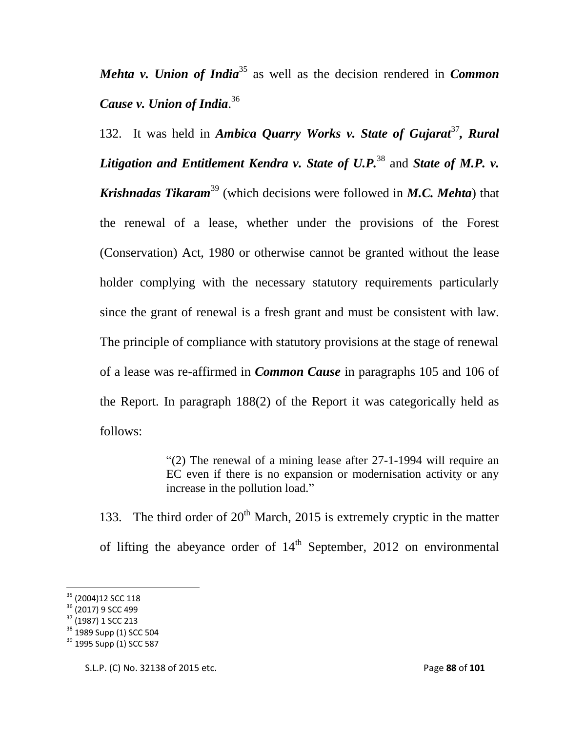*Mehta v. Union of India*<sup>35</sup> as well as the decision rendered in *Common Cause v. Union of India*. 36

132. It was held in *Ambica Quarry Works v. State of Gujarat*<sup>37</sup>, *Rural Litigation and Entitlement Kendra v. State of U.P.*<sup>38</sup> and *State of M.P. v. Krishnadas Tikaram*<sup>39</sup> (which decisions were followed in *M.C. Mehta*) that the renewal of a lease, whether under the provisions of the Forest (Conservation) Act, 1980 or otherwise cannot be granted without the lease holder complying with the necessary statutory requirements particularly since the grant of renewal is a fresh grant and must be consistent with law. The principle of compliance with statutory provisions at the stage of renewal of a lease was re-affirmed in *Common Cause* in paragraphs 105 and 106 of the Report. In paragraph 188(2) of the Report it was categorically held as follows:

> "(2) The renewal of a mining lease after 27-1-1994 will require an EC even if there is no expansion or modernisation activity or any increase in the pollution load."

133. The third order of  $20<sup>th</sup>$  March, 2015 is extremely cryptic in the matter of lifting the abeyance order of  $14<sup>th</sup>$  September, 2012 on environmental

l

<sup>&</sup>lt;sup>35</sup> (2004)12 SCC 118

 $36$  (2017) 9 SCC 499

<sup>37</sup> (1987) 1 SCC 213

 $38$  1989 Supp (1) SCC 504

<sup>&</sup>lt;sup>39</sup> 1995 Supp (1) SCC 587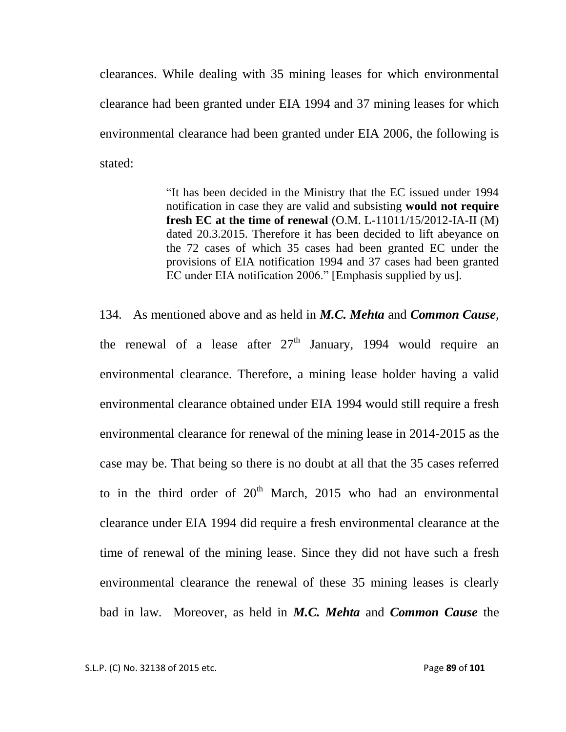clearances. While dealing with 35 mining leases for which environmental clearance had been granted under EIA 1994 and 37 mining leases for which environmental clearance had been granted under EIA 2006, the following is stated:

> "It has been decided in the Ministry that the EC issued under 1994 notification in case they are valid and subsisting **would not require fresh EC at the time of renewal** (O.M. L-11011/15/2012-IA-II (M) dated 20.3.2015. Therefore it has been decided to lift abeyance on the 72 cases of which 35 cases had been granted EC under the provisions of EIA notification 1994 and 37 cases had been granted EC under EIA notification 2006." [Emphasis supplied by us].

134. As mentioned above and as held in *M.C. Mehta* and *Common Cause*, the renewal of a lease after  $27<sup>th</sup>$  January, 1994 would require an environmental clearance. Therefore, a mining lease holder having a valid environmental clearance obtained under EIA 1994 would still require a fresh environmental clearance for renewal of the mining lease in 2014-2015 as the case may be. That being so there is no doubt at all that the 35 cases referred to in the third order of  $20<sup>th</sup>$  March, 2015 who had an environmental clearance under EIA 1994 did require a fresh environmental clearance at the time of renewal of the mining lease. Since they did not have such a fresh environmental clearance the renewal of these 35 mining leases is clearly bad in law. Moreover, as held in *M.C. Mehta* and *Common Cause* the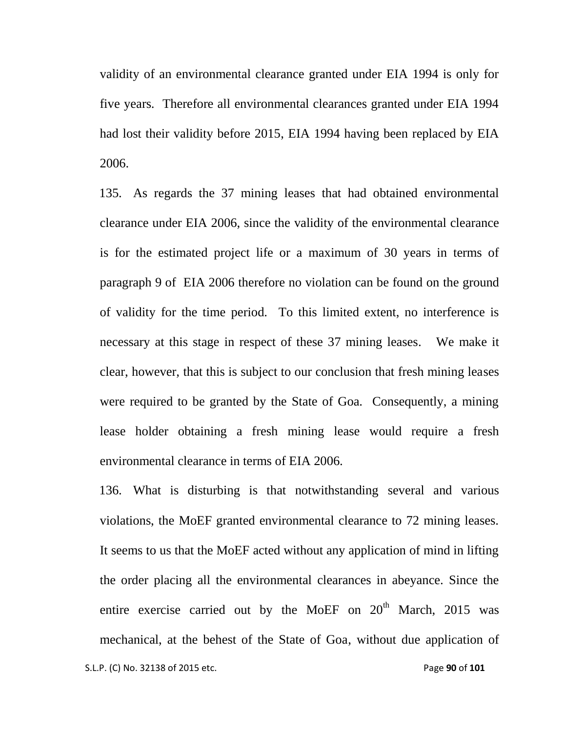validity of an environmental clearance granted under EIA 1994 is only for five years. Therefore all environmental clearances granted under EIA 1994 had lost their validity before 2015, EIA 1994 having been replaced by EIA 2006.

135. As regards the 37 mining leases that had obtained environmental clearance under EIA 2006, since the validity of the environmental clearance is for the estimated project life or a maximum of 30 years in terms of paragraph 9 of EIA 2006 therefore no violation can be found on the ground of validity for the time period. To this limited extent, no interference is necessary at this stage in respect of these 37 mining leases. We make it clear, however, that this is subject to our conclusion that fresh mining leases were required to be granted by the State of Goa. Consequently, a mining lease holder obtaining a fresh mining lease would require a fresh environmental clearance in terms of EIA 2006.

 S.L.P. (C) No. 32138 of 2015 etc. Page **90** of **101** 136. What is disturbing is that notwithstanding several and various violations, the MoEF granted environmental clearance to 72 mining leases. It seems to us that the MoEF acted without any application of mind in lifting the order placing all the environmental clearances in abeyance. Since the entire exercise carried out by the MoEF on 20<sup>th</sup> March, 2015 was mechanical, at the behest of the State of Goa, without due application of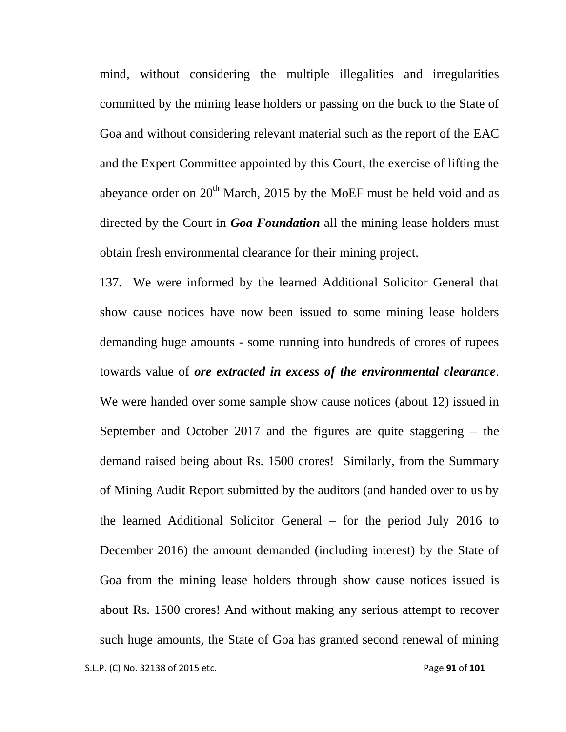mind, without considering the multiple illegalities and irregularities committed by the mining lease holders or passing on the buck to the State of Goa and without considering relevant material such as the report of the EAC and the Expert Committee appointed by this Court, the exercise of lifting the abeyance order on  $20<sup>th</sup>$  March, 2015 by the MoEF must be held void and as directed by the Court in *Goa Foundation* all the mining lease holders must obtain fresh environmental clearance for their mining project.

137. We were informed by the learned Additional Solicitor General that show cause notices have now been issued to some mining lease holders demanding huge amounts - some running into hundreds of crores of rupees towards value of *ore extracted in excess of the environmental clearance*. We were handed over some sample show cause notices (about 12) issued in September and October 2017 and the figures are quite staggering – the demand raised being about Rs. 1500 crores! Similarly, from the Summary of Mining Audit Report submitted by the auditors (and handed over to us by the learned Additional Solicitor General – for the period July 2016 to December 2016) the amount demanded (including interest) by the State of Goa from the mining lease holders through show cause notices issued is about Rs. 1500 crores! And without making any serious attempt to recover such huge amounts, the State of Goa has granted second renewal of mining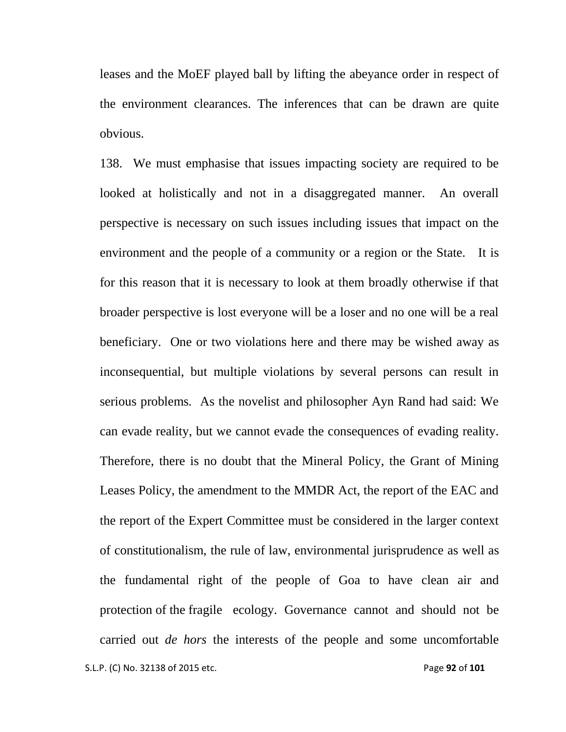leases and the MoEF played ball by lifting the abeyance order in respect of the environment clearances. The inferences that can be drawn are quite obvious.

 S.L.P. (C) No. 32138 of 2015 etc. Page **92** of **101** 138. We must emphasise that issues impacting society are required to be looked at holistically and not in a disaggregated manner. An overall perspective is necessary on such issues including issues that impact on the environment and the people of a community or a region or the State. It is for this reason that it is necessary to look at them broadly otherwise if that broader perspective is lost everyone will be a loser and no one will be a real beneficiary. One or two violations here and there may be wished away as inconsequential, but multiple violations by several persons can result in serious problems. As the novelist and philosopher Ayn Rand had said: We can evade reality, but we cannot evade the consequences of evading reality. Therefore, there is no doubt that the Mineral Policy, the Grant of Mining Leases Policy, the amendment to the MMDR Act, the report of the EAC and the report of the Expert Committee must be considered in the larger context of constitutionalism, the rule of law, environmental jurisprudence as well as the fundamental right of the people of Goa to have clean air and protection of the fragile ecology. Governance cannot and should not be carried out *de hors* the interests of the people and some uncomfortable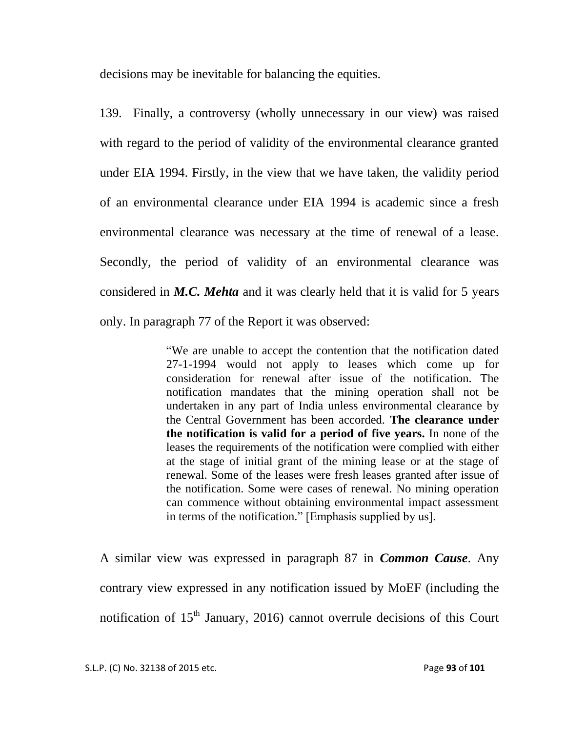decisions may be inevitable for balancing the equities.

139. Finally, a controversy (wholly unnecessary in our view) was raised with regard to the period of validity of the environmental clearance granted under EIA 1994. Firstly, in the view that we have taken, the validity period of an environmental clearance under EIA 1994 is academic since a fresh environmental clearance was necessary at the time of renewal of a lease. Secondly, the period of validity of an environmental clearance was considered in *M.C. Mehta* and it was clearly held that it is valid for 5 years only. In paragraph 77 of the Report it was observed:

> "We are unable to accept the contention that the notification dated 27-1-1994 would not apply to leases which come up for consideration for renewal after issue of the notification. The notification mandates that the mining operation shall not be undertaken in any part of India unless environmental clearance by the Central Government has been accorded. **The clearance under the notification is valid for a period of five years.** In none of the leases the requirements of the notification were complied with either at the stage of initial grant of the mining lease or at the stage of renewal. Some of the leases were fresh leases granted after issue of the notification. Some were cases of renewal. No mining operation can commence without obtaining environmental impact assessment in terms of the notification." [Emphasis supplied by us].

A similar view was expressed in paragraph 87 in *Common Cause*. Any contrary view expressed in any notification issued by MoEF (including the notification of  $15<sup>th</sup>$  January, 2016) cannot overrule decisions of this Court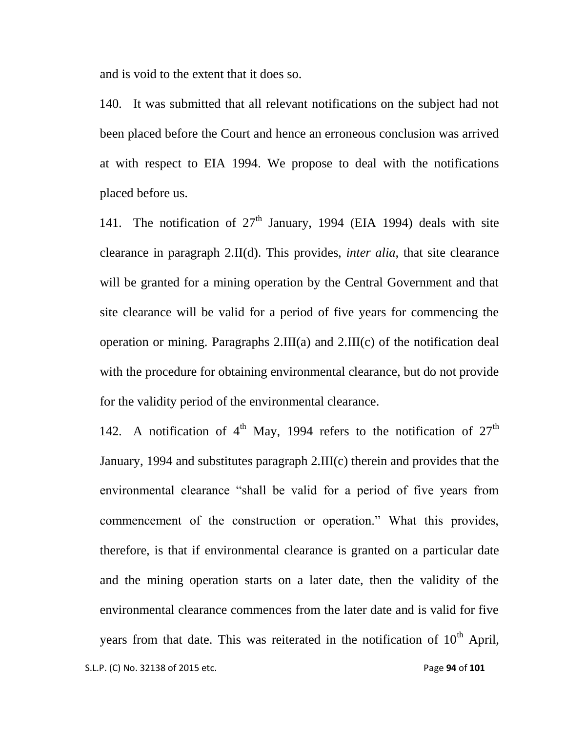and is void to the extent that it does so.

140. It was submitted that all relevant notifications on the subject had not been placed before the Court and hence an erroneous conclusion was arrived at with respect to EIA 1994. We propose to deal with the notifications placed before us.

141. The notification of  $27<sup>th</sup>$  January, 1994 (EIA 1994) deals with site clearance in paragraph 2.II(d). This provides, *inter alia*, that site clearance will be granted for a mining operation by the Central Government and that site clearance will be valid for a period of five years for commencing the operation or mining. Paragraphs 2.III(a) and 2.III(c) of the notification deal with the procedure for obtaining environmental clearance, but do not provide for the validity period of the environmental clearance.

 S.L.P. (C) No. 32138 of 2015 etc. Page **94** of **101** 142. A notification of  $4<sup>th</sup>$  May, 1994 refers to the notification of  $27<sup>th</sup>$ January, 1994 and substitutes paragraph 2.III(c) therein and provides that the environmental clearance "shall be valid for a period of five years from commencement of the construction or operation." What this provides, therefore, is that if environmental clearance is granted on a particular date and the mining operation starts on a later date, then the validity of the environmental clearance commences from the later date and is valid for five years from that date. This was reiterated in the notification of  $10<sup>th</sup>$  April,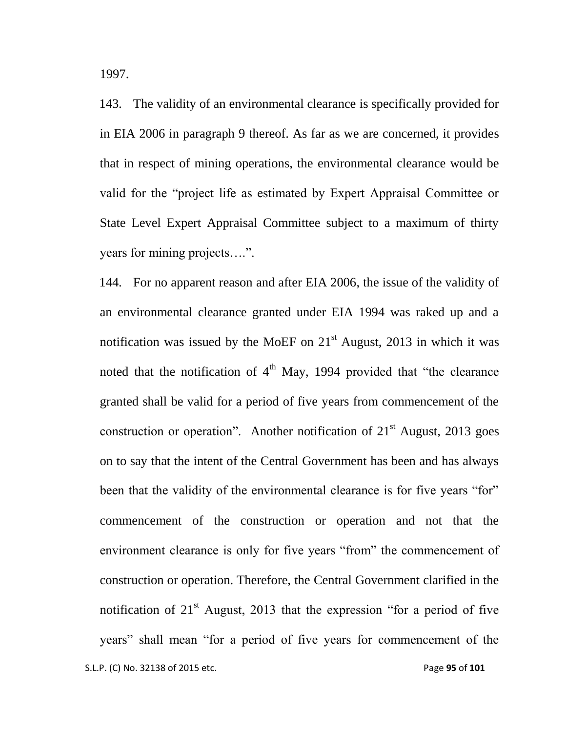1997.

143. The validity of an environmental clearance is specifically provided for in EIA 2006 in paragraph 9 thereof. As far as we are concerned, it provides that in respect of mining operations, the environmental clearance would be valid for the "project life as estimated by Expert Appraisal Committee or State Level Expert Appraisal Committee subject to a maximum of thirty years for mining projects….".

 S.L.P. (C) No. 32138 of 2015 etc. Page **95** of **101** 144. For no apparent reason and after EIA 2006, the issue of the validity of an environmental clearance granted under EIA 1994 was raked up and a notification was issued by the MoEF on  $21<sup>st</sup>$  August, 2013 in which it was noted that the notification of  $4<sup>th</sup>$  May, 1994 provided that "the clearance" granted shall be valid for a period of five years from commencement of the construction or operation". Another notification of  $21<sup>st</sup>$  August, 2013 goes on to say that the intent of the Central Government has been and has always been that the validity of the environmental clearance is for five years "for" commencement of the construction or operation and not that the environment clearance is only for five years "from" the commencement of construction or operation. Therefore, the Central Government clarified in the notification of  $21<sup>st</sup>$  August, 2013 that the expression "for a period of five years" shall mean "for a period of five years for commencement of the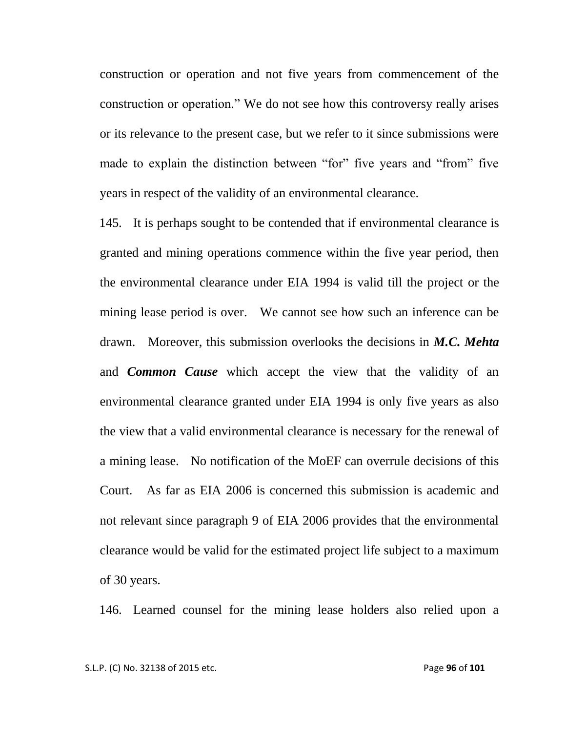construction or operation and not five years from commencement of the construction or operation." We do not see how this controversy really arises or its relevance to the present case, but we refer to it since submissions were made to explain the distinction between "for" five years and "from" five years in respect of the validity of an environmental clearance.

145. It is perhaps sought to be contended that if environmental clearance is granted and mining operations commence within the five year period, then the environmental clearance under EIA 1994 is valid till the project or the mining lease period is over. We cannot see how such an inference can be drawn. Moreover, this submission overlooks the decisions in *M.C. Mehta*  and *Common Cause* which accept the view that the validity of an environmental clearance granted under EIA 1994 is only five years as also the view that a valid environmental clearance is necessary for the renewal of a mining lease. No notification of the MoEF can overrule decisions of this Court. As far as EIA 2006 is concerned this submission is academic and not relevant since paragraph 9 of EIA 2006 provides that the environmental clearance would be valid for the estimated project life subject to a maximum of 30 years.

146. Learned counsel for the mining lease holders also relied upon a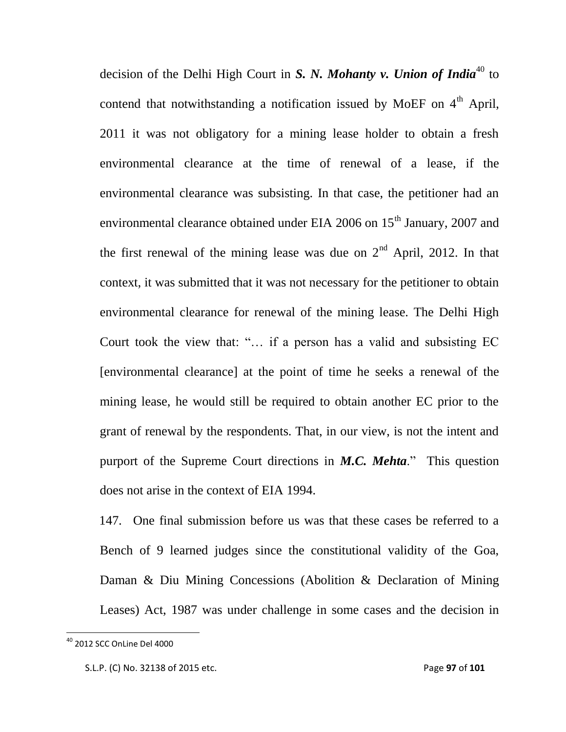decision of the Delhi High Court in *S. N. Mohanty v. Union of India*<sup>40</sup> to contend that notwithstanding a notification issued by MoEF on  $4<sup>th</sup>$  April, 2011 it was not obligatory for a mining lease holder to obtain a fresh environmental clearance at the time of renewal of a lease, if the environmental clearance was subsisting. In that case, the petitioner had an environmental clearance obtained under EIA 2006 on  $15<sup>th</sup>$  January, 2007 and the first renewal of the mining lease was due on  $2<sup>nd</sup>$  April, 2012. In that context, it was submitted that it was not necessary for the petitioner to obtain environmental clearance for renewal of the mining lease. The Delhi High Court took the view that: "… if a person has a valid and subsisting EC [environmental clearance] at the point of time he seeks a renewal of the mining lease, he would still be required to obtain another EC prior to the grant of renewal by the respondents. That, in our view, is not the intent and purport of the Supreme Court directions in *M.C. Mehta*." This question does not arise in the context of EIA 1994.

147. One final submission before us was that these cases be referred to a Bench of 9 learned judges since the constitutional validity of the Goa, Daman & Diu Mining Concessions (Abolition & Declaration of Mining Leases) Act, 1987 was under challenge in some cases and the decision in

 $\overline{\phantom{a}}$ 

 $^{40}$  2012 SCC OnLine Del 4000

S.L.P. (C) No. 32138 of 2015 etc. Page **97** of **101**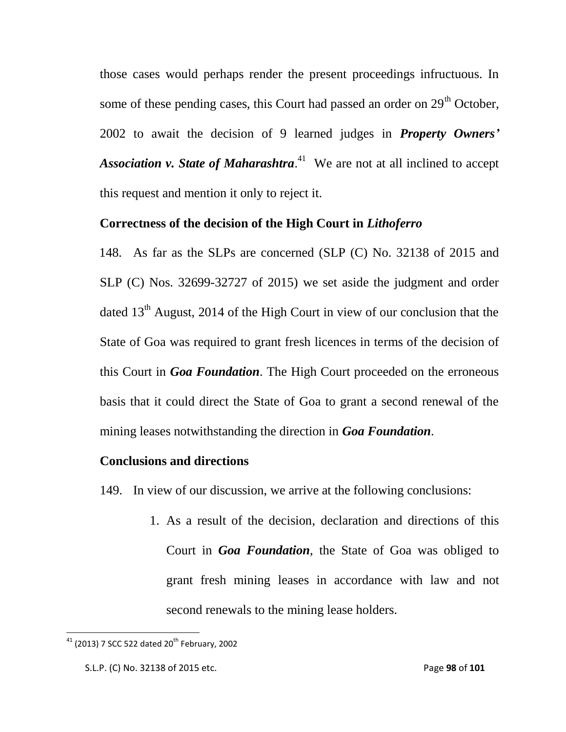those cases would perhaps render the present proceedings infructuous. In some of these pending cases, this Court had passed an order on 29<sup>th</sup> October, 2002 to await the decision of 9 learned judges in *Property Owners'* Association v. State of Maharashtra.<sup>41</sup> We are not at all inclined to accept this request and mention it only to reject it.

## **Correctness of the decision of the High Court in** *Lithoferro*

148. As far as the SLPs are concerned (SLP (C) No. 32138 of 2015 and SLP (C) Nos. 32699-32727 of 2015) we set aside the judgment and order dated  $13<sup>th</sup>$  August, 2014 of the High Court in view of our conclusion that the State of Goa was required to grant fresh licences in terms of the decision of this Court in *Goa Foundation*. The High Court proceeded on the erroneous basis that it could direct the State of Goa to grant a second renewal of the mining leases notwithstanding the direction in *Goa Foundation*.

## **Conclusions and directions**

149. In view of our discussion, we arrive at the following conclusions:

1. As a result of the decision, declaration and directions of this Court in *Goa Foundation*, the State of Goa was obliged to grant fresh mining leases in accordance with law and not second renewals to the mining lease holders.

 $\overline{\phantom{a}}$ 

<sup>&</sup>lt;sup>41</sup> (2013) 7 SCC 522 dated 20<sup>th</sup> February, 2002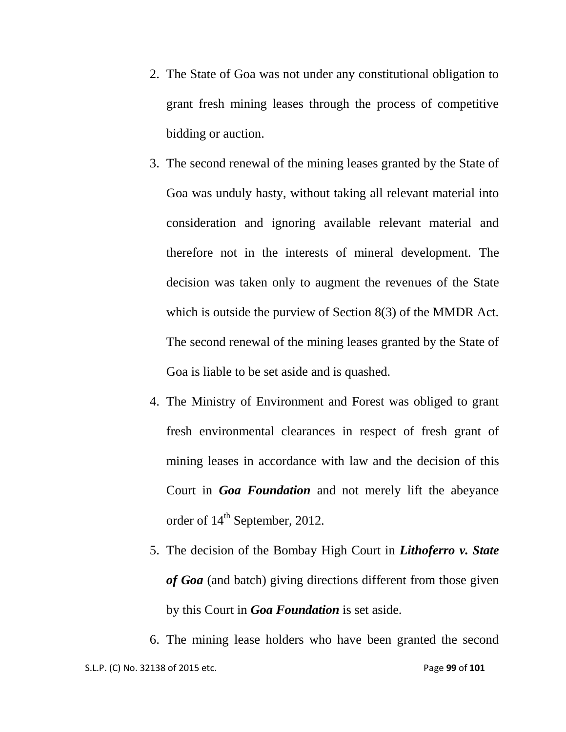- 2. The State of Goa was not under any constitutional obligation to grant fresh mining leases through the process of competitive bidding or auction.
- 3. The second renewal of the mining leases granted by the State of Goa was unduly hasty, without taking all relevant material into consideration and ignoring available relevant material and therefore not in the interests of mineral development. The decision was taken only to augment the revenues of the State which is outside the purview of Section 8(3) of the MMDR Act. The second renewal of the mining leases granted by the State of Goa is liable to be set aside and is quashed.
- 4. The Ministry of Environment and Forest was obliged to grant fresh environmental clearances in respect of fresh grant of mining leases in accordance with law and the decision of this Court in *Goa Foundation* and not merely lift the abeyance order of  $14<sup>th</sup>$  September, 2012.
- 5. The decision of the Bombay High Court in *Lithoferro v. State of Goa* (and batch) giving directions different from those given by this Court in *Goa Foundation* is set aside.

 S.L.P. (C) No. 32138 of 2015 etc. Page **99** of **101** 6. The mining lease holders who have been granted the second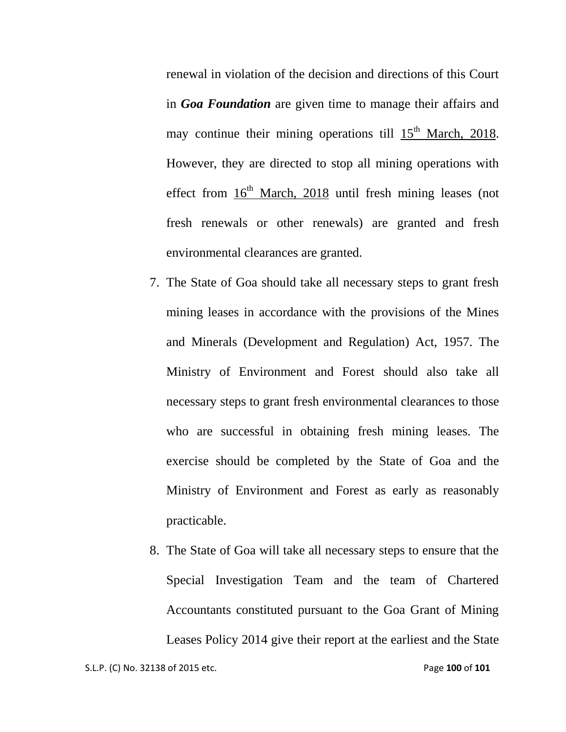renewal in violation of the decision and directions of this Court in *Goa Foundation* are given time to manage their affairs and may continue their mining operations till  $15<sup>th</sup>$  March, 2018. However, they are directed to stop all mining operations with effect from  $16<sup>th</sup>$  March, 2018 until fresh mining leases (not fresh renewals or other renewals) are granted and fresh environmental clearances are granted.

- 7. The State of Goa should take all necessary steps to grant fresh mining leases in accordance with the provisions of the Mines and Minerals (Development and Regulation) Act, 1957. The Ministry of Environment and Forest should also take all necessary steps to grant fresh environmental clearances to those who are successful in obtaining fresh mining leases. The exercise should be completed by the State of Goa and the Ministry of Environment and Forest as early as reasonably practicable.
- 8. The State of Goa will take all necessary steps to ensure that the Special Investigation Team and the team of Chartered Accountants constituted pursuant to the Goa Grant of Mining Leases Policy 2014 give their report at the earliest and the State